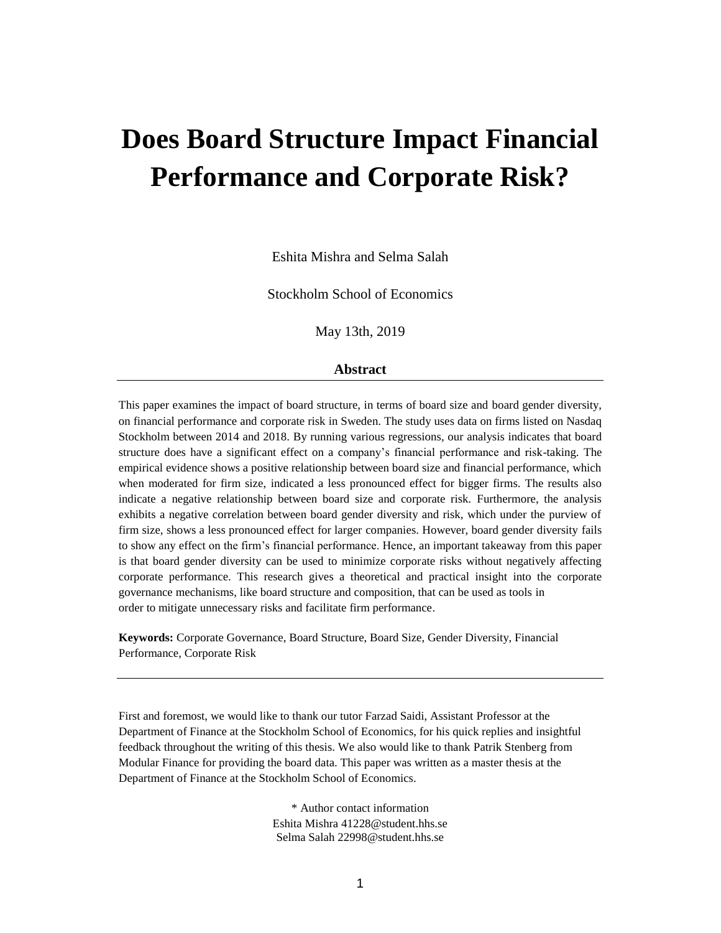# **Does Board Structure Impact Financial Performance and Corporate Risk?**

Eshita Mishra and Selma Salah

Stockholm School of Economics

May 13th, 2019

#### **Abstract**

This paper examines the impact of board structure, in terms of board size and board gender diversity, on financial performance and corporate risk in Sweden. The study uses data on firms listed on Nasdaq Stockholm between 2014 and 2018. By running various regressions, our analysis indicates that board structure does have a significant effect on a company's financial performance and risk-taking. The empirical evidence shows a positive relationship between board size and financial performance, which when moderated for firm size, indicated a less pronounced effect for bigger firms. The results also indicate a negative relationship between board size and corporate risk. Furthermore, the analysis exhibits a negative correlation between board gender diversity and risk, which under the purview of firm size, shows a less pronounced effect for larger companies. However, board gender diversity fails to show any effect on the firm's financial performance. Hence, an important takeaway from this paper is that board gender diversity can be used to minimize corporate risks without negatively affecting corporate performance. This research gives a theoretical and practical insight into the corporate governance mechanisms, like board structure and composition, that can be used as tools in order to mitigate unnecessary risks and facilitate firm performance.

**Keywords:** Corporate Governance, Board Structure, Board Size, Gender Diversity, Financial Performance, Corporate Risk

First and foremost, we would like to thank our tutor Farzad Saidi, Assistant Professor at the Department of Finance at the Stockholm School of Economics, for his quick replies and insightful feedback throughout the writing of this thesis. We also would like to thank Patrik Stenberg from Modular Finance for providing the board data. This paper was written as a master thesis at the Department of Finance at the Stockholm School of Economics.

> \* Author contact information Eshita Mishra [41228@student.hhs.se](mailto:41228@student.hhs.se) Selma Salah [22998@student.hhs.se](mailto:22998@student.hhs.se)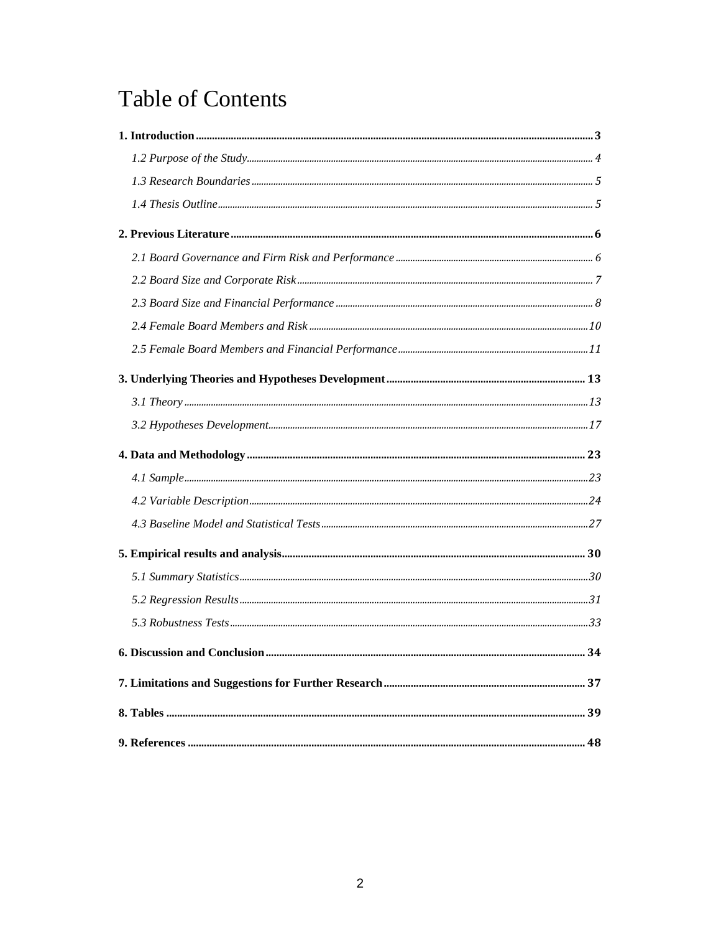# **Table of Contents**

| 34 |
|----|
|    |
|    |
|    |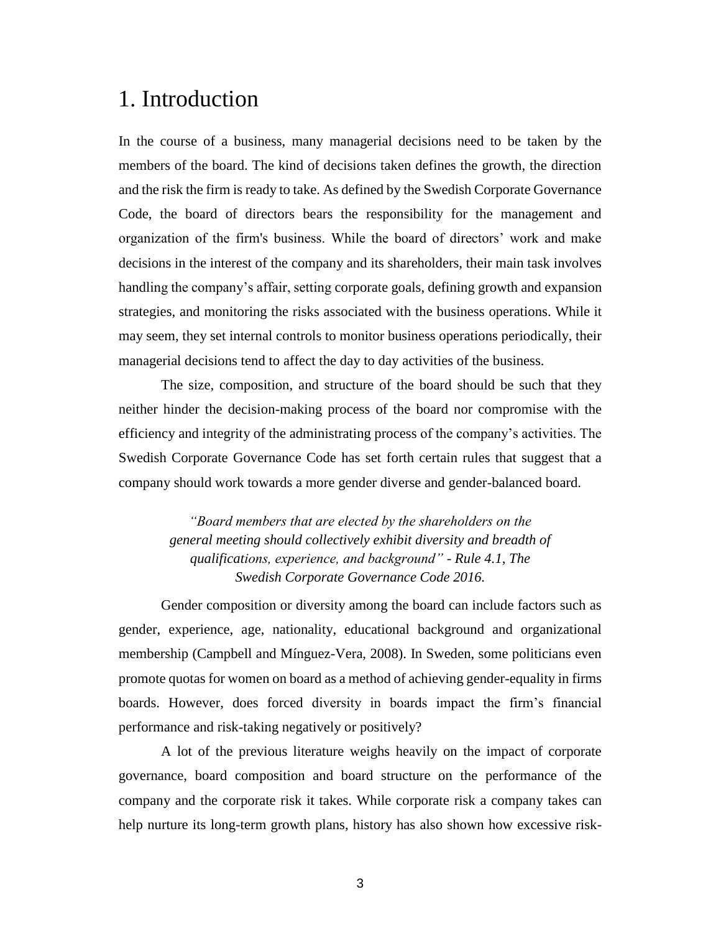## <span id="page-2-0"></span>1. Introduction

In the course of a business, many managerial decisions need to be taken by the members of the board. The kind of decisions taken defines the growth, the direction and the risk the firm is ready to take. As defined by the Swedish Corporate Governance Code, the board of directors bears the responsibility for the management and organization of the firm's business. While the board of directors' work and make decisions in the interest of the company and its shareholders, their main task involves handling the company's affair, setting corporate goals, defining growth and expansion strategies, and monitoring the risks associated with the business operations. While it may seem, they set internal controls to monitor business operations periodically, their managerial decisions tend to affect the day to day activities of the business.

The size, composition, and structure of the board should be such that they neither hinder the decision-making process of the board nor compromise with the efficiency and integrity of the administrating process of the company's activities. The Swedish Corporate Governance Code has set forth certain rules that suggest that a company should work towards a more gender diverse and gender-balanced board.

> *"Board members that are elected by the shareholders on the general meeting should collectively exhibit diversity and breadth of qualifications, experience, and background" - Rule 4.1, The Swedish Corporate Governance Code 2016.*

Gender composition or diversity among the board can include factors such as gender, experience, age, nationality, educational background and organizational membership (Campbell and Mínguez-Vera, 2008). In Sweden, some politicians even promote quotas for women on board as a method of achieving gender-equality in firms boards. However, does forced diversity in boards impact the firm's financial performance and risk-taking negatively or positively?

A lot of the previous literature weighs heavily on the impact of corporate governance, board composition and board structure on the performance of the company and the corporate risk it takes. While corporate risk a company takes can help nurture its long-term growth plans, history has also shown how excessive risk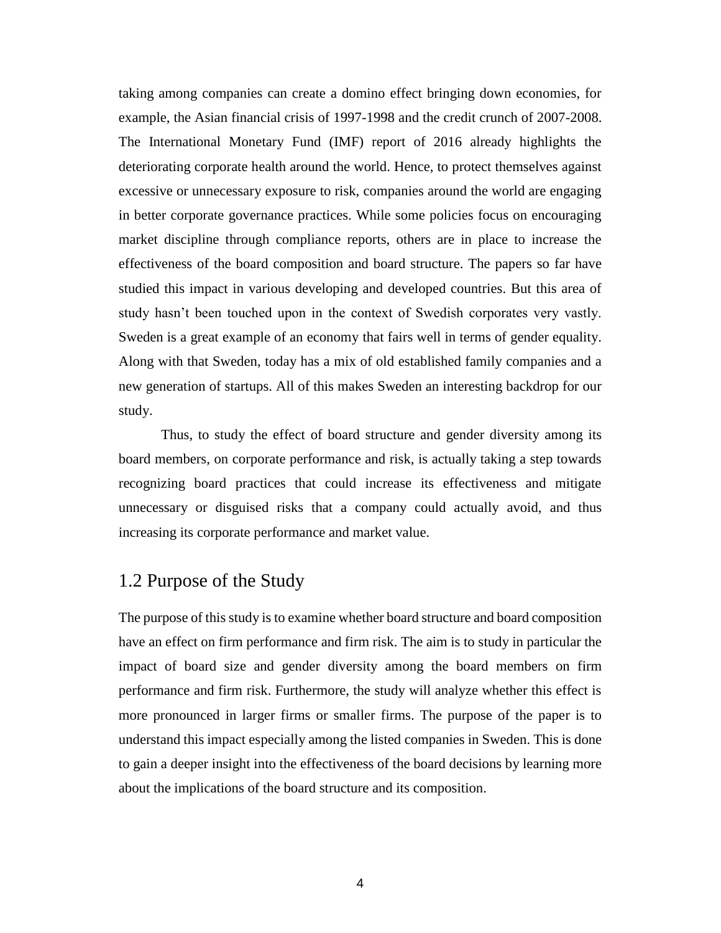taking among companies can create a domino effect bringing down economies, for example, the Asian financial crisis of 1997-1998 and the credit crunch of 2007-2008. The International Monetary Fund (IMF) report of 2016 already highlights the deteriorating corporate health around the world. Hence, to protect themselves against excessive or unnecessary exposure to risk, companies around the world are engaging in better corporate governance practices. While some policies focus on encouraging market discipline through compliance reports, others are in place to increase the effectiveness of the board composition and board structure. The papers so far have studied this impact in various developing and developed countries. But this area of study hasn't been touched upon in the context of Swedish corporates very vastly. Sweden is a great example of an economy that fairs well in terms of gender equality. Along with that Sweden, today has a mix of old established family companies and a new generation of startups. All of this makes Sweden an interesting backdrop for our study.

Thus, to study the effect of board structure and gender diversity among its board members, on corporate performance and risk, is actually taking a step towards recognizing board practices that could increase its effectiveness and mitigate unnecessary or disguised risks that a company could actually avoid, and thus increasing its corporate performance and market value.

### <span id="page-3-0"></span>1.2 Purpose of the Study

The purpose of this study is to examine whether board structure and board composition have an effect on firm performance and firm risk. The aim is to study in particular the impact of board size and gender diversity among the board members on firm performance and firm risk. Furthermore, the study will analyze whether this effect is more pronounced in larger firms or smaller firms. The purpose of the paper is to understand this impact especially among the listed companies in Sweden. This is done to gain a deeper insight into the effectiveness of the board decisions by learning more about the implications of the board structure and its composition.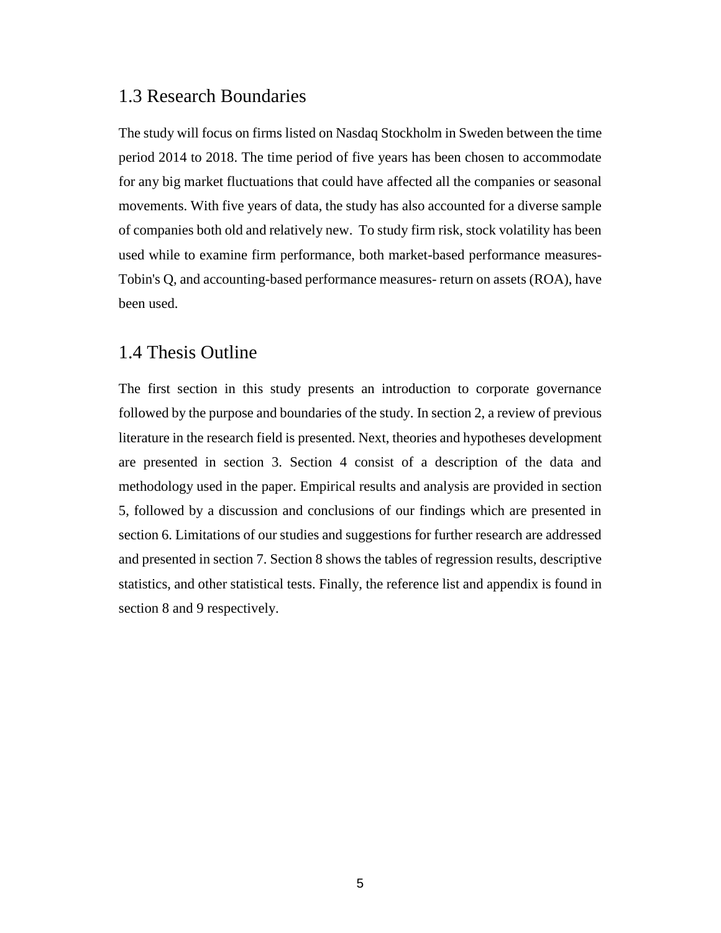### <span id="page-4-0"></span>1.3 Research Boundaries

The study will focus on firms listed on Nasdaq Stockholm in Sweden between the time period 2014 to 2018. The time period of five years has been chosen to accommodate for any big market fluctuations that could have affected all the companies or seasonal movements. With five years of data, the study has also accounted for a diverse sample of companies both old and relatively new. To study firm risk, stock volatility has been used while to examine firm performance, both market-based performance measures-Tobin's Q, and accounting-based performance measures- return on assets (ROA), have been used.

#### <span id="page-4-1"></span>1.4 Thesis Outline

The first section in this study presents an introduction to corporate governance followed by the purpose and boundaries of the study. In section 2, a review of previous literature in the research field is presented. Next, theories and hypotheses development are presented in section 3. Section 4 consist of a description of the data and methodology used in the paper. Empirical results and analysis are provided in section 5, followed by a discussion and conclusions of our findings which are presented in section 6. Limitations of our studies and suggestions for further research are addressed and presented in section 7. Section 8 shows the tables of regression results, descriptive statistics, and other statistical tests. Finally, the reference list and appendix is found in section 8 and 9 respectively.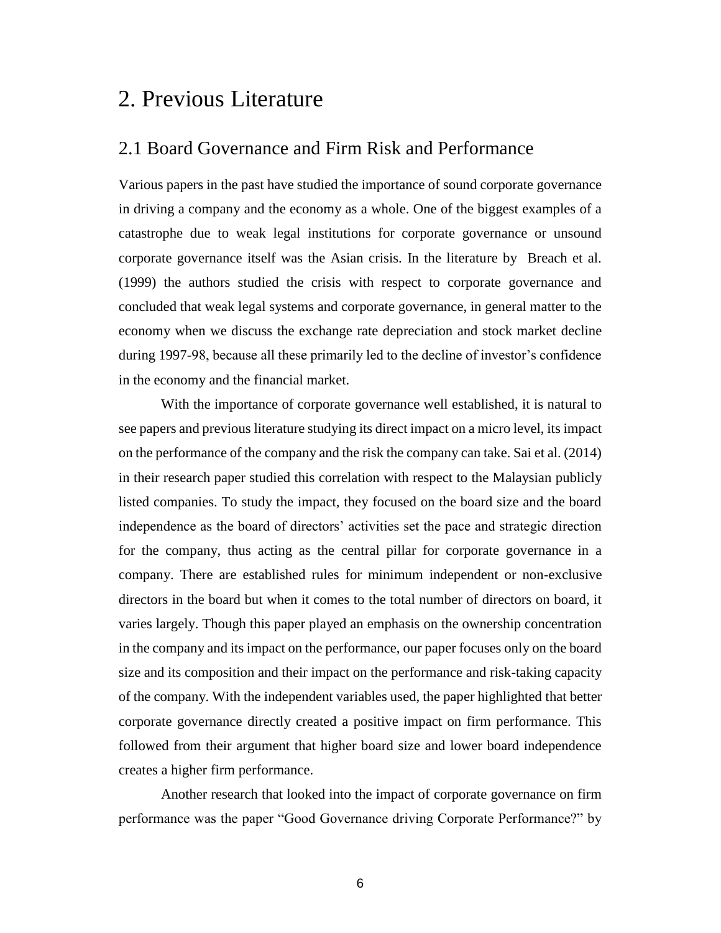## <span id="page-5-0"></span>2. Previous Literature

### <span id="page-5-1"></span>2.1 Board Governance and Firm Risk and Performance

Various papers in the past have studied the importance of sound corporate governance in driving a company and the economy as a whole. One of the biggest examples of a catastrophe due to weak legal institutions for corporate governance or unsound corporate governance itself was the Asian crisis. In the literature by Breach et al. (1999) the authors studied the crisis with respect to corporate governance and concluded that weak legal systems and corporate governance, in general matter to the economy when we discuss the exchange rate depreciation and stock market decline during 1997-98, because all these primarily led to the decline of investor's confidence in the economy and the financial market.

With the importance of corporate governance well established, it is natural to see papers and previous literature studying its direct impact on a micro level, its impact on the performance of the company and the risk the company can take. Sai et al. (2014) in their research paper studied this correlation with respect to the Malaysian publicly listed companies. To study the impact, they focused on the board size and the board independence as the board of directors' activities set the pace and strategic direction for the company, thus acting as the central pillar for corporate governance in a company. There are established rules for minimum independent or non-exclusive directors in the board but when it comes to the total number of directors on board, it varies largely. Though this paper played an emphasis on the ownership concentration in the company and its impact on the performance, our paper focuses only on the board size and its composition and their impact on the performance and risk-taking capacity of the company. With the independent variables used, the paper highlighted that better corporate governance directly created a positive impact on firm performance. This followed from their argument that higher board size and lower board independence creates a higher firm performance.

Another research that looked into the impact of corporate governance on firm performance was the paper "Good Governance driving Corporate Performance?" by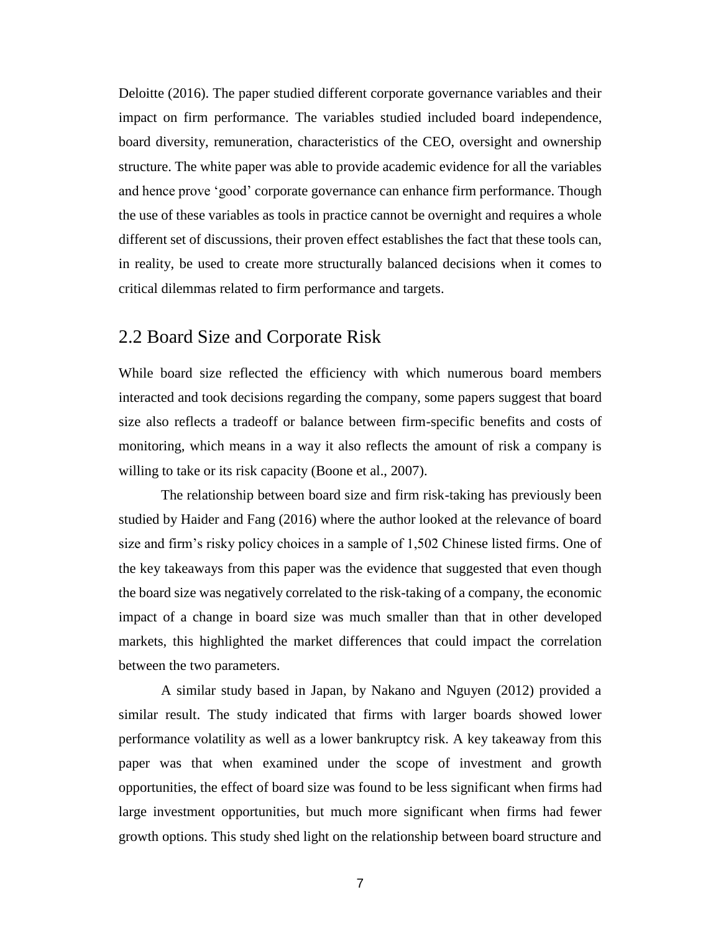Deloitte (2016). The paper studied different corporate governance variables and their impact on firm performance. The variables studied included board independence, board diversity, remuneration, characteristics of the CEO, oversight and ownership structure. The white paper was able to provide academic evidence for all the variables and hence prove 'good' corporate governance can enhance firm performance. Though the use of these variables as tools in practice cannot be overnight and requires a whole different set of discussions, their proven effect establishes the fact that these tools can, in reality, be used to create more structurally balanced decisions when it comes to critical dilemmas related to firm performance and targets.

### <span id="page-6-0"></span>2.2 Board Size and Corporate Risk

While board size reflected the efficiency with which numerous board members interacted and took decisions regarding the company, some papers suggest that board size also reflects a tradeoff or balance between firm-specific benefits and costs of monitoring, which means in a way it also reflects the amount of risk a company is willing to take or its risk capacity (Boone et al., 2007).

The relationship between board size and firm risk-taking has previously been studied by Haider and Fang (2016) where the author looked at the relevance of board size and firm's risky policy choices in a sample of 1,502 Chinese listed firms. One of the key takeaways from this paper was the evidence that suggested that even though the board size was negatively correlated to the risk-taking of a company, the economic impact of a change in board size was much smaller than that in other developed markets, this highlighted the market differences that could impact the correlation between the two parameters.

A similar study based in Japan, by Nakano and Nguyen (2012) provided a similar result. The study indicated that firms with larger boards showed lower performance volatility as well as a lower bankruptcy risk. A key takeaway from this paper was that when examined under the scope of investment and growth opportunities, the effect of board size was found to be less significant when firms had large investment opportunities, but much more significant when firms had fewer growth options. This study shed light on the relationship between board structure and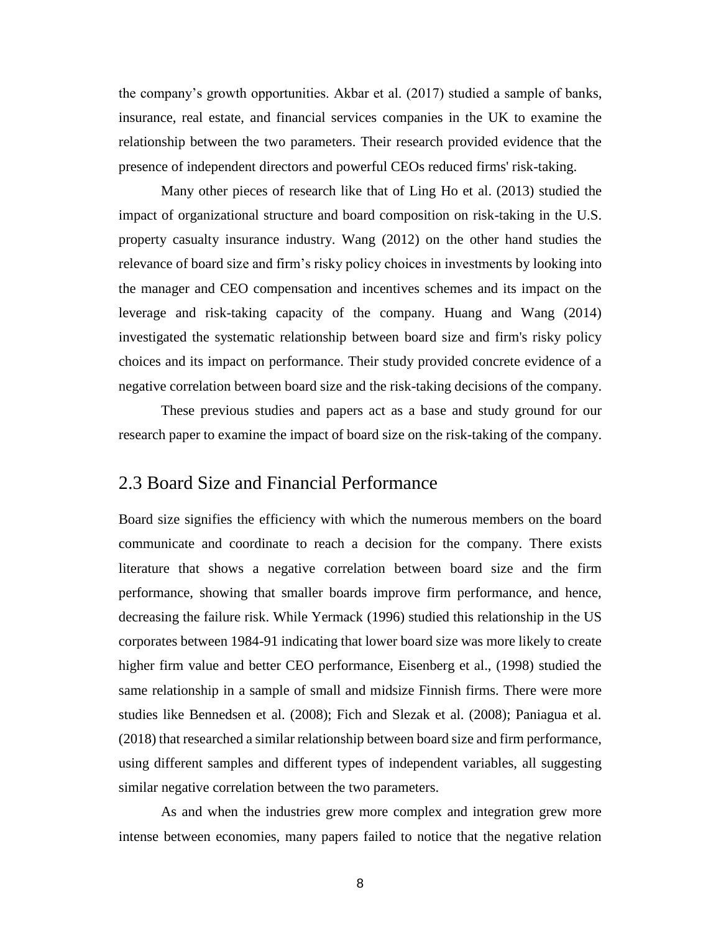the company's growth opportunities. Akbar et al. (2017) studied a sample of banks, insurance, real estate, and financial services companies in the UK to examine the relationship between the two parameters. Their research provided evidence that the presence of independent directors and powerful CEOs reduced firms' risk-taking.

Many other pieces of research like that of Ling Ho et al. (2013) studied the impact of organizational structure and board composition on risk-taking in the U.S. property casualty insurance industry. Wang (2012) on the other hand studies the relevance of board size and firm's risky policy choices in investments by looking into the manager and CEO compensation and incentives schemes and its impact on the leverage and risk-taking capacity of the company. Huang and Wang (2014) investigated the systematic relationship between board size and firm's risky policy choices and its impact on performance. Their study provided concrete evidence of a negative correlation between board size and the risk-taking decisions of the company.

These previous studies and papers act as a base and study ground for our research paper to examine the impact of board size on the risk-taking of the company.

### <span id="page-7-0"></span>2.3 Board Size and Financial Performance

Board size signifies the efficiency with which the numerous members on the board communicate and coordinate to reach a decision for the company. There exists literature that shows a negative correlation between board size and the firm performance, showing that smaller boards improve firm performance, and hence, decreasing the failure risk. While Yermack (1996) studied this relationship in the US corporates between 1984-91 indicating that lower board size was more likely to create higher firm value and better CEO performance, Eisenberg et al., (1998) studied the same relationship in a sample of small and midsize Finnish firms. There were more studies like Bennedsen et al. (2008); Fich and Slezak et al. (2008); Paniagua et al. (2018) that researched a similar relationship between board size and firm performance, using different samples and different types of independent variables, all suggesting similar negative correlation between the two parameters.

As and when the industries grew more complex and integration grew more intense between economies, many papers failed to notice that the negative relation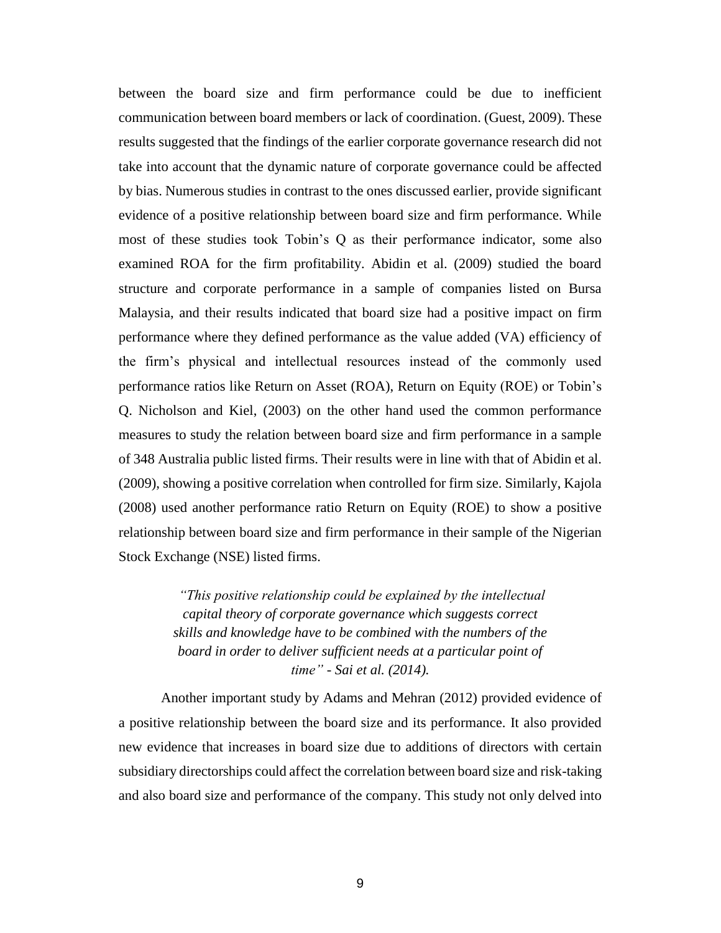between the board size and firm performance could be due to inefficient communication between board members or lack of coordination. (Guest, 2009). These results suggested that the findings of the earlier corporate governance research did not take into account that the dynamic nature of corporate governance could be affected by bias. Numerous studies in contrast to the ones discussed earlier, provide significant evidence of a positive relationship between board size and firm performance. While most of these studies took Tobin's Q as their performance indicator, some also examined ROA for the firm profitability. Abidin et al. (2009) studied the board structure and corporate performance in a sample of companies listed on Bursa Malaysia, and their results indicated that board size had a positive impact on firm performance where they defined performance as the value added (VA) efficiency of the firm's physical and intellectual resources instead of the commonly used performance ratios like Return on Asset (ROA), Return on Equity (ROE) or Tobin's Q. Nicholson and Kiel, (2003) on the other hand used the common performance measures to study the relation between board size and firm performance in a sample of 348 Australia public listed firms. Their results were in line with that of Abidin et al. (2009), showing a positive correlation when controlled for firm size. Similarly, Kajola (2008) used another performance ratio Return on Equity (ROE) to show a positive relationship between board size and firm performance in their sample of the Nigerian Stock Exchange (NSE) listed firms.

> *"This positive relationship could be explained by the intellectual capital theory of corporate governance which suggests correct skills and knowledge have to be combined with the numbers of the board in order to deliver sufficient needs at a particular point of time" - Sai et al. (2014).*

Another important study by Adams and Mehran (2012) provided evidence of a positive relationship between the board size and its performance. It also provided new evidence that increases in board size due to additions of directors with certain subsidiary directorships could affect the correlation between board size and risk-taking and also board size and performance of the company. This study not only delved into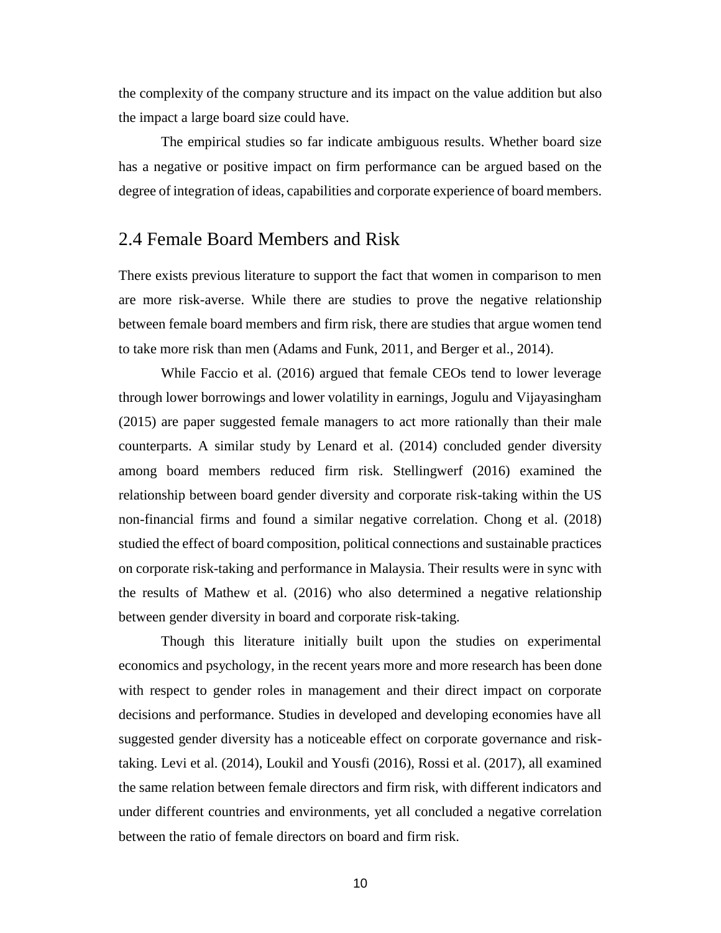the complexity of the company structure and its impact on the value addition but also the impact a large board size could have.

The empirical studies so far indicate ambiguous results. Whether board size has a negative or positive impact on firm performance can be argued based on the degree of integration of ideas, capabilities and corporate experience of board members.

### <span id="page-9-0"></span>2.4 Female Board Members and Risk

There exists previous literature to support the fact that women in comparison to men are more risk-averse. While there are studies to prove the negative relationship between female board members and firm risk, there are studies that argue women tend to take more risk than men (Adams and Funk, 2011, and Berger et al., 2014).

While Faccio et al. (2016) argued that female CEOs tend to lower leverage through lower borrowings and lower volatility in earnings, Jogulu and Vijayasingham (2015) are paper suggested female managers to act more rationally than their male counterparts. A similar study by Lenard et al. (2014) concluded gender diversity among board members reduced firm risk. Stellingwerf (2016) examined the relationship between board gender diversity and corporate risk-taking within the US non-financial firms and found a similar negative correlation. Chong et al. (2018) studied the effect of board composition, political connections and sustainable practices on corporate risk-taking and performance in Malaysia. Their results were in sync with the results of Mathew et al. (2016) who also determined a negative relationship between gender diversity in board and corporate risk-taking.

Though this literature initially built upon the studies on experimental economics and psychology, in the recent years more and more research has been done with respect to gender roles in management and their direct impact on corporate decisions and performance. Studies in developed and developing economies have all suggested gender diversity has a noticeable effect on corporate governance and risktaking. Levi et al. (2014), Loukil and Yousfi (2016), Rossi et al. (2017), all examined the same relation between female directors and firm risk, with different indicators and under different countries and environments, yet all concluded a negative correlation between the ratio of female directors on board and firm risk.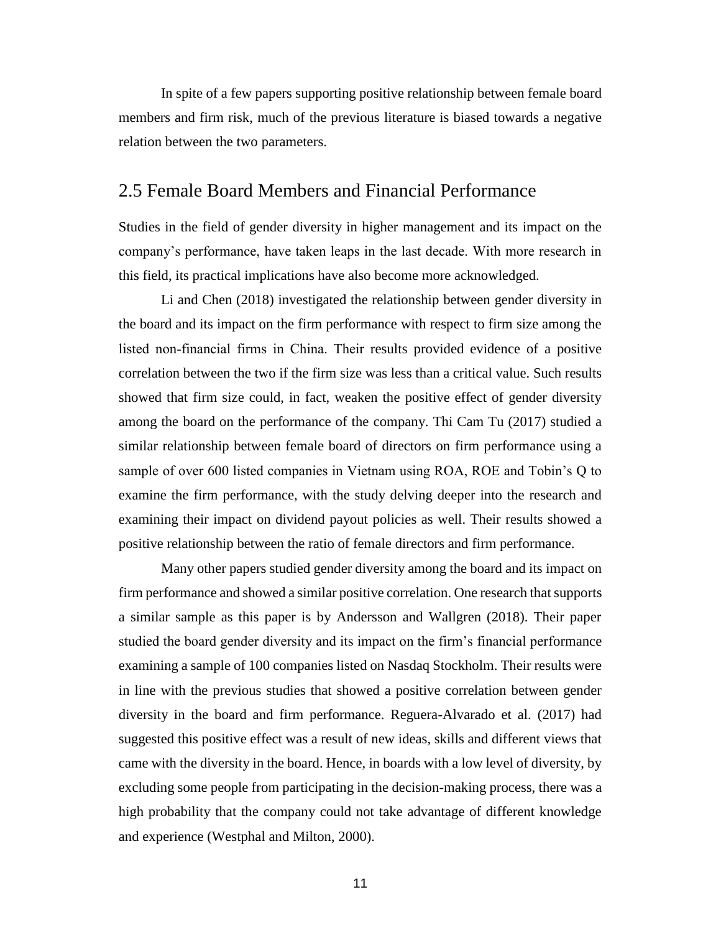In spite of a few papers supporting positive relationship between female board members and firm risk, much of the previous literature is biased towards a negative relation between the two parameters.

#### <span id="page-10-0"></span>2.5 Female Board Members and Financial Performance

Studies in the field of gender diversity in higher management and its impact on the company's performance, have taken leaps in the last decade. With more research in this field, its practical implications have also become more acknowledged.

Li and Chen (2018) investigated the relationship between gender diversity in the board and its impact on the firm performance with respect to firm size among the listed non‐financial firms in China. Their results provided evidence of a positive correlation between the two if the firm size was less than a critical value. Such results showed that firm size could, in fact, weaken the positive effect of gender diversity among the board on the performance of the company. Thi Cam Tu (2017) studied a similar relationship between female board of directors on firm performance using a sample of over 600 listed companies in Vietnam using ROA, ROE and Tobin's Q to examine the firm performance, with the study delving deeper into the research and examining their impact on dividend payout policies as well. Their results showed a positive relationship between the ratio of female directors and firm performance.

Many other papers studied gender diversity among the board and its impact on firm performance and showed a similar positive correlation. One research that supports a similar sample as this paper is by Andersson and Wallgren (2018). Their paper studied the board gender diversity and its impact on the firm's financial performance examining a sample of 100 companies listed on Nasdaq Stockholm. Their results were in line with the previous studies that showed a positive correlation between gender diversity in the board and firm performance. Reguera-Alvarado et al. (2017) had suggested this positive effect was a result of new ideas, skills and different views that came with the diversity in the board. Hence, in boards with a low level of diversity, by excluding some people from participating in the decision-making process, there was a high probability that the company could not take advantage of different knowledge and experience (Westphal and Milton, 2000).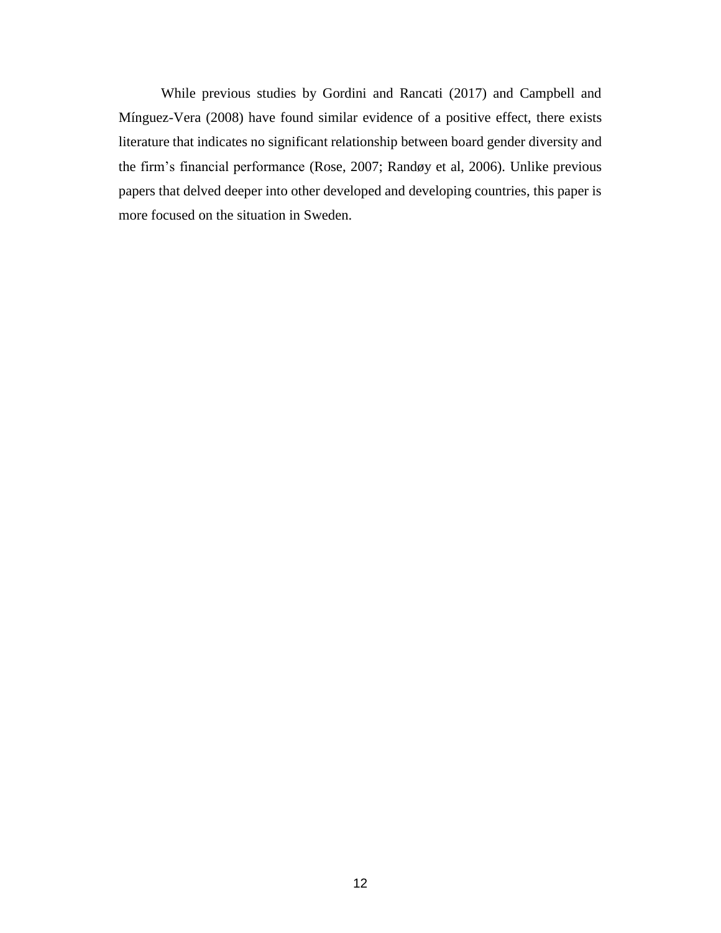While previous studies by Gordini and Rancati (2017) and Campbell and Mínguez-Vera (2008) have found similar evidence of a positive effect, there exists literature that indicates no significant relationship between board gender diversity and the firm's financial performance (Rose, 2007; Randøy et al, 2006). Unlike previous papers that delved deeper into other developed and developing countries, this paper is more focused on the situation in Sweden.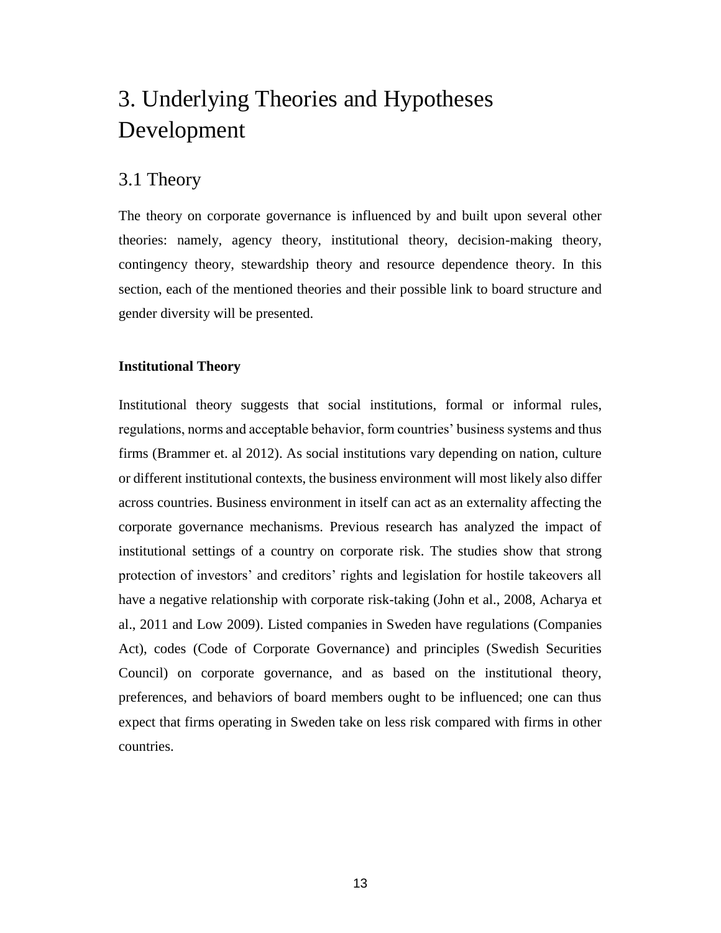# <span id="page-12-0"></span>3. Underlying Theories and Hypotheses Development

### <span id="page-12-1"></span>3.1 Theory

The theory on corporate governance is influenced by and built upon several other theories: namely, agency theory, institutional theory, decision-making theory, contingency theory, stewardship theory and resource dependence theory. In this section, each of the mentioned theories and their possible link to board structure and gender diversity will be presented.

#### **Institutional Theory**

Institutional theory suggests that social institutions, formal or informal rules, regulations, norms and acceptable behavior, form countries' business systems and thus firms (Brammer et. al 2012). As social institutions vary depending on nation, culture or different institutional contexts, the business environment will most likely also differ across countries. Business environment in itself can act as an externality affecting the corporate governance mechanisms. Previous research has analyzed the impact of institutional settings of a country on corporate risk. The studies show that strong protection of investors' and creditors' rights and legislation for hostile takeovers all have a negative relationship with corporate risk-taking (John et al., 2008, Acharya et al., 2011 and Low 2009). Listed companies in Sweden have regulations (Companies Act), codes (Code of Corporate Governance) and principles (Swedish Securities Council) on corporate governance, and as based on the institutional theory, preferences, and behaviors of board members ought to be influenced; one can thus expect that firms operating in Sweden take on less risk compared with firms in other countries.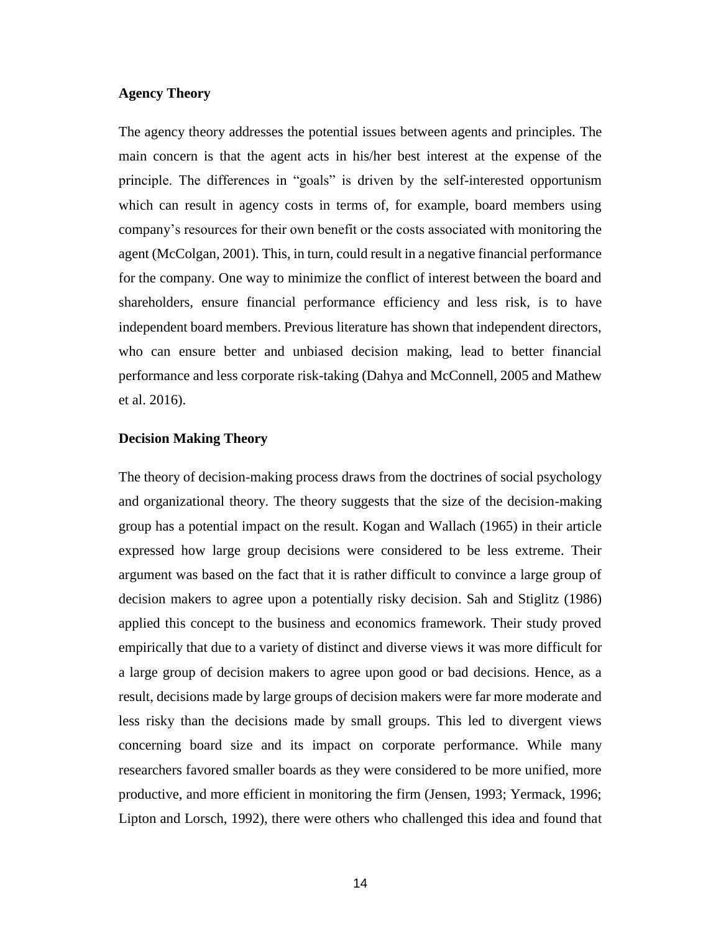#### **Agency Theory**

The agency theory addresses the potential issues between agents and principles. The main concern is that the agent acts in his/her best interest at the expense of the principle. The differences in "goals" is driven by the self-interested opportunism which can result in agency costs in terms of, for example, board members using company's resources for their own benefit or the costs associated with monitoring the agent (McColgan, 2001). This, in turn, could result in a negative financial performance for the company. One way to minimize the conflict of interest between the board and shareholders, ensure financial performance efficiency and less risk, is to have independent board members. Previous literature has shown that independent directors, who can ensure better and unbiased decision making, lead to better financial performance and less corporate risk-taking (Dahya and McConnell, 2005 and Mathew et al. 2016).

#### **Decision Making Theory**

The theory of decision-making process draws from the doctrines of social psychology and organizational theory. The theory suggests that the size of the decision-making group has a potential impact on the result. Kogan and Wallach (1965) in their article expressed how large group decisions were considered to be less extreme. Their argument was based on the fact that it is rather difficult to convince a large group of decision makers to agree upon a potentially risky decision. Sah and Stiglitz (1986) applied this concept to the business and economics framework. Their study proved empirically that due to a variety of distinct and diverse views it was more difficult for a large group of decision makers to agree upon good or bad decisions. Hence, as a result, decisions made by large groups of decision makers were far more moderate and less risky than the decisions made by small groups. This led to divergent views concerning board size and its impact on corporate performance. While many researchers favored smaller boards as they were considered to be more unified, more productive, and more efficient in monitoring the firm (Jensen, 1993; Yermack, 1996; Lipton and Lorsch, 1992), there were others who challenged this idea and found that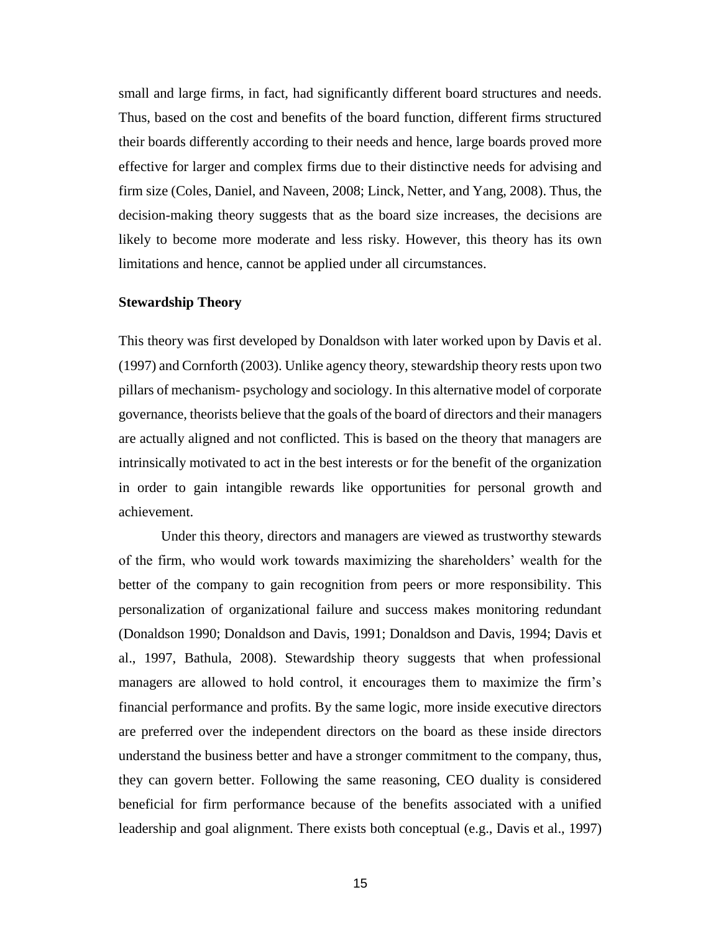small and large firms, in fact, had significantly different board structures and needs. Thus, based on the cost and benefits of the board function, different firms structured their boards differently according to their needs and hence, large boards proved more effective for larger and complex firms due to their distinctive needs for advising and firm size (Coles, Daniel, and Naveen, 2008; Linck, Netter, and Yang, 2008). Thus, the decision-making theory suggests that as the board size increases, the decisions are likely to become more moderate and less risky. However, this theory has its own limitations and hence, cannot be applied under all circumstances.

#### **Stewardship Theory**

This theory was first developed by Donaldson with later worked upon by Davis et al. (1997) and Cornforth (2003). Unlike agency theory, stewardship theory rests upon two pillars of mechanism- psychology and sociology. In this alternative model of corporate governance, theorists believe that the goals of the board of directors and their managers are actually aligned and not conflicted. This is based on the theory that managers are intrinsically motivated to act in the best interests or for the benefit of the organization in order to gain intangible rewards like opportunities for personal growth and achievement.

Under this theory, directors and managers are viewed as trustworthy stewards of the firm, who would work towards maximizing the shareholders' wealth for the better of the company to gain recognition from peers or more responsibility. This personalization of organizational failure and success makes monitoring redundant (Donaldson 1990; Donaldson and Davis, 1991; Donaldson and Davis, 1994; Davis et al., 1997, Bathula, 2008). Stewardship theory suggests that when professional managers are allowed to hold control, it encourages them to maximize the firm's financial performance and profits. By the same logic, more inside executive directors are preferred over the independent directors on the board as these inside directors understand the business better and have a stronger commitment to the company, thus, they can govern better. Following the same reasoning, CEO duality is considered beneficial for firm performance because of the benefits associated with a unified leadership and goal alignment. There exists both conceptual (e.g., Davis et al., 1997)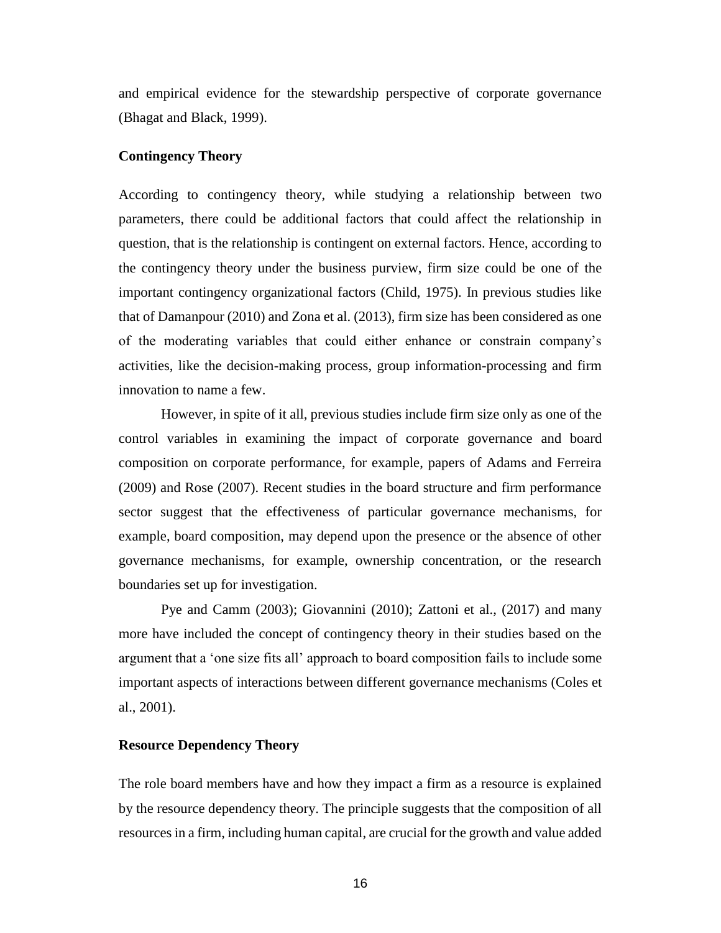and empirical evidence for the stewardship perspective of corporate governance (Bhagat and Black, 1999).

#### **Contingency Theory**

According to contingency theory, while studying a relationship between two parameters, there could be additional factors that could affect the relationship in question, that is the relationship is contingent on external factors. Hence, according to the contingency theory under the business purview, firm size could be one of the important contingency organizational factors (Child, 1975). In previous studies like that of Damanpour (2010) and Zona et al. (2013), firm size has been considered as one of the moderating variables that could either enhance or constrain company's activities, like the decision-making process, group information-processing and firm innovation to name a few.

However, in spite of it all, previous studies include firm size only as one of the control variables in examining the impact of corporate governance and board composition on corporate performance, for example, papers of Adams and Ferreira (2009) and Rose (2007). Recent studies in the board structure and firm performance sector suggest that the effectiveness of particular governance mechanisms, for example, board composition, may depend upon the presence or the absence of other governance mechanisms, for example, ownership concentration, or the research boundaries set up for investigation.

Pye and Camm (2003); Giovannini (2010); Zattoni et al., (2017) and many more have included the concept of contingency theory in their studies based on the argument that a 'one size fits all' approach to board composition fails to include some important aspects of interactions between different governance mechanisms (Coles et al., 2001).

#### **Resource Dependency Theory**

The role board members have and how they impact a firm as a resource is explained by the resource dependency theory. The principle suggests that the composition of all resources in a firm, including human capital, are crucial for the growth and value added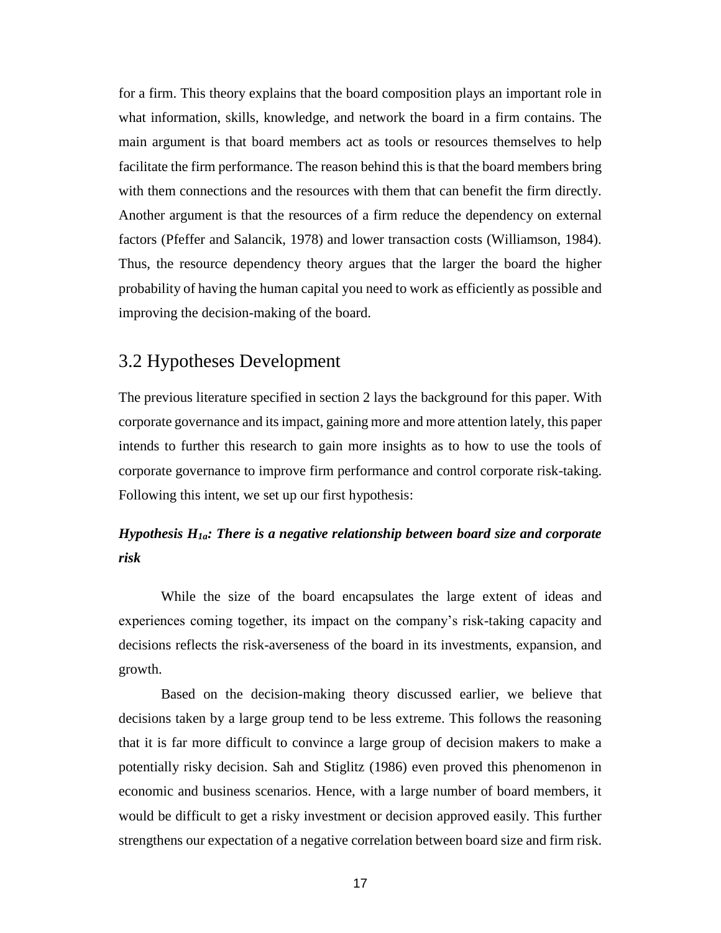for a firm. This theory explains that the board composition plays an important role in what information, skills, knowledge, and network the board in a firm contains. The main argument is that board members act as tools or resources themselves to help facilitate the firm performance. The reason behind this is that the board members bring with them connections and the resources with them that can benefit the firm directly. Another argument is that the resources of a firm reduce the dependency on external factors (Pfeffer and Salancik, 1978) and lower transaction costs (Williamson, 1984). Thus, the resource dependency theory argues that the larger the board the higher probability of having the human capital you need to work as efficiently as possible and improving the decision-making of the board.

### <span id="page-16-0"></span>3.2 Hypotheses Development

The previous literature specified in section 2 lays the background for this paper. With corporate governance and its impact, gaining more and more attention lately, this paper intends to further this research to gain more insights as to how to use the tools of corporate governance to improve firm performance and control corporate risk-taking. Following this intent, we set up our first hypothesis:

### *Hypothesis H1a: There is a negative relationship between board size and corporate risk*

While the size of the board encapsulates the large extent of ideas and experiences coming together, its impact on the company's risk-taking capacity and decisions reflects the risk-averseness of the board in its investments, expansion, and growth.

Based on the decision-making theory discussed earlier, we believe that decisions taken by a large group tend to be less extreme. This follows the reasoning that it is far more difficult to convince a large group of decision makers to make a potentially risky decision. Sah and Stiglitz (1986) even proved this phenomenon in economic and business scenarios. Hence, with a large number of board members, it would be difficult to get a risky investment or decision approved easily. This further strengthens our expectation of a negative correlation between board size and firm risk.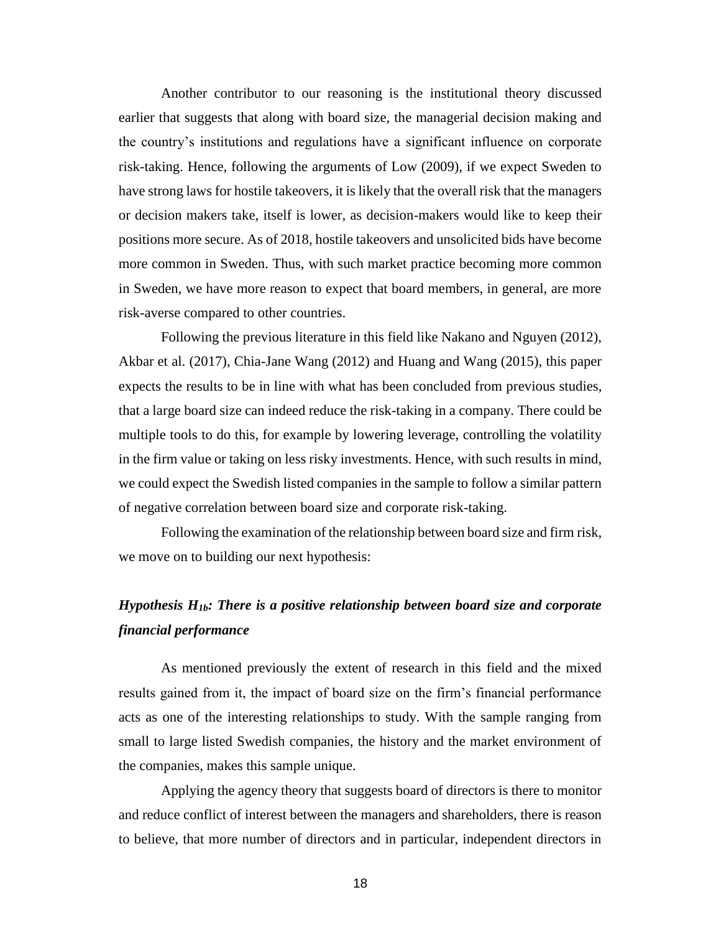Another contributor to our reasoning is the institutional theory discussed earlier that suggests that along with board size, the managerial decision making and the country's institutions and regulations have a significant influence on corporate risk-taking. Hence, following the arguments of Low (2009), if we expect Sweden to have strong laws for hostile takeovers, it is likely that the overall risk that the managers or decision makers take, itself is lower, as decision-makers would like to keep their positions more secure. As of 2018, hostile takeovers and unsolicited bids have become more common in Sweden. Thus, with such market practice becoming more common in Sweden, we have more reason to expect that board members, in general, are more risk-averse compared to other countries.

Following the previous literature in this field like Nakano and Nguyen (2012), Akbar et al. (2017), Chia-Jane Wang (2012) and Huang and Wang (2015), this paper expects the results to be in line with what has been concluded from previous studies, that a large board size can indeed reduce the risk-taking in a company. There could be multiple tools to do this, for example by lowering leverage, controlling the volatility in the firm value or taking on less risky investments. Hence, with such results in mind, we could expect the Swedish listed companies in the sample to follow a similar pattern of negative correlation between board size and corporate risk-taking.

Following the examination of the relationship between board size and firm risk, we move on to building our next hypothesis:

### *Hypothesis H1b: There is a positive relationship between board size and corporate financial performance*

As mentioned previously the extent of research in this field and the mixed results gained from it, the impact of board size on the firm's financial performance acts as one of the interesting relationships to study. With the sample ranging from small to large listed Swedish companies, the history and the market environment of the companies, makes this sample unique.

Applying the agency theory that suggests board of directors is there to monitor and reduce conflict of interest between the managers and shareholders, there is reason to believe, that more number of directors and in particular, independent directors in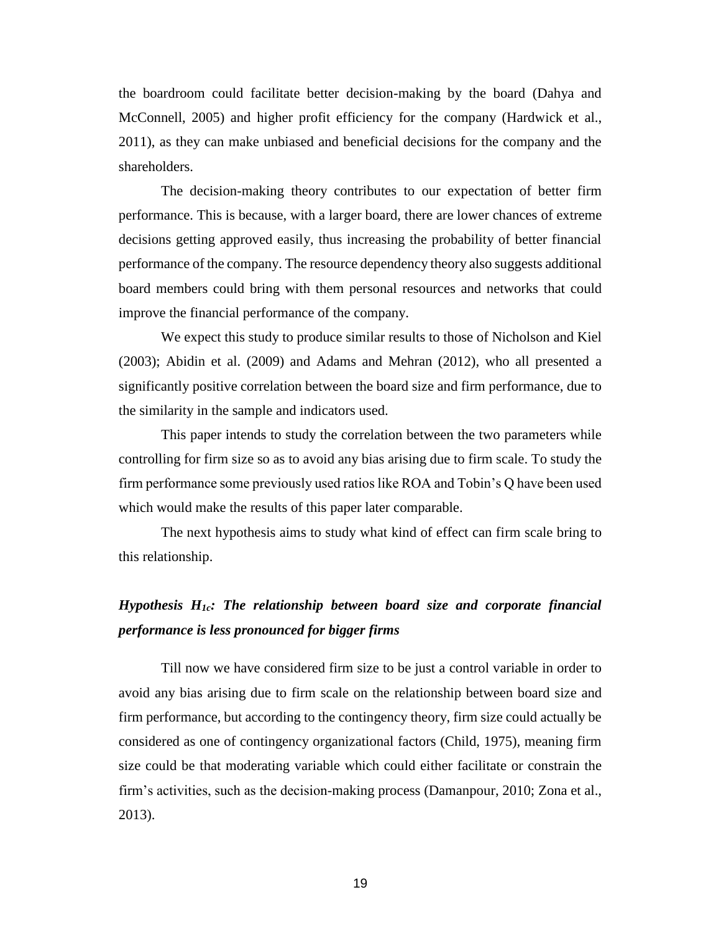the boardroom could facilitate better decision-making by the board (Dahya and McConnell, 2005) and higher profit efficiency for the company (Hardwick et al., 2011), as they can make unbiased and beneficial decisions for the company and the shareholders.

The decision-making theory contributes to our expectation of better firm performance. This is because, with a larger board, there are lower chances of extreme decisions getting approved easily, thus increasing the probability of better financial performance of the company. The resource dependency theory also suggests additional board members could bring with them personal resources and networks that could improve the financial performance of the company.

We expect this study to produce similar results to those of Nicholson and Kiel (2003); Abidin et al. (2009) and Adams and Mehran (2012), who all presented a significantly positive correlation between the board size and firm performance, due to the similarity in the sample and indicators used.

This paper intends to study the correlation between the two parameters while controlling for firm size so as to avoid any bias arising due to firm scale. To study the firm performance some previously used ratios like ROA and Tobin's Q have been used which would make the results of this paper later comparable.

The next hypothesis aims to study what kind of effect can firm scale bring to this relationship.

### *Hypothesis H1c: The relationship between board size and corporate financial performance is less pronounced for bigger firms*

Till now we have considered firm size to be just a control variable in order to avoid any bias arising due to firm scale on the relationship between board size and firm performance, but according to the contingency theory, firm size could actually be considered as one of contingency organizational factors (Child, 1975), meaning firm size could be that moderating variable which could either facilitate or constrain the firm's activities, such as the decision-making process (Damanpour, 2010; Zona et al., 2013).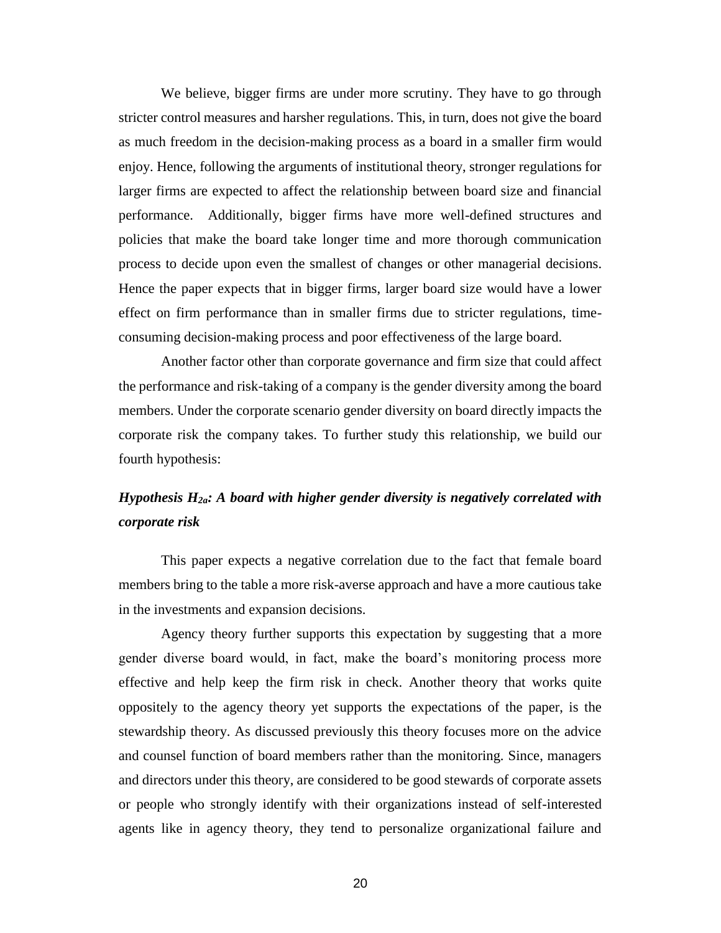We believe, bigger firms are under more scrutiny. They have to go through stricter control measures and harsher regulations. This, in turn, does not give the board as much freedom in the decision-making process as a board in a smaller firm would enjoy. Hence, following the arguments of institutional theory, stronger regulations for larger firms are expected to affect the relationship between board size and financial performance. Additionally, bigger firms have more well-defined structures and policies that make the board take longer time and more thorough communication process to decide upon even the smallest of changes or other managerial decisions. Hence the paper expects that in bigger firms, larger board size would have a lower effect on firm performance than in smaller firms due to stricter regulations, timeconsuming decision-making process and poor effectiveness of the large board.

Another factor other than corporate governance and firm size that could affect the performance and risk-taking of a company is the gender diversity among the board members. Under the corporate scenario gender diversity on board directly impacts the corporate risk the company takes. To further study this relationship, we build our fourth hypothesis:

### *Hypothesis H2a: A board with higher gender diversity is negatively correlated with corporate risk*

This paper expects a negative correlation due to the fact that female board members bring to the table a more risk-averse approach and have a more cautious take in the investments and expansion decisions.

Agency theory further supports this expectation by suggesting that a more gender diverse board would, in fact, make the board's monitoring process more effective and help keep the firm risk in check. Another theory that works quite oppositely to the agency theory yet supports the expectations of the paper, is the stewardship theory. As discussed previously this theory focuses more on the advice and counsel function of board members rather than the monitoring. Since, managers and directors under this theory, are considered to be good stewards of corporate assets or people who strongly identify with their organizations instead of self-interested agents like in agency theory, they tend to personalize organizational failure and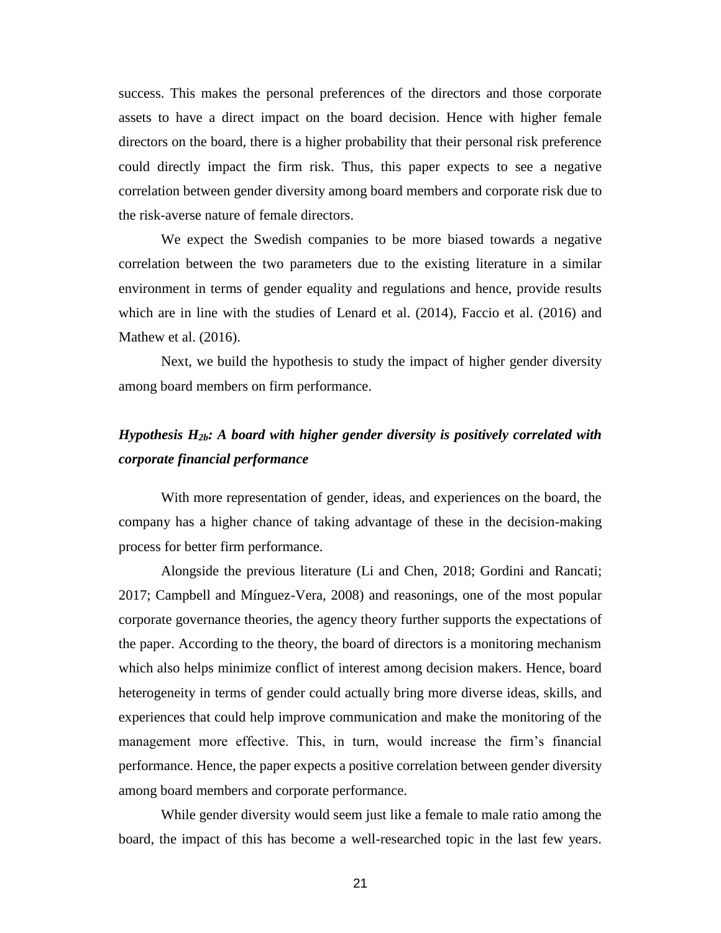success. This makes the personal preferences of the directors and those corporate assets to have a direct impact on the board decision. Hence with higher female directors on the board, there is a higher probability that their personal risk preference could directly impact the firm risk. Thus, this paper expects to see a negative correlation between gender diversity among board members and corporate risk due to the risk-averse nature of female directors.

We expect the Swedish companies to be more biased towards a negative correlation between the two parameters due to the existing literature in a similar environment in terms of gender equality and regulations and hence, provide results which are in line with the studies of Lenard et al. (2014), Faccio et al. (2016) and Mathew et al. (2016).

Next, we build the hypothesis to study the impact of higher gender diversity among board members on firm performance.

### *Hypothesis H2b: A board with higher gender diversity is positively correlated with corporate financial performance*

With more representation of gender, ideas, and experiences on the board, the company has a higher chance of taking advantage of these in the decision-making process for better firm performance.

Alongside the previous literature (Li and Chen, 2018; Gordini and Rancati; 2017; Campbell and Mínguez-Vera, 2008) and reasonings, one of the most popular corporate governance theories, the agency theory further supports the expectations of the paper. According to the theory, the board of directors is a monitoring mechanism which also helps minimize conflict of interest among decision makers. Hence, board heterogeneity in terms of gender could actually bring more diverse ideas, skills, and experiences that could help improve communication and make the monitoring of the management more effective. This, in turn, would increase the firm's financial performance. Hence, the paper expects a positive correlation between gender diversity among board members and corporate performance.

While gender diversity would seem just like a female to male ratio among the board, the impact of this has become a well-researched topic in the last few years.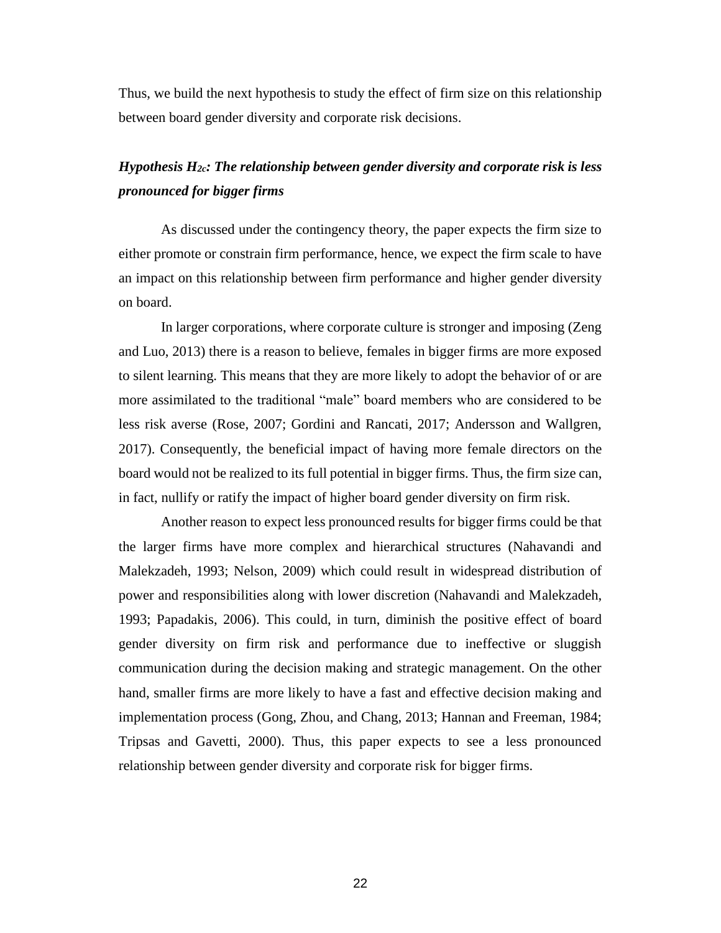Thus, we build the next hypothesis to study the effect of firm size on this relationship between board gender diversity and corporate risk decisions.

### *Hypothesis H2c: The relationship between gender diversity and corporate risk is less pronounced for bigger firms*

As discussed under the contingency theory, the paper expects the firm size to either promote or constrain firm performance, hence, we expect the firm scale to have an impact on this relationship between firm performance and higher gender diversity on board.

In larger corporations, where corporate culture is stronger and imposing (Zeng and Luo, 2013) there is a reason to believe, females in bigger firms are more exposed to silent learning. This means that they are more likely to adopt the behavior of or are more assimilated to the traditional "male" board members who are considered to be less risk averse (Rose, 2007; Gordini and Rancati, 2017; Andersson and Wallgren, 2017). Consequently, the beneficial impact of having more female directors on the board would not be realized to its full potential in bigger firms. Thus, the firm size can, in fact, nullify or ratify the impact of higher board gender diversity on firm risk.

Another reason to expect less pronounced results for bigger firms could be that the larger firms have more complex and hierarchical structures (Nahavandi and Malekzadeh, 1993; Nelson, 2009) which could result in widespread distribution of power and responsibilities along with lower discretion (Nahavandi and Malekzadeh, 1993; Papadakis, 2006). This could, in turn, diminish the positive effect of board gender diversity on firm risk and performance due to ineffective or sluggish communication during the decision making and strategic management. On the other hand, smaller firms are more likely to have a fast and effective decision making and implementation process (Gong, Zhou, and Chang, 2013; Hannan and Freeman, 1984; Tripsas and Gavetti, 2000). Thus, this paper expects to see a less pronounced relationship between gender diversity and corporate risk for bigger firms.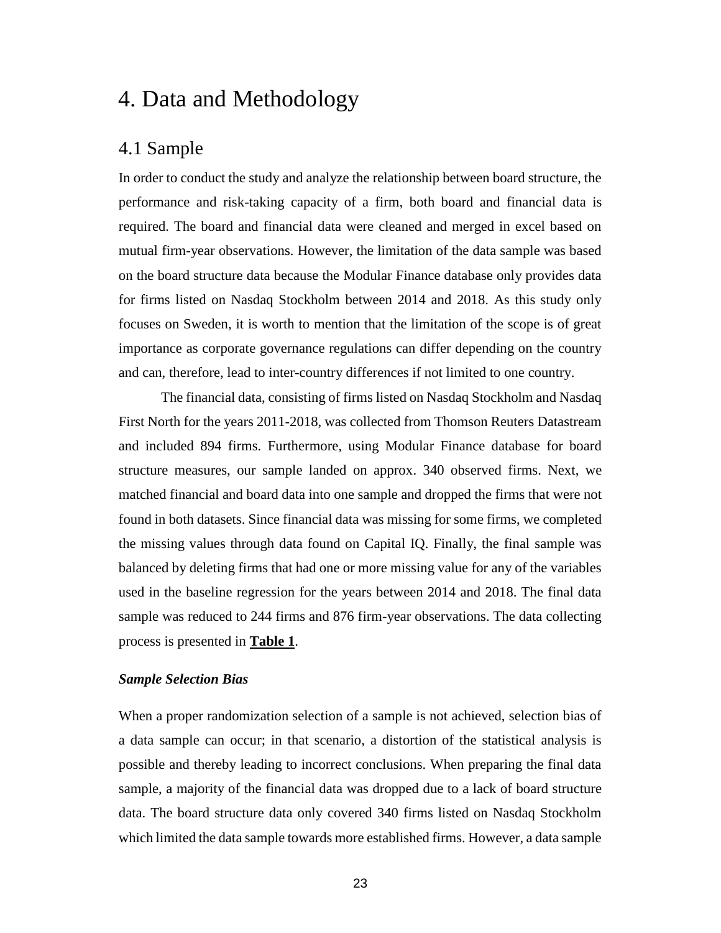# <span id="page-22-0"></span>4. Data and Methodology

### <span id="page-22-1"></span>4.1 Sample

In order to conduct the study and analyze the relationship between board structure, the performance and risk-taking capacity of a firm, both board and financial data is required. The board and financial data were cleaned and merged in excel based on mutual firm-year observations. However, the limitation of the data sample was based on the board structure data because the Modular Finance database only provides data for firms listed on Nasdaq Stockholm between 2014 and 2018. As this study only focuses on Sweden, it is worth to mention that the limitation of the scope is of great importance as corporate governance regulations can differ depending on the country and can, therefore, lead to inter-country differences if not limited to one country.

The financial data, consisting of firms listed on Nasdaq Stockholm and Nasdaq First North for the years 2011-2018, was collected from Thomson Reuters Datastream and included 894 firms. Furthermore, using Modular Finance database for board structure measures, our sample landed on approx. 340 observed firms. Next, we matched financial and board data into one sample and dropped the firms that were not found in both datasets. Since financial data was missing for some firms, we completed the missing values through data found on Capital IQ. Finally, the final sample was balanced by deleting firms that had one or more missing value for any of the variables used in the baseline regression for the years between 2014 and 2018. The final data sample was reduced to 244 firms and 876 firm-year observations. The data collecting process is presented in **[Table 1](#page-38-0)**.

#### *Sample Selection Bias*

When a proper randomization selection of a sample is not achieved, selection bias of a data sample can occur; in that scenario, a distortion of the statistical analysis is possible and thereby leading to incorrect conclusions. When preparing the final data sample, a majority of the financial data was dropped due to a lack of board structure data. The board structure data only covered 340 firms listed on Nasdaq Stockholm which limited the data sample towards more established firms. However, a data sample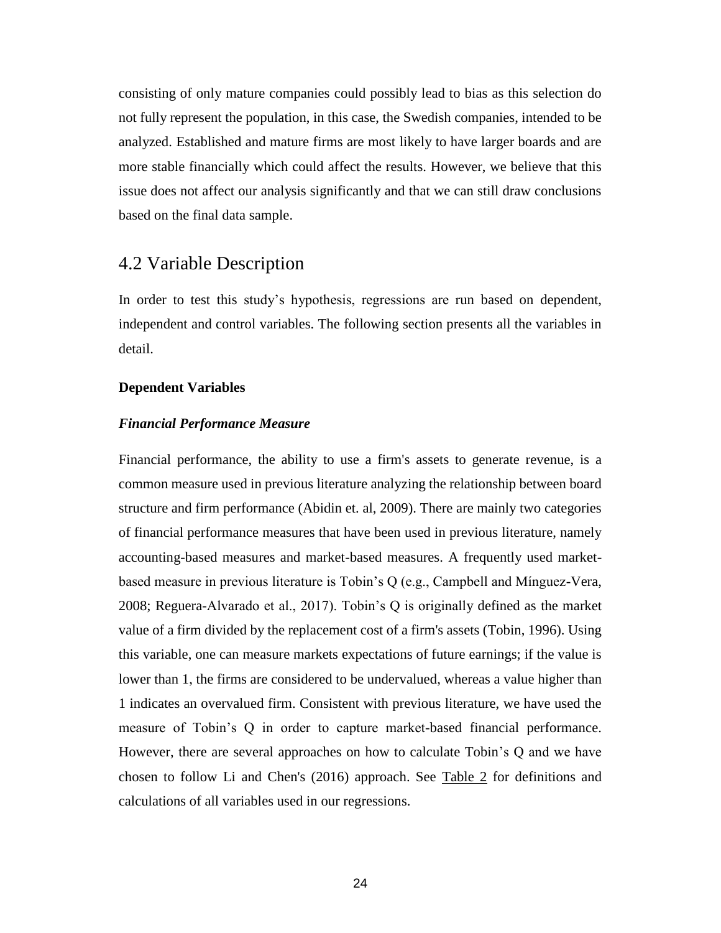consisting of only mature companies could possibly lead to bias as this selection do not fully represent the population, in this case, the Swedish companies, intended to be analyzed. Established and mature firms are most likely to have larger boards and are more stable financially which could affect the results. However, we believe that this issue does not affect our analysis significantly and that we can still draw conclusions based on the final data sample.

### <span id="page-23-0"></span>4.2 Variable Description

In order to test this study's hypothesis, regressions are run based on dependent, independent and control variables. The following section presents all the variables in detail.

#### **Dependent Variables**

#### *Financial Performance Measure*

Financial performance, the ability to use a firm's assets to generate revenue, is a common measure used in previous literature analyzing the relationship between board structure and firm performance (Abidin et. al, 2009). There are mainly two categories of financial performance measures that have been used in previous literature, namely accounting-based measures and market-based measures. A frequently used marketbased measure in previous literature is Tobin's Q (e.g., Campbell and Mínguez-Vera, 2008; Reguera-Alvarado et al., 2017). Tobin's Q is originally defined as the market value of a firm divided by the replacement cost of a firm's assets (Tobin, 1996). Using this variable, one can measure markets expectations of future earnings; if the value is lower than 1, the firms are considered to be undervalued, whereas a value higher than 1 indicates an overvalued firm. Consistent with previous literature, we have used the measure of Tobin's Q in order to capture market-based financial performance. However, there are several approaches on how to calculate Tobin's Q and we have chosen to follow Li and Chen's (2016) approach. See [Table 2](#page-38-0) for definitions and calculations of all variables used in our regressions.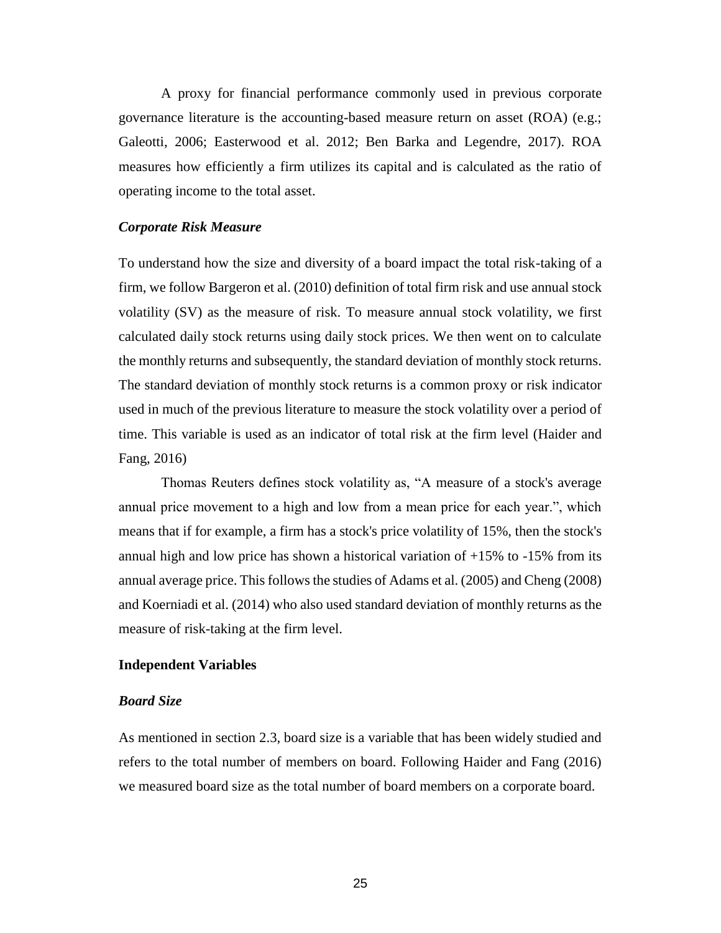A proxy for financial performance commonly used in previous corporate governance literature is the accounting-based measure return on asset (ROA) (e.g.; Galeotti, 2006; Easterwood et al. 2012; Ben Barka and Legendre, 2017). ROA measures how efficiently a firm utilizes its capital and is calculated as the ratio of operating income to the total asset.

#### *Corporate Risk Measure*

To understand how the size and diversity of a board impact the total risk-taking of a firm, we follow Bargeron et al. (2010) definition of total firm risk and use annual stock volatility (SV) as the measure of risk. To measure annual stock volatility, we first calculated daily stock returns using daily stock prices. We then went on to calculate the monthly returns and subsequently, the standard deviation of monthly stock returns. The standard deviation of monthly stock returns is a common proxy or risk indicator used in much of the previous literature to measure the stock volatility over a period of time. This variable is used as an indicator of total risk at the firm level (Haider and Fang, 2016)

Thomas Reuters defines stock volatility as, "A measure of a stock's average annual price movement to a high and low from a mean price for each year.", which means that if for example, a firm has a stock's price volatility of 15%, then the stock's annual high and low price has shown a historical variation of  $+15\%$  to  $-15\%$  from its annual average price. This follows the studies of Adams et al. (2005) and Cheng (2008) and Koerniadi et al. (2014) who also used standard deviation of monthly returns as the measure of risk-taking at the firm level.

#### **Independent Variables**

#### *Board Size*

As mentioned in section 2.3, board size is a variable that has been widely studied and refers to the total number of members on board. Following Haider and Fang (2016) we measured board size as the total number of board members on a corporate board.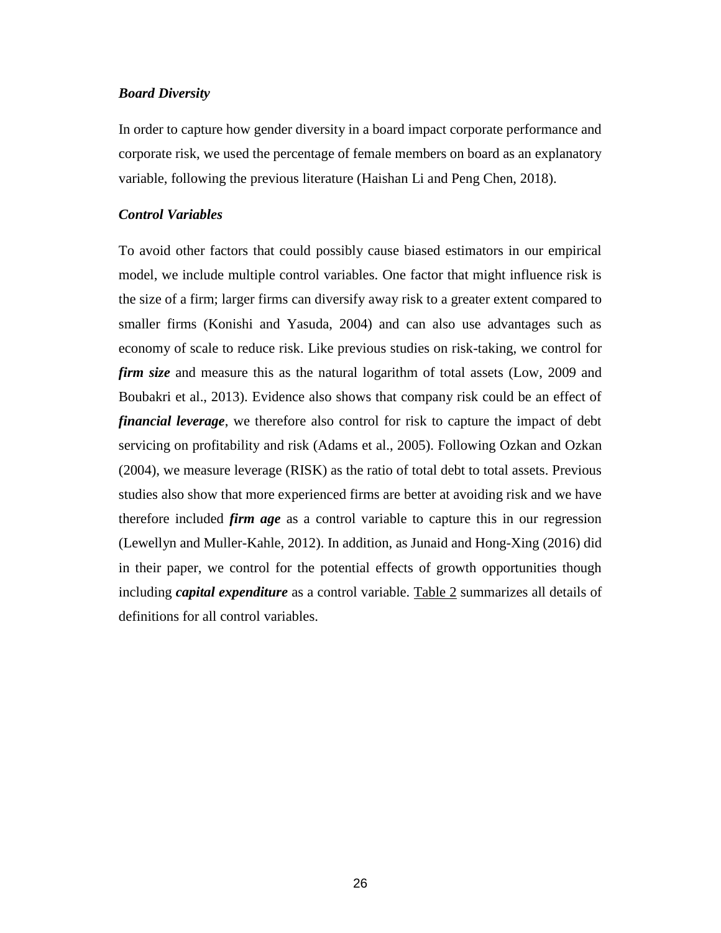#### *Board Diversity*

In order to capture how gender diversity in a board impact corporate performance and corporate risk, we used the percentage of female members on board as an explanatory variable, following the previous literature (Haishan Li and Peng Chen, 2018).

#### *Control Variables*

To avoid other factors that could possibly cause biased estimators in our empirical model, we include multiple control variables. One factor that might influence risk is the size of a firm; larger firms can diversify away risk to a greater extent compared to smaller firms (Konishi and Yasuda, 2004) and can also use advantages such as economy of scale to reduce risk. Like previous studies on risk-taking, we control for *firm size* and measure this as the natural logarithm of total assets (Low, 2009 and Boubakri et al., 2013). Evidence also shows that company risk could be an effect of *financial leverage*, we therefore also control for risk to capture the impact of debt servicing on profitability and risk (Adams et al., 2005). Following Ozkan and Ozkan (2004), we measure leverage (RISK) as the ratio of total debt to total assets. Previous studies also show that more experienced firms are better at avoiding risk and we have therefore included *firm age* as a control variable to capture this in our regression (Lewellyn and Muller-Kahle, 2012). In addition, as Junaid and Hong-Xing (2016) did in their paper, we control for the potential effects of growth opportunities though including *capital expenditure* as a control variable. [Table 2](#page-38-0) summarizes all details of definitions for all control variables.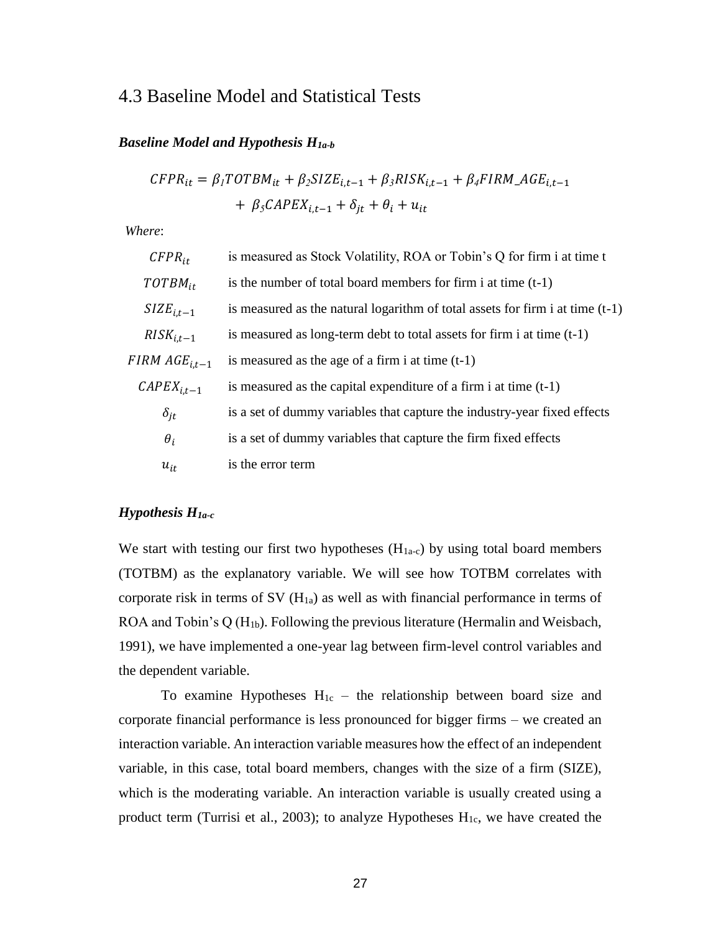### <span id="page-26-0"></span>4.3 Baseline Model and Statistical Tests

#### *Baseline Model and Hypothesis H1a-b*

$$
CFPR_{it} = \beta_I TOTBM_{it} + \beta_2 SIZE_{i,t-1} + \beta_3 RISK_{i,t-1} + \beta_4 FIRM_AGE_{i,t-1}
$$

$$
+ \beta_5 CAPEX_{i,t-1} + \delta_{jt} + \theta_i + u_{it}
$$

*Where*:

| $CFPR_{it}$               | is measured as Stock Volatility, ROA or Tobin's Q for firm i at time t          |
|---------------------------|---------------------------------------------------------------------------------|
| $TOTBM_{it}$              | is the number of total board members for firm i at time $(t-1)$                 |
| $SIZE_{i,t-1}$            | is measured as the natural logarithm of total assets for firm i at time $(t-1)$ |
| $RISK_{i,t-1}$            | is measured as long-term debt to total assets for firm i at time $(t-1)$        |
| FIRM AGE <sub>i.t–1</sub> | is measured as the age of a firm i at time $(t-1)$                              |
| $\mathcal{C}APEX_{i,t-1}$ | is measured as the capital expenditure of a firm i at time $(t-1)$              |
| $\delta_{it}$             | is a set of dummy variables that capture the industry-year fixed effects        |
| $\theta_i$                | is a set of dummy variables that capture the firm fixed effects                 |
| $u_{it}$                  | is the error term                                                               |

#### *Hypothesis H1a-c*

We start with testing our first two hypotheses  $(H<sub>1a-c</sub>)$  by using total board members (TOTBM) as the explanatory variable. We will see how TOTBM correlates with corporate risk in terms of SV  $(H_{1a})$  as well as with financial performance in terms of ROA and Tobin's Q (H1b). Following the previous literature (Hermalin and Weisbach, 1991), we have implemented a one-year lag between firm-level control variables and the dependent variable.

To examine Hypotheses  $H_{1c}$  – the relationship between board size and corporate financial performance is less pronounced for bigger firms – we created an interaction variable. An interaction variable measures how the effect of an independent variable, in this case, total board members, changes with the size of a firm (SIZE), which is the moderating variable. An interaction variable is usually created using a product term (Turrisi et al., 2003); to analyze Hypotheses  $H_{1c}$ , we have created the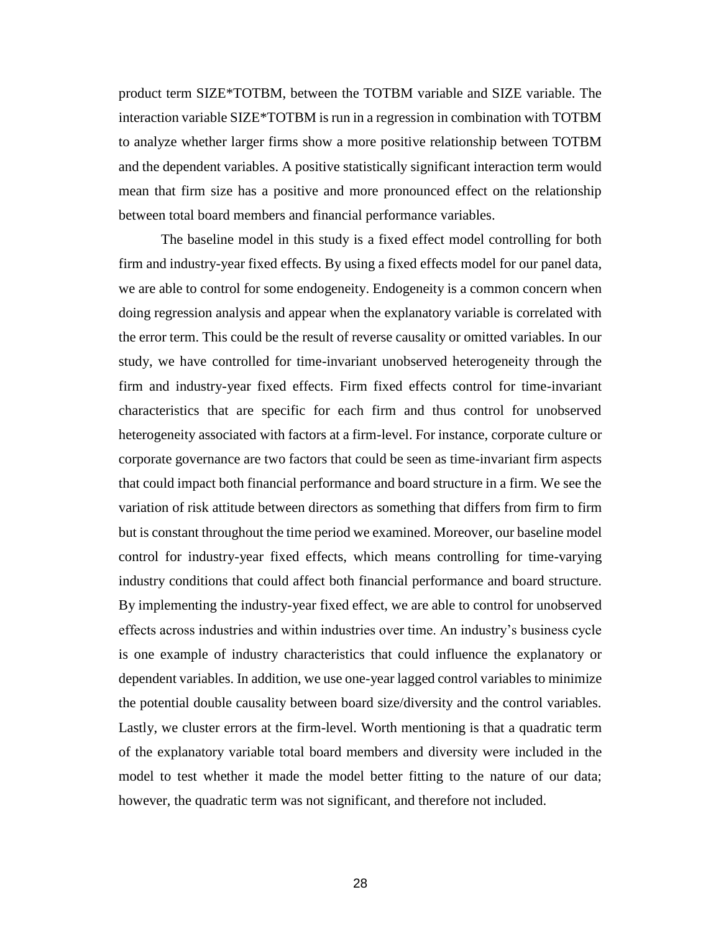product term SIZE\*TOTBM, between the TOTBM variable and SIZE variable. The interaction variable SIZE\*TOTBM is run in a regression in combination with TOTBM to analyze whether larger firms show a more positive relationship between TOTBM and the dependent variables. A positive statistically significant interaction term would mean that firm size has a positive and more pronounced effect on the relationship between total board members and financial performance variables.

The baseline model in this study is a fixed effect model controlling for both firm and industry-year fixed effects. By using a fixed effects model for our panel data, we are able to control for some endogeneity. Endogeneity is a common concern when doing regression analysis and appear when the explanatory variable is correlated with the error term. This could be the result of reverse causality or omitted variables. In our study, we have controlled for time-invariant unobserved heterogeneity through the firm and industry-year fixed effects. Firm fixed effects control for time-invariant characteristics that are specific for each firm and thus control for unobserved heterogeneity associated with factors at a firm-level. For instance, corporate culture or corporate governance are two factors that could be seen as time-invariant firm aspects that could impact both financial performance and board structure in a firm. We see the variation of risk attitude between directors as something that differs from firm to firm but is constant throughout the time period we examined. Moreover, our baseline model control for industry-year fixed effects, which means controlling for time-varying industry conditions that could affect both financial performance and board structure. By implementing the industry-year fixed effect, we are able to control for unobserved effects across industries and within industries over time. An industry's business cycle is one example of industry characteristics that could influence the explanatory or dependent variables. In addition, we use one-year lagged control variables to minimize the potential double causality between board size/diversity and the control variables. Lastly, we cluster errors at the firm-level. Worth mentioning is that a quadratic term of the explanatory variable total board members and diversity were included in the model to test whether it made the model better fitting to the nature of our data; however, the quadratic term was not significant, and therefore not included.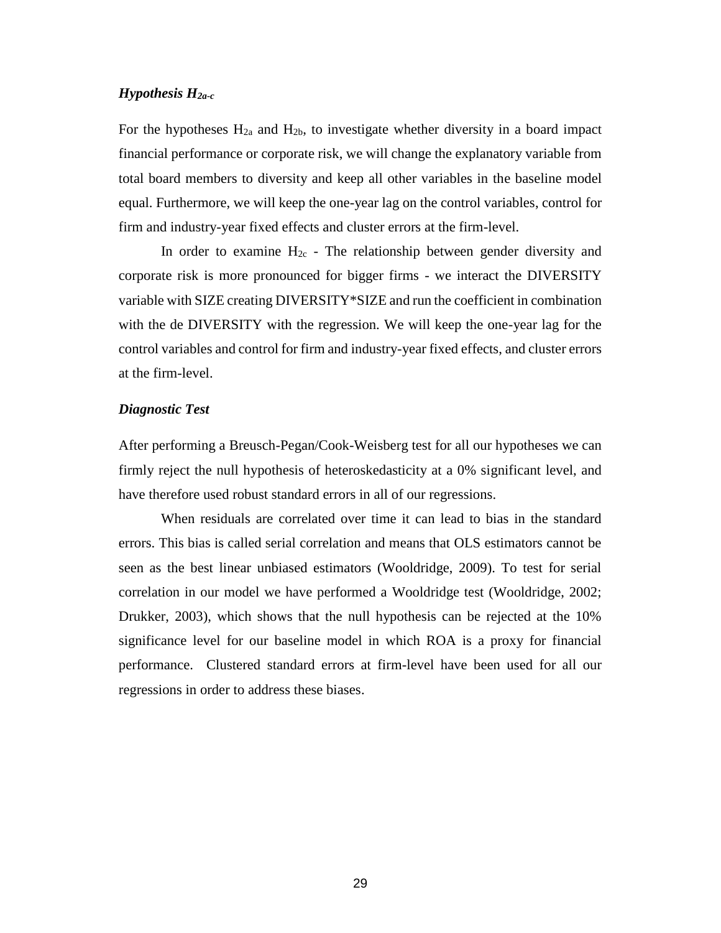#### *Hypothesis H2a-c*

For the hypotheses  $H_{2a}$  and  $H_{2b}$ , to investigate whether diversity in a board impact financial performance or corporate risk, we will change the explanatory variable from total board members to diversity and keep all other variables in the baseline model equal. Furthermore, we will keep the one-year lag on the control variables, control for firm and industry-year fixed effects and cluster errors at the firm-level.

In order to examine  $H_{2c}$  - The relationship between gender diversity and corporate risk is more pronounced for bigger firms - we interact the DIVERSITY variable with SIZE creating DIVERSITY\*SIZE and run the coefficient in combination with the de DIVERSITY with the regression. We will keep the one-year lag for the control variables and control for firm and industry-year fixed effects, and cluster errors at the firm-level.

#### *Diagnostic Test*

After performing a Breusch-Pegan/Cook-Weisberg test for all our hypotheses we can firmly reject the null hypothesis of heteroskedasticity at a 0% significant level, and have therefore used robust standard errors in all of our regressions.

When residuals are correlated over time it can lead to bias in the standard errors. This bias is called serial correlation and means that OLS estimators cannot be seen as the best linear unbiased estimators (Wooldridge, 2009). To test for serial correlation in our model we have performed a Wooldridge test (Wooldridge, 2002; Drukker, 2003), which shows that the null hypothesis can be rejected at the 10% significance level for our baseline model in which ROA is a proxy for financial performance. Clustered standard errors at firm-level have been used for all our regressions in order to address these biases.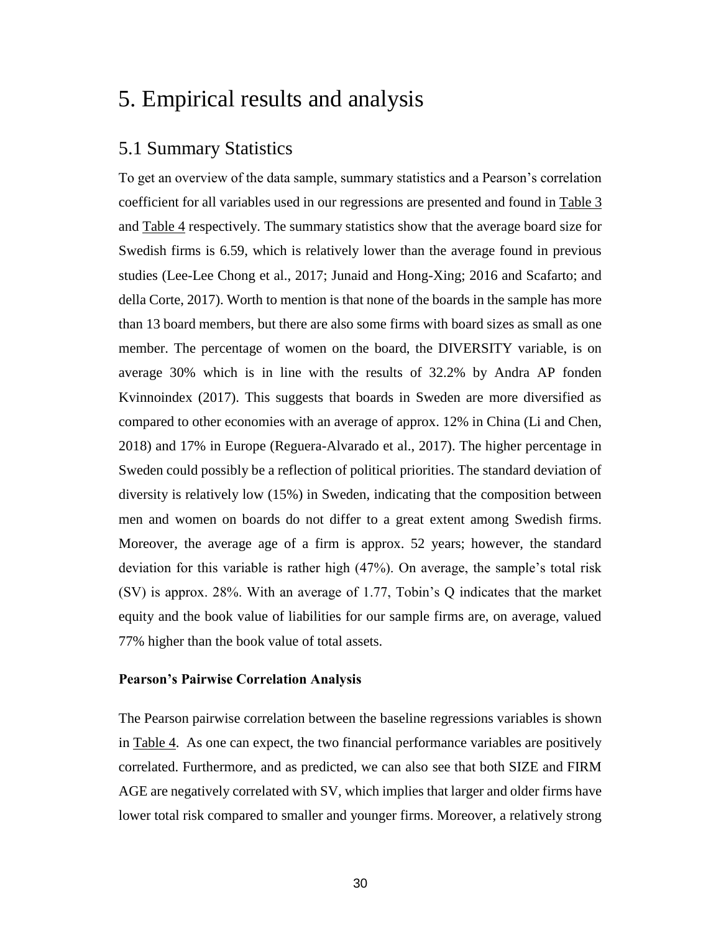## <span id="page-29-0"></span>5. Empirical results and analysis

### <span id="page-29-1"></span>5.1 Summary Statistics

To get an overview of the data sample, summary statistics and a Pearson's correlation coefficient for all variables used in our regressions are presented and found in [Table 3](#page-38-0) and [Table 4](#page-38-0) respectively. The summary statistics show that the average board size for Swedish firms is 6.59, which is relatively lower than the average found in previous studies (Lee-Lee Chong et al., 2017; Junaid and Hong-Xing; 2016 and Scafarto; and della Corte, 2017). Worth to mention is that none of the boards in the sample has more than 13 board members, but there are also some firms with board sizes as small as one member. The percentage of women on the board, the DIVERSITY variable, is on average 30% which is in line with the results of 32.2% by Andra AP fonden Kvinnoindex (2017). This suggests that boards in Sweden are more diversified as compared to other economies with an average of approx. 12% in China (Li and Chen, 2018) and 17% in Europe (Reguera-Alvarado et al., 2017). The higher percentage in Sweden could possibly be a reflection of political priorities. The standard deviation of diversity is relatively low (15%) in Sweden, indicating that the composition between men and women on boards do not differ to a great extent among Swedish firms. Moreover, the average age of a firm is approx. 52 years; however, the standard deviation for this variable is rather high (47%). On average, the sample's total risk (SV) is approx. 28%. With an average of 1.77, Tobin's Q indicates that the market equity and the book value of liabilities for our sample firms are, on average, valued 77% higher than the book value of total assets.

#### **Pearson's Pairwise Correlation Analysis**

The Pearson pairwise correlation between the baseline regressions variables is shown in [Table 4.](#page-38-0) As one can expect, the two financial performance variables are positively correlated. Furthermore, and as predicted, we can also see that both SIZE and FIRM AGE are negatively correlated with SV, which implies that larger and older firms have lower total risk compared to smaller and younger firms. Moreover, a relatively strong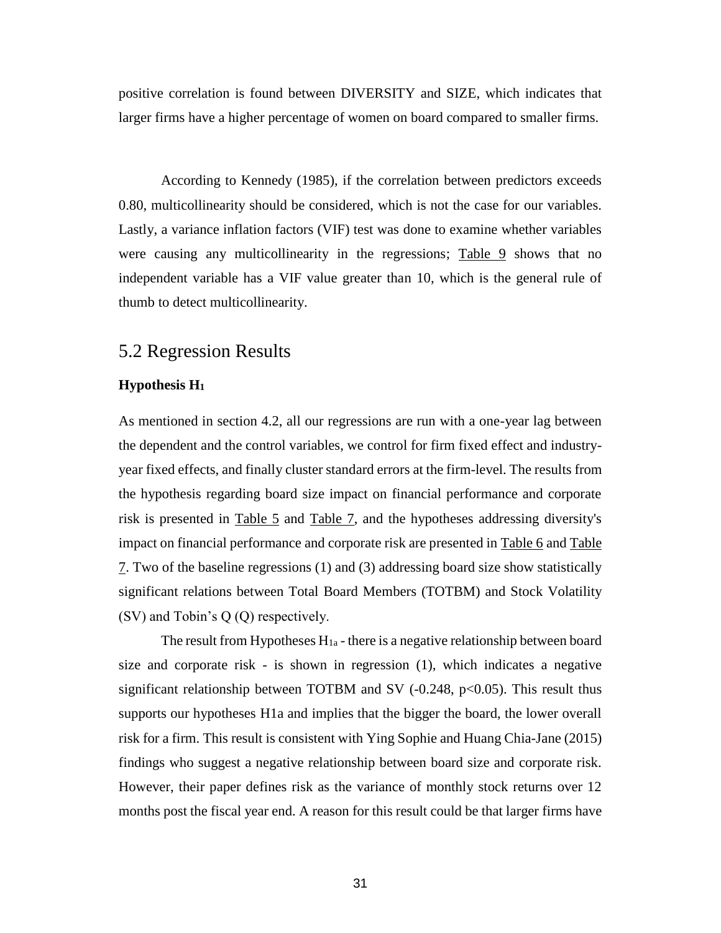positive correlation is found between DIVERSITY and SIZE, which indicates that larger firms have a higher percentage of women on board compared to smaller firms.

According to Kennedy (1985), if the correlation between predictors exceeds 0.80, multicollinearity should be considered, which is not the case for our variables. Lastly, a variance inflation factors (VIF) test was done to examine whether variables were causing any multicollinearity in the regressions; [Table 9](#page-38-0) shows that no independent variable has a VIF value greater than 10, which is the general rule of thumb to detect multicollinearity.

### <span id="page-30-0"></span>5.2 Regression Results

#### **Hypothesis H<sup>1</sup>**

As mentioned in section 4.2, all our regressions are run with a one-year lag between the dependent and the control variables, we control for firm fixed effect and industryyear fixed effects, and finally cluster standard errors at the firm-level. The results from the hypothesis regarding board size impact on financial performance and corporate risk is presented in [Table 5](#page-38-0) and [Table 7,](#page-38-0) and the hypotheses addressing diversity's impact on financial performance and corporate risk are presented in [Table 6](#page-38-0) and [Table](#page-38-0)  [7.](#page-38-0) Two of the baseline regressions (1) and (3) addressing board size show statistically significant relations between Total Board Members (TOTBM) and Stock Volatility (SV) and Tobin's Q (Q) respectively.

The result from Hypotheses  $H_{1a}$  - there is a negative relationship between board size and corporate risk - is shown in regression (1), which indicates a negative significant relationship between TOTBM and SV  $(-0.248, p<0.05)$ . This result thus supports our hypotheses H1a and implies that the bigger the board, the lower overall risk for a firm. This result is consistent with Ying Sophie and Huang Chia-Jane (2015) findings who suggest a negative relationship between board size and corporate risk. However, their paper defines risk as the variance of monthly stock returns over 12 months post the fiscal year end. A reason for this result could be that larger firms have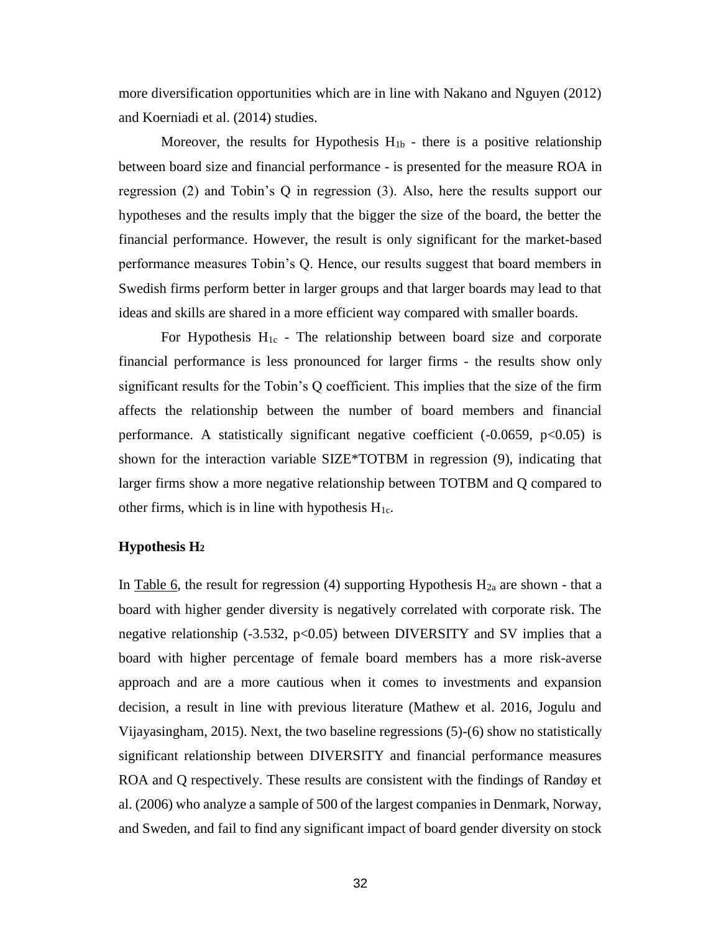more diversification opportunities which are in line with Nakano and Nguyen (2012) and Koerniadi et al. (2014) studies.

Moreover, the results for Hypothesis  $H_{1b}$  - there is a positive relationship between board size and financial performance - is presented for the measure ROA in regression (2) and Tobin's Q in regression (3). Also, here the results support our hypotheses and the results imply that the bigger the size of the board, the better the financial performance. However, the result is only significant for the market-based performance measures Tobin's Q. Hence, our results suggest that board members in Swedish firms perform better in larger groups and that larger boards may lead to that ideas and skills are shared in a more efficient way compared with smaller boards.

For Hypothesis  $H_{1c}$  - The relationship between board size and corporate financial performance is less pronounced for larger firms - the results show only significant results for the Tobin's Q coefficient. This implies that the size of the firm affects the relationship between the number of board members and financial performance. A statistically significant negative coefficient  $(-0.0659, p<0.05)$  is shown for the interaction variable SIZE\*TOTBM in regression (9), indicating that larger firms show a more negative relationship between TOTBM and Q compared to other firms, which is in line with hypothesis  $H_{1c}$ .

#### **Hypothesis H<sup>2</sup>**

In [Table 6,](#page-38-0) the result for regression (4) supporting Hypothesis  $H_{2a}$  are shown - that a board with higher gender diversity is negatively correlated with corporate risk. The negative relationship  $(-3.532, p<0.05)$  between DIVERSITY and SV implies that a board with higher percentage of female board members has a more risk-averse approach and are a more cautious when it comes to investments and expansion decision, a result in line with previous literature (Mathew et al. 2016, Jogulu and Vijayasingham, 2015). Next, the two baseline regressions (5)-(6) show no statistically significant relationship between DIVERSITY and financial performance measures ROA and Q respectively. These results are consistent with the findings of Randøy et al. (2006) who analyze a sample of 500 of the largest companies in Denmark, Norway, and Sweden, and fail to find any significant impact of board gender diversity on stock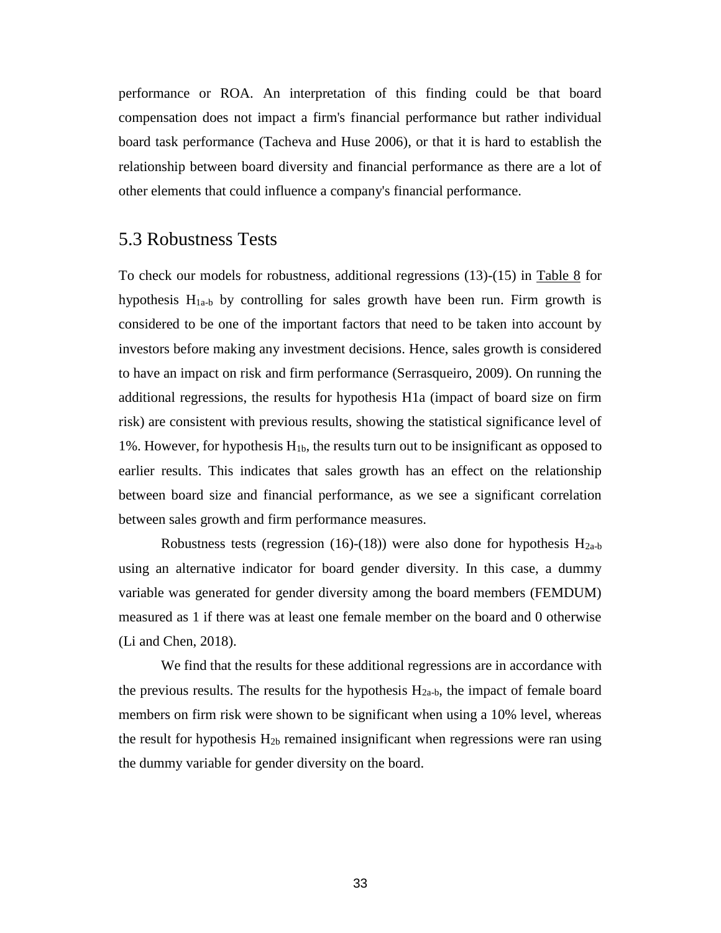performance or ROA. An interpretation of this finding could be that board compensation does not impact a firm's financial performance but rather individual board task performance (Tacheva and Huse 2006), or that it is hard to establish the relationship between board diversity and financial performance as there are a lot of other elements that could influence a company's financial performance.

#### <span id="page-32-0"></span>5.3 Robustness Tests

To check our models for robustness, additional regressions (13)-(15) in [Table 8](#page-38-0) for hypothesis  $H_{1a-b}$  by controlling for sales growth have been run. Firm growth is considered to be one of the important factors that need to be taken into account by investors before making any investment decisions. Hence, sales growth is considered to have an impact on risk and firm performance (Serrasqueiro, 2009). On running the additional regressions, the results for hypothesis H1a (impact of board size on firm risk) are consistent with previous results, showing the statistical significance level of 1%. However, for hypothesis  $H_{1b}$ , the results turn out to be insignificant as opposed to earlier results. This indicates that sales growth has an effect on the relationship between board size and financial performance, as we see a significant correlation between sales growth and firm performance measures.

Robustness tests (regression (16)-(18)) were also done for hypothesis  $H<sub>2a-b</sub>$ using an alternative indicator for board gender diversity. In this case, a dummy variable was generated for gender diversity among the board members (FEMDUM) measured as 1 if there was at least one female member on the board and 0 otherwise (Li and Chen, 2018).

We find that the results for these additional regressions are in accordance with the previous results. The results for the hypothesis  $H<sub>2a-b</sub>$ , the impact of female board members on firm risk were shown to be significant when using a 10% level, whereas the result for hypothesis  $H_{2b}$  remained insignificant when regressions were ran using the dummy variable for gender diversity on the board.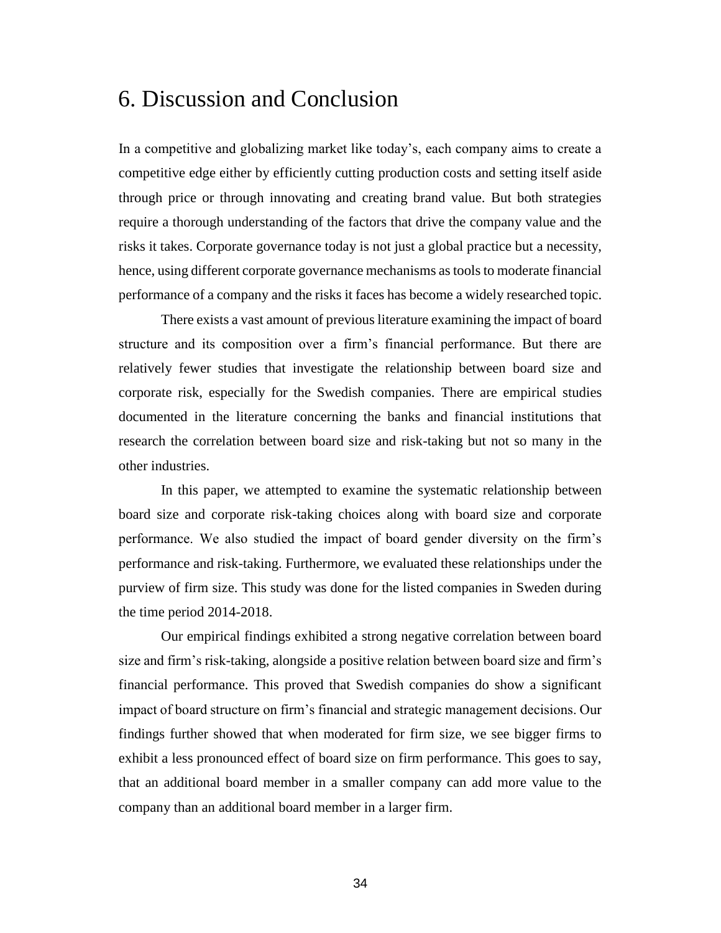## <span id="page-33-0"></span>6. Discussion and Conclusion

In a competitive and globalizing market like today's, each company aims to create a competitive edge either by efficiently cutting production costs and setting itself aside through price or through innovating and creating brand value. But both strategies require a thorough understanding of the factors that drive the company value and the risks it takes. Corporate governance today is not just a global practice but a necessity, hence, using different corporate governance mechanisms as tools to moderate financial performance of a company and the risks it faces has become a widely researched topic.

There exists a vast amount of previous literature examining the impact of board structure and its composition over a firm's financial performance. But there are relatively fewer studies that investigate the relationship between board size and corporate risk, especially for the Swedish companies. There are empirical studies documented in the literature concerning the banks and financial institutions that research the correlation between board size and risk-taking but not so many in the other industries.

In this paper, we attempted to examine the systematic relationship between board size and corporate risk-taking choices along with board size and corporate performance. We also studied the impact of board gender diversity on the firm's performance and risk-taking. Furthermore, we evaluated these relationships under the purview of firm size. This study was done for the listed companies in Sweden during the time period 2014-2018.

Our empirical findings exhibited a strong negative correlation between board size and firm's risk-taking, alongside a positive relation between board size and firm's financial performance. This proved that Swedish companies do show a significant impact of board structure on firm's financial and strategic management decisions. Our findings further showed that when moderated for firm size, we see bigger firms to exhibit a less pronounced effect of board size on firm performance. This goes to say, that an additional board member in a smaller company can add more value to the company than an additional board member in a larger firm.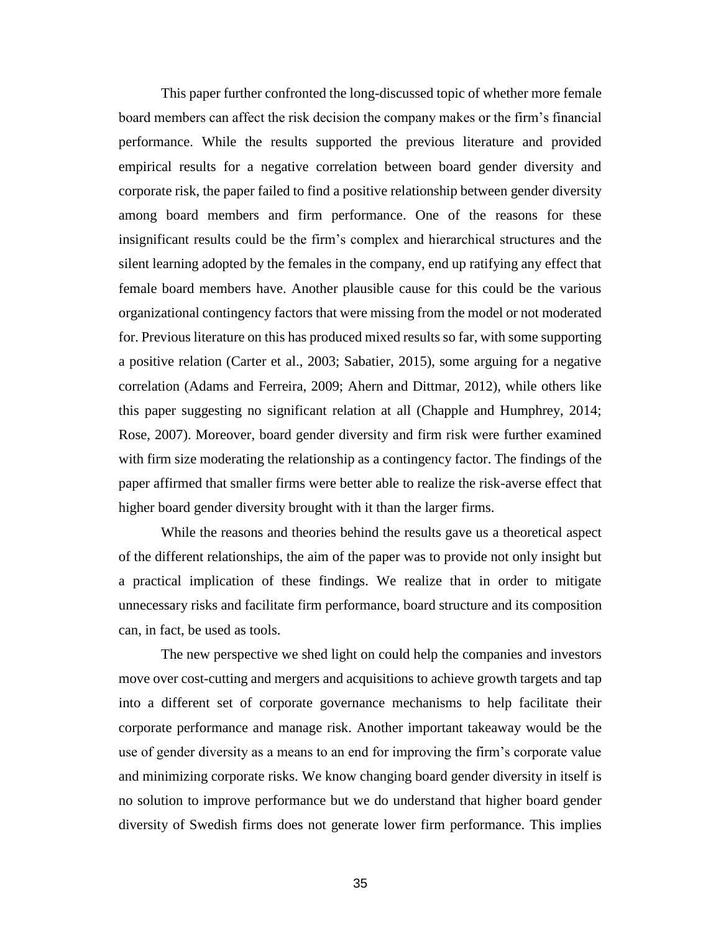This paper further confronted the long-discussed topic of whether more female board members can affect the risk decision the company makes or the firm's financial performance. While the results supported the previous literature and provided empirical results for a negative correlation between board gender diversity and corporate risk, the paper failed to find a positive relationship between gender diversity among board members and firm performance. One of the reasons for these insignificant results could be the firm's complex and hierarchical structures and the silent learning adopted by the females in the company, end up ratifying any effect that female board members have. Another plausible cause for this could be the various organizational contingency factors that were missing from the model or not moderated for. Previous literature on this has produced mixed results so far, with some supporting a positive relation (Carter et al., 2003; Sabatier, 2015), some arguing for a negative correlation (Adams and Ferreira, 2009; Ahern and Dittmar, 2012), while others like this paper suggesting no significant relation at all (Chapple and Humphrey, 2014; Rose, 2007). Moreover, board gender diversity and firm risk were further examined with firm size moderating the relationship as a contingency factor. The findings of the paper affirmed that smaller firms were better able to realize the risk-averse effect that higher board gender diversity brought with it than the larger firms.

While the reasons and theories behind the results gave us a theoretical aspect of the different relationships, the aim of the paper was to provide not only insight but a practical implication of these findings. We realize that in order to mitigate unnecessary risks and facilitate firm performance, board structure and its composition can, in fact, be used as tools.

The new perspective we shed light on could help the companies and investors move over cost-cutting and mergers and acquisitions to achieve growth targets and tap into a different set of corporate governance mechanisms to help facilitate their corporate performance and manage risk. Another important takeaway would be the use of gender diversity as a means to an end for improving the firm's corporate value and minimizing corporate risks. We know changing board gender diversity in itself is no solution to improve performance but we do understand that higher board gender diversity of Swedish firms does not generate lower firm performance. This implies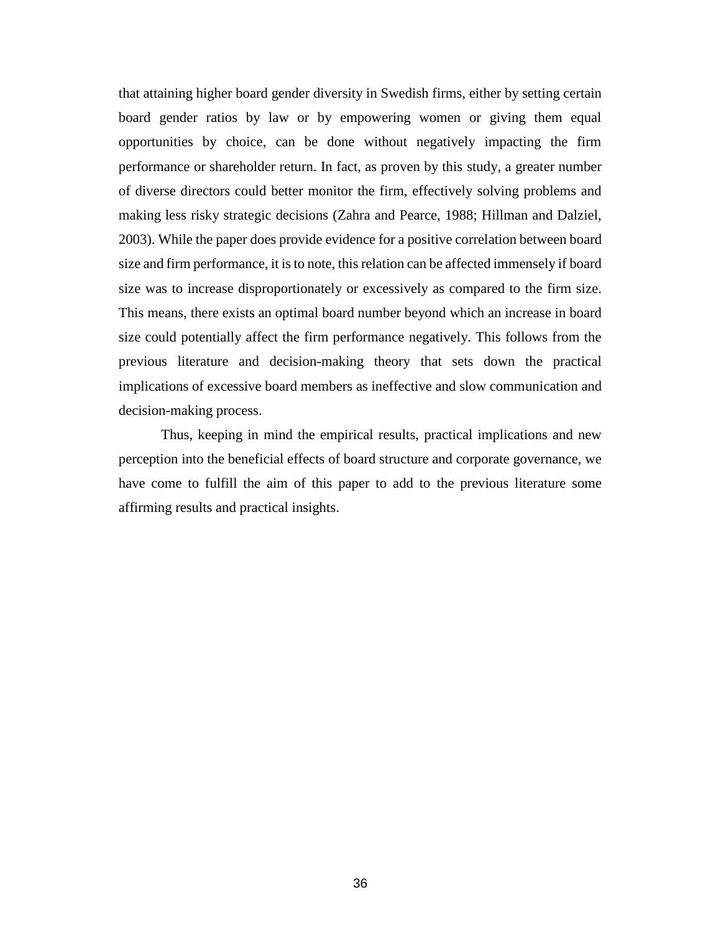that attaining higher board gender diversity in Swedish firms, either by setting certain board gender ratios by law or by empowering women or giving them equal opportunities by choice, can be done without negatively impacting the firm performance or shareholder return. In fact, as proven by this study, a greater number of diverse directors could better monitor the firm, effectively solving problems and making less risky strategic decisions (Zahra and Pearce, 1988; Hillman and Dalziel, 2003). While the paper does provide evidence for a positive correlation between board size and firm performance, it is to note, this relation can be affected immensely if board size was to increase disproportionately or excessively as compared to the firm size. This means, there exists an optimal board number beyond which an increase in board size could potentially affect the firm performance negatively. This follows from the previous literature and decision-making theory that sets down the practical implications of excessive board members as ineffective and slow communication and decision-making process.

Thus, keeping in mind the empirical results, practical implications and new perception into the beneficial effects of board structure and corporate governance, we have come to fulfill the aim of this paper to add to the previous literature some affirming results and practical insights.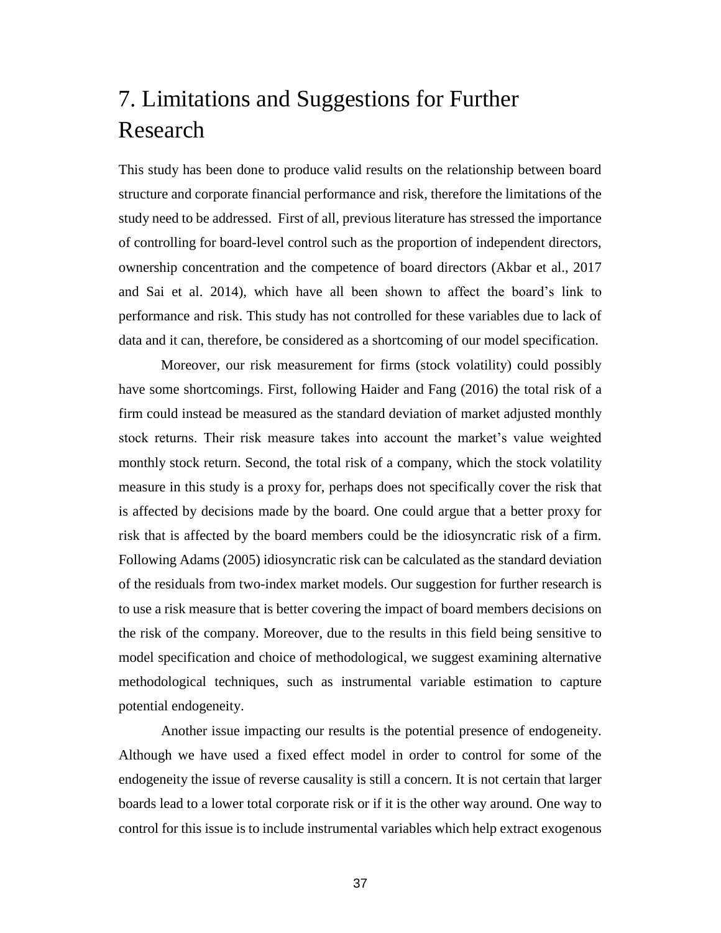# <span id="page-36-0"></span>7. Limitations and Suggestions for Further Research

This study has been done to produce valid results on the relationship between board structure and corporate financial performance and risk, therefore the limitations of the study need to be addressed. First of all, previous literature has stressed the importance of controlling for board-level control such as the proportion of independent directors, ownership concentration and the competence of board directors (Akbar et al., 2017 and Sai et al. 2014), which have all been shown to affect the board's link to performance and risk. This study has not controlled for these variables due to lack of data and it can, therefore, be considered as a shortcoming of our model specification.

Moreover, our risk measurement for firms (stock volatility) could possibly have some shortcomings. First, following Haider and Fang (2016) the total risk of a firm could instead be measured as the standard deviation of market adjusted monthly stock returns. Their risk measure takes into account the market's value weighted monthly stock return. Second, the total risk of a company, which the stock volatility measure in this study is a proxy for, perhaps does not specifically cover the risk that is affected by decisions made by the board. One could argue that a better proxy for risk that is affected by the board members could be the idiosyncratic risk of a firm. Following Adams (2005) idiosyncratic risk can be calculated as the standard deviation of the residuals from two-index market models. Our suggestion for further research is to use a risk measure that is better covering the impact of board members decisions on the risk of the company. Moreover, due to the results in this field being sensitive to model specification and choice of methodological, we suggest examining alternative methodological techniques, such as instrumental variable estimation to capture potential endogeneity.

Another issue impacting our results is the potential presence of endogeneity. Although we have used a fixed effect model in order to control for some of the endogeneity the issue of reverse causality is still a concern. It is not certain that larger boards lead to a lower total corporate risk or if it is the other way around. One way to control for this issue is to include instrumental variables which help extract exogenous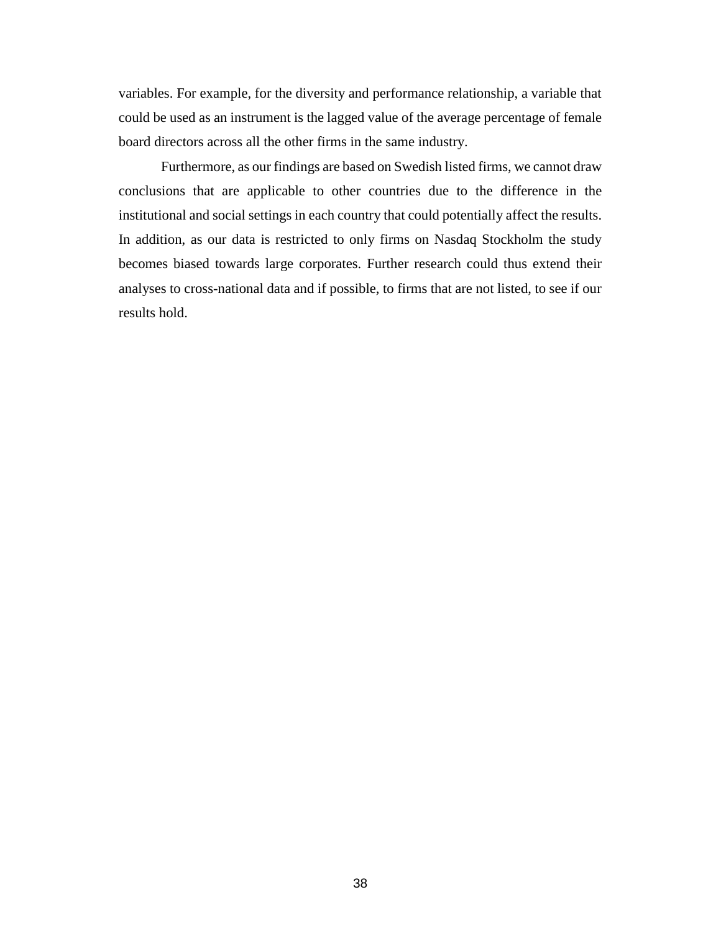variables. For example, for the diversity and performance relationship, a variable that could be used as an instrument is the lagged value of the average percentage of female board directors across all the other firms in the same industry.

Furthermore, as our findings are based on Swedish listed firms, we cannot draw conclusions that are applicable to other countries due to the difference in the institutional and social settings in each country that could potentially affect the results. In addition, as our data is restricted to only firms on Nasdaq Stockholm the study becomes biased towards large corporates. Further research could thus extend their analyses to cross-national data and if possible, to firms that are not listed, to see if our results hold.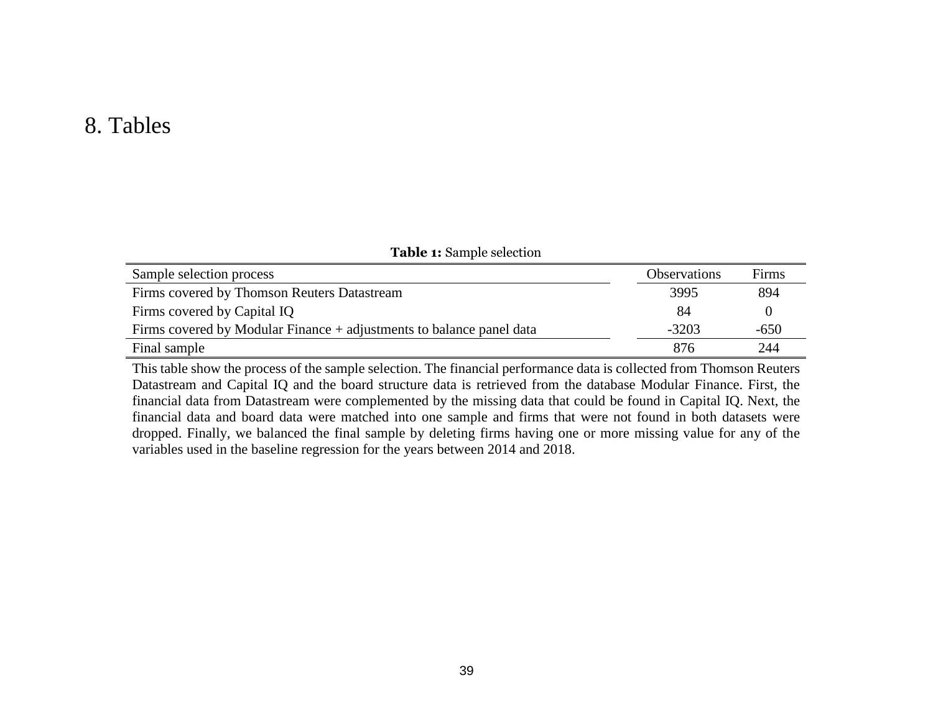# 8. Tables

| Sample selection process                                               | <b>Observations</b> | Firms  |
|------------------------------------------------------------------------|---------------------|--------|
| Firms covered by Thomson Reuters Datastream                            | 3995                | 894    |
| Firms covered by Capital IQ                                            | 84                  |        |
| Firms covered by Modular Finance $+$ adjustments to balance panel data | $-3203$             | $-650$ |
| Final sample                                                           | 876                 | 244    |

**Table 1:** Sample selection

<span id="page-38-0"></span>This table show the process of the sample selection. The financial performance data is collected from Thomson Reuters Datastream and Capital IQ and the board structure data is retrieved from the database Modular Finance. First, the financial data from Datastream were complemented by the missing data that could be found in Capital IQ. Next, the financial data and board data were matched into one sample and firms that were not found in both datasets were dropped. Finally, we balanced the final sample by deleting firms having one or more missing value for any of the variables used in the baseline regression for the years between 2014 and 2018.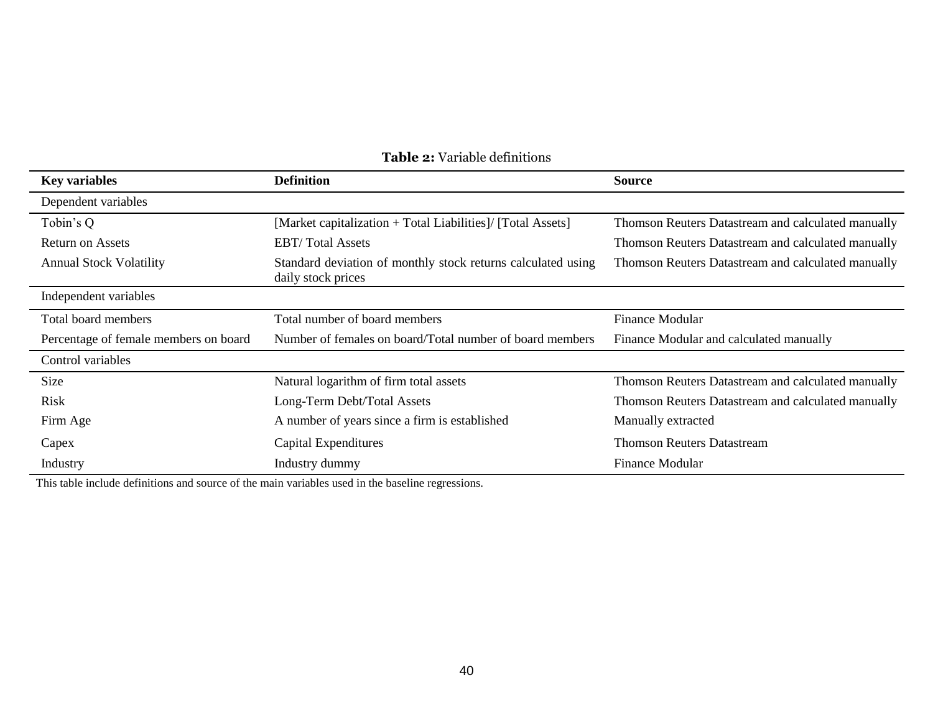| <b>Key variables</b>                                                                              | <b>Definition</b>                                                                  | <b>Source</b>                                      |
|---------------------------------------------------------------------------------------------------|------------------------------------------------------------------------------------|----------------------------------------------------|
| Dependent variables                                                                               |                                                                                    |                                                    |
| Tobin's Q                                                                                         | [Market capitalization + Total Liabilities]/ [Total Assets]                        | Thomson Reuters Datastream and calculated manually |
| <b>Return on Assets</b>                                                                           | <b>EBT/Total Assets</b>                                                            |                                                    |
| <b>Annual Stock Volatility</b>                                                                    | Standard deviation of monthly stock returns calculated using<br>daily stock prices |                                                    |
| Independent variables                                                                             |                                                                                    |                                                    |
| Total board members                                                                               | Total number of board members                                                      | Finance Modular                                    |
| Number of females on board/Total number of board members<br>Percentage of female members on board |                                                                                    | Finance Modular and calculated manually            |
| Control variables                                                                                 |                                                                                    |                                                    |
| <b>Size</b>                                                                                       | Natural logarithm of firm total assets                                             | Thomson Reuters Datastream and calculated manually |
| Risk                                                                                              | Long-Term Debt/Total Assets                                                        | Thomson Reuters Datastream and calculated manually |
| Firm Age                                                                                          | A number of years since a firm is established                                      | Manually extracted                                 |
| Capex                                                                                             | Capital Expenditures                                                               | <b>Thomson Reuters Datastream</b>                  |
| Industry                                                                                          | Industry dummy                                                                     | <b>Finance Modular</b>                             |

### **Table 2:** Variable definitions

This table include definitions and source of the main variables used in the baseline regressions.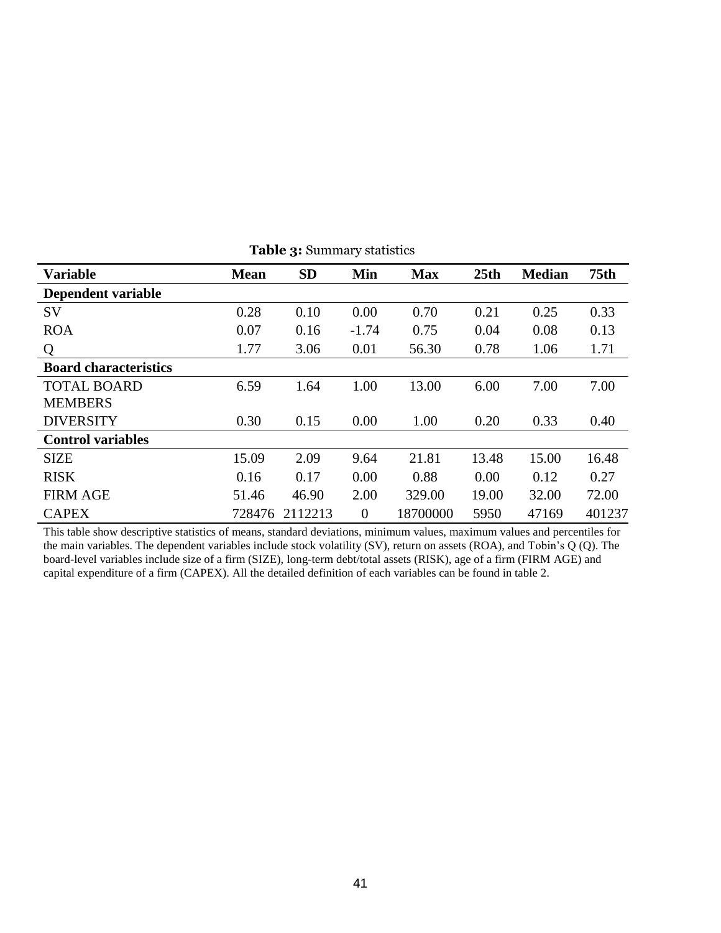| <b>Variable</b>              | <b>Mean</b> | <b>SD</b> | Min            | <b>Max</b> | 25th  | <b>Median</b> | 75 <sub>th</sub> |
|------------------------------|-------------|-----------|----------------|------------|-------|---------------|------------------|
| Dependent variable           |             |           |                |            |       |               |                  |
| <b>SV</b>                    | 0.28        | 0.10      | 0.00           | 0.70       | 0.21  | 0.25          | 0.33             |
| <b>ROA</b>                   | 0.07        | 0.16      | $-1.74$        | 0.75       | 0.04  | 0.08          | 0.13             |
| Q                            | 1.77        | 3.06      | 0.01           | 56.30      | 0.78  | 1.06          | 1.71             |
| <b>Board characteristics</b> |             |           |                |            |       |               |                  |
| <b>TOTAL BOARD</b>           | 6.59        | 1.64      | 1.00           | 13.00      | 6.00  | 7.00          | 7.00             |
| <b>MEMBERS</b>               |             |           |                |            |       |               |                  |
| <b>DIVERSITY</b>             | 0.30        | 0.15      | 0.00           | 1.00       | 0.20  | 0.33          | 0.40             |
| <b>Control variables</b>     |             |           |                |            |       |               |                  |
| <b>SIZE</b>                  | 15.09       | 2.09      | 9.64           | 21.81      | 13.48 | 15.00         | 16.48            |
| <b>RISK</b>                  | 0.16        | 0.17      | 0.00           | 0.88       | 0.00  | 0.12          | 0.27             |
| <b>FIRM AGE</b>              | 51.46       | 46.90     | 2.00           | 329.00     | 19.00 | 32.00         | 72.00            |
| <b>CAPEX</b>                 | 728476      | 2112213   | $\overline{0}$ | 18700000   | 5950  | 47169         | 401237           |

**Table 3:** Summary statistics

This table show descriptive statistics of means, standard deviations, minimum values, maximum values and percentiles for the main variables. The dependent variables include stock volatility (SV), return on assets (ROA), and Tobin's Q (Q). The board-level variables include size of a firm (SIZE), long-term debt/total assets (RISK), age of a firm (FIRM AGE) and capital expenditure of a firm (CAPEX). All the detailed definition of each variables can be found in table 2.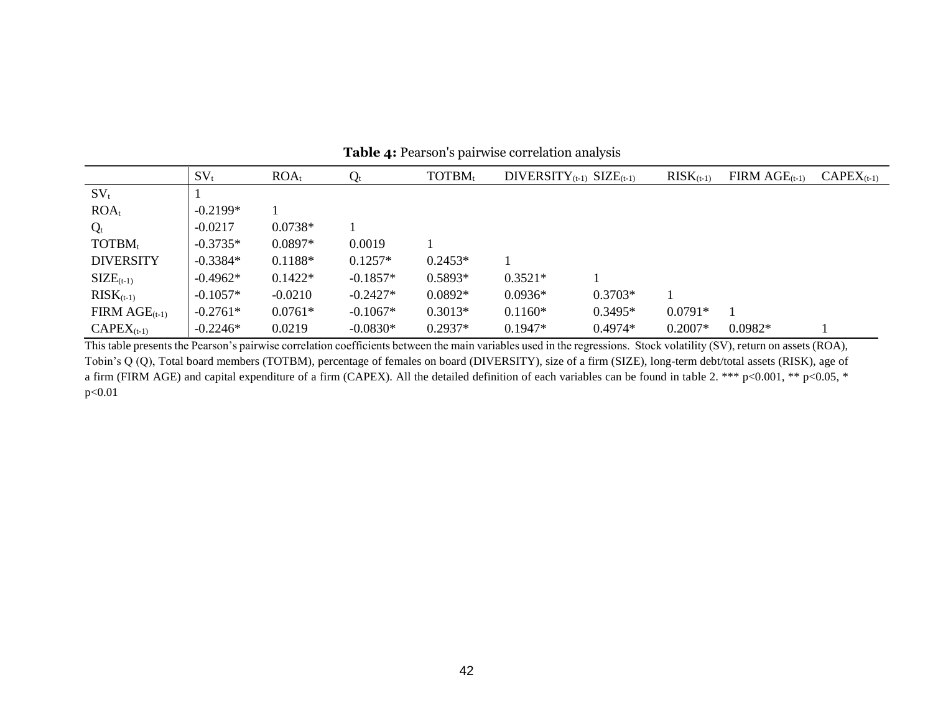|                    | $SV_t$     | $ROA_t$   | $\mathrm{Q_{t}}$ | TOTBM <sub>t</sub> | DIVERSITY <sub>(t-1)</sub> SIZE <sub>(t-1)</sub> |           | $RISK_{(t-1)}$ | $FIRM \, AGE_{(t-1)}$ | $\mathrm{CAPEX}_{(\mathrm{t-1})}$ |
|--------------------|------------|-----------|------------------|--------------------|--------------------------------------------------|-----------|----------------|-----------------------|-----------------------------------|
| $SV_t$             |            |           |                  |                    |                                                  |           |                |                       |                                   |
| $ROA_t$            | $-0.2199*$ |           |                  |                    |                                                  |           |                |                       |                                   |
| $Q_t$              | $-0.0217$  | $0.0738*$ |                  |                    |                                                  |           |                |                       |                                   |
| TOTBM <sub>t</sub> | $-0.3735*$ | $0.0897*$ | 0.0019           |                    |                                                  |           |                |                       |                                   |
| <b>DIVERSITY</b>   | $-0.3384*$ | $0.1188*$ | $0.1257*$        | $0.2453*$          |                                                  |           |                |                       |                                   |
| $SIZE_{(t-1)}$     | $-0.4962*$ | $0.1422*$ | $-0.1857*$       | $0.5893*$          | $0.3521*$                                        |           |                |                       |                                   |
| $RISK_{(t-1)}$     | $-0.1057*$ | $-0.0210$ | $-0.2427*$       | $0.0892*$          | $0.0936*$                                        | $0.3703*$ |                |                       |                                   |
| FIRM $AGE_{(t-1)}$ | $-0.2761*$ | $0.0761*$ | $-0.1067*$       | $0.3013*$          | $0.1160*$                                        | $0.3495*$ | $0.0791*$      |                       |                                   |
| $CAPEX_{(t-1)}$    | $-0.2246*$ | 0.0219    | $-0.0830*$       | $0.2937*$          | $0.1947*$                                        | $0.4974*$ | $0.2007*$      | $0.0982*$             |                                   |

**Table 4:** Pearson's pairwise correlation analysis

This table presents the Pearson's pairwise correlation coefficients between the main variables used in the regressions. Stock volatility (SV), return on assets (ROA), Tobin's Q (Q), Total board members (TOTBM), percentage of females on board (DIVERSITY), size of a firm (SIZE), long-term debt/total assets (RISK), age of a firm (FIRM AGE) and capital expenditure of a firm (CAPEX). All the detailed definition of each variables can be found in table 2. \*\*\* p<0.001, \*\* p<0.05, \* p<0.01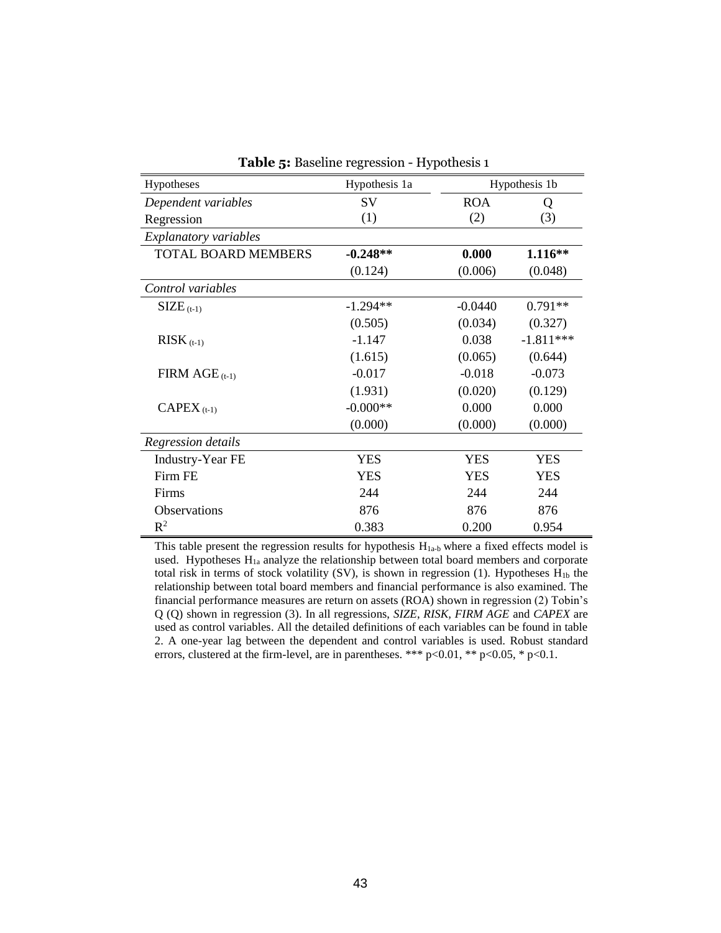|                              | $\mathbf{S}$ . Buseme regression $\mathbf{r}$ , points $\mathbf{r}$ |            |               |
|------------------------------|---------------------------------------------------------------------|------------|---------------|
| Hypotheses                   | Hypothesis 1a                                                       |            | Hypothesis 1b |
| Dependent variables          | SV                                                                  | <b>ROA</b> | Q             |
| Regression                   | (1)                                                                 | (2)        | (3)           |
| <b>Explanatory variables</b> |                                                                     |            |               |
| <b>TOTAL BOARD MEMBERS</b>   | $-0.248**$                                                          | 0.000      | $1.116**$     |
|                              | (0.124)                                                             | (0.006)    | (0.048)       |
| Control variables            |                                                                     |            |               |
| $\text{SIZE}_{(t-1)}$        | $-1.294**$                                                          | $-0.0440$  | $0.791**$     |
|                              | (0.505)                                                             | (0.034)    | (0.327)       |
| $RISK_{(t-1)}$               | $-1.147$                                                            | 0.038      | $-1.811***$   |
|                              | (1.615)                                                             | (0.065)    | (0.644)       |
| FIRM $AGE$ (t-1)             | $-0.017$                                                            | $-0.018$   | $-0.073$      |
|                              | (1.931)                                                             | (0.020)    | (0.129)       |
| $CAPEX_{(t-1)}$              | $-0.000**$                                                          | 0.000      | 0.000         |
|                              | (0.000)                                                             | (0.000)    | (0.000)       |
| Regression details           |                                                                     |            |               |
| <b>Industry-Year FE</b>      | <b>YES</b>                                                          | <b>YES</b> | <b>YES</b>    |
| Firm FE                      | <b>YES</b>                                                          | <b>YES</b> | <b>YES</b>    |
| Firms                        | 244                                                                 | 244        | 244           |
| Observations                 | 876                                                                 | 876        | 876           |
| $R^2$                        | 0.383                                                               | 0.200      | 0.954         |

**Table 5:** Baseline regression - Hypothesis 1

This table present the regression results for hypothesis  $H<sub>1a-b</sub>$  where a fixed effects model is used. Hypotheses H<sub>1a</sub> analyze the relationship between total board members and corporate total risk in terms of stock volatility (SV), is shown in regression (1). Hypotheses  $H_{1b}$  the relationship between total board members and financial performance is also examined. The financial performance measures are return on assets (ROA) shown in regression (2) Tobin's Q (Q) shown in regression (3). In all regressions, *SIZE*, *RISK, FIRM AGE* and *CAPEX* are used as control variables. All the detailed definitions of each variables can be found in table 2. A one-year lag between the dependent and control variables is used. Robust standard errors, clustered at the firm-level, are in parentheses. \*\*\* p<0.01, \*\* p<0.05, \* p<0.1.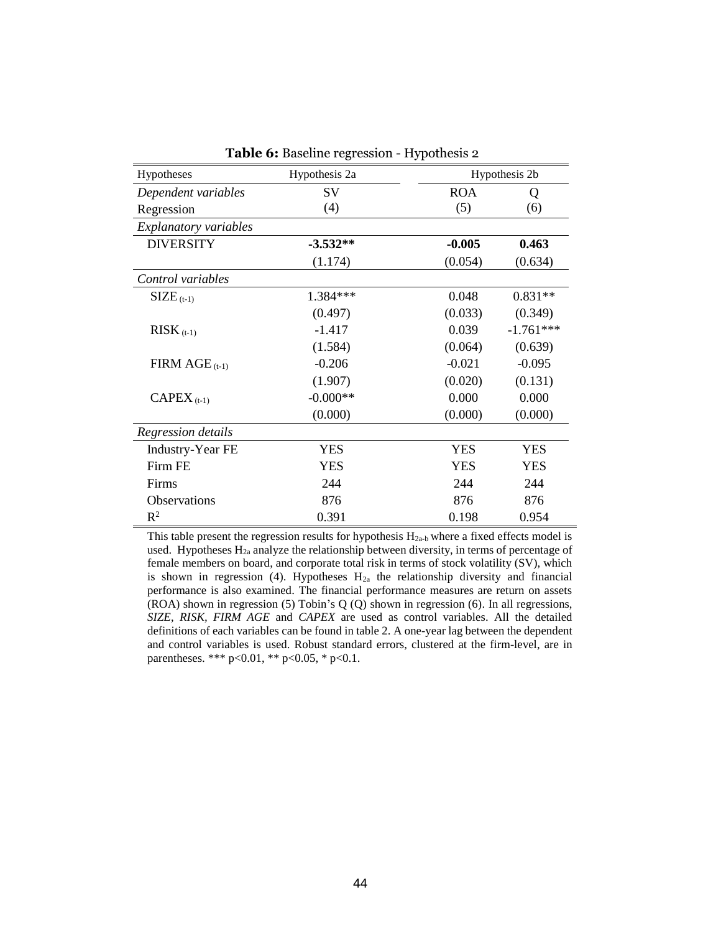| Hypotheses                   | Hypothesis 2a |            | Hypothesis 2b |
|------------------------------|---------------|------------|---------------|
| Dependent variables          | SV            | <b>ROA</b> | Q             |
| Regression                   | (4)           | (5)        | (6)           |
| <b>Explanatory variables</b> |               |            |               |
| <b>DIVERSITY</b>             | $-3.532**$    | $-0.005$   | 0.463         |
|                              | (1.174)       | (0.054)    | (0.634)       |
| Control variables            |               |            |               |
| $SIZE_{(t-1)}$               | 1.384***      | 0.048      | $0.831**$     |
|                              | (0.497)       | (0.033)    | (0.349)       |
| $RISK$ <sub>(t-1)</sub>      | $-1.417$      | 0.039      | $-1.761***$   |
|                              | (1.584)       | (0.064)    | (0.639)       |
| FIRM $AGE$ <sub>(t-1)</sub>  | $-0.206$      | $-0.021$   | $-0.095$      |
|                              | (1.907)       | (0.020)    | (0.131)       |
| $CAPEX_{(t-1)}$              | $-0.000**$    | 0.000      | 0.000         |
|                              | (0.000)       | (0.000)    | (0.000)       |
| Regression details           |               |            |               |
| <b>Industry-Year FE</b>      | <b>YES</b>    | <b>YES</b> | <b>YES</b>    |
| Firm FE                      | <b>YES</b>    | <b>YES</b> | <b>YES</b>    |
| Firms                        | 244           | 244        | 244           |
| <b>Observations</b>          | 876           | 876        | 876           |
| $R^2$                        | 0.391         | 0.198      | 0.954         |

**Table 6:** Baseline regression - Hypothesis 2

This table present the regression results for hypothesis  $H<sub>2a-b</sub>$  where a fixed effects model is used. Hypotheses  $H_{2a}$  analyze the relationship between diversity, in terms of percentage of female members on board, and corporate total risk in terms of stock volatility (SV), which is shown in regression (4). Hypotheses  $H<sub>2a</sub>$  the relationship diversity and financial performance is also examined. The financial performance measures are return on assets (ROA) shown in regression (5) Tobin's Q (Q) shown in regression (6). In all regressions, *SIZE*, *RISK, FIRM AGE* and *CAPEX* are used as control variables. All the detailed definitions of each variables can be found in table 2. A one-year lag between the dependent and control variables is used. Robust standard errors, clustered at the firm-level, are in parentheses. \*\*\* p<0.01, \*\* p<0.05, \* p<0.1.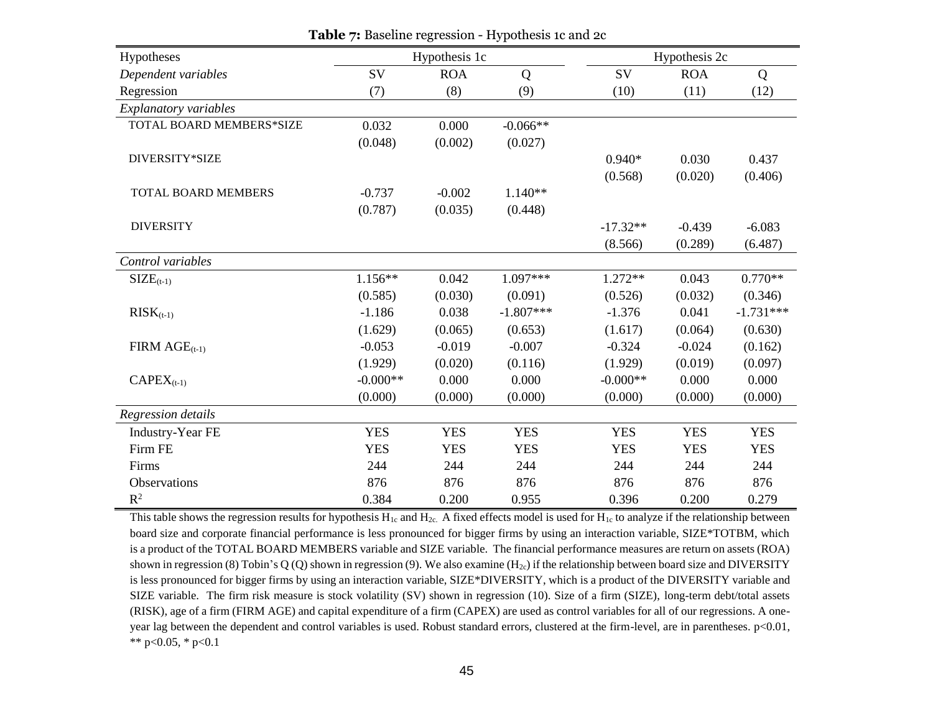| Hypotheses                 |            | Hypothesis 1c |             |            | Hypothesis 2c |             |
|----------------------------|------------|---------------|-------------|------------|---------------|-------------|
| Dependent variables        | SV         | <b>ROA</b>    | Q           | SV         | <b>ROA</b>    | Q           |
| Regression                 | (7)        | (8)           | (9)         | (10)       | (11)          | (12)        |
| Explanatory variables      |            |               |             |            |               |             |
| TOTAL BOARD MEMBERS*SIZE   | 0.032      | 0.000         | $-0.066**$  |            |               |             |
|                            | (0.048)    | (0.002)       | (0.027)     |            |               |             |
| DIVERSITY*SIZE             |            |               |             | $0.940*$   | 0.030         | 0.437       |
|                            |            |               |             | (0.568)    | (0.020)       | (0.406)     |
| <b>TOTAL BOARD MEMBERS</b> | $-0.737$   | $-0.002$      | $1.140**$   |            |               |             |
|                            | (0.787)    | (0.035)       | (0.448)     |            |               |             |
| <b>DIVERSITY</b>           |            |               |             | $-17.32**$ | $-0.439$      | $-6.083$    |
|                            |            |               |             | (8.566)    | (0.289)       | (6.487)     |
| Control variables          |            |               |             |            |               |             |
| $SIZE_{(t-1)}$             | $1.156**$  | 0.042         | 1.097***    | $1.272**$  | 0.043         | $0.770**$   |
|                            | (0.585)    | (0.030)       | (0.091)     | (0.526)    | (0.032)       | (0.346)     |
| $RISK_{(t-1)}$             | $-1.186$   | 0.038         | $-1.807***$ | $-1.376$   | 0.041         | $-1.731***$ |
|                            | (1.629)    | (0.065)       | (0.653)     | (1.617)    | (0.064)       | (0.630)     |
| FIRM $AGE_{(t-1)}$         | $-0.053$   | $-0.019$      | $-0.007$    | $-0.324$   | $-0.024$      | (0.162)     |
|                            | (1.929)    | (0.020)       | (0.116)     | (1.929)    | (0.019)       | (0.097)     |
| $CAPEX_{(t-1)}$            | $-0.000**$ | 0.000         | 0.000       | $-0.000**$ | 0.000         | 0.000       |
|                            | (0.000)    | (0.000)       | (0.000)     | (0.000)    | (0.000)       | (0.000)     |
| Regression details         |            |               |             |            |               |             |
| <b>Industry-Year FE</b>    | <b>YES</b> | <b>YES</b>    | <b>YES</b>  | <b>YES</b> | <b>YES</b>    | <b>YES</b>  |
| Firm FE                    | <b>YES</b> | <b>YES</b>    | <b>YES</b>  | <b>YES</b> | <b>YES</b>    | <b>YES</b>  |
| Firms                      | 244        | 244           | 244         | 244        | 244           | 244         |
| Observations               | 876        | 876           | 876         | 876        | 876           | 876         |
| $R^2$                      | 0.384      | 0.200         | 0.955       | 0.396      | 0.200         | 0.279       |

**Table 7:** Baseline regression - Hypothesis 1c and 2c

This table shows the regression results for hypothesis  $H_{1c}$  and  $H_{2c}$ . A fixed effects model is used for  $H_{1c}$  to analyze if the relationship between board size and corporate financial performance is less pronounced for bigger firms by using an interaction variable, SIZE\*TOTBM, which is a product of the TOTAL BOARD MEMBERS variable and SIZE variable. The financial performance measures are return on assets (ROA) shown in regression (8) Tobin's Q (Q) shown in regression (9). We also examine ( $H<sub>2c</sub>$ ) if the relationship between board size and DIVERSITY is less pronounced for bigger firms by using an interaction variable, SIZE\*DIVERSITY, which is a product of the DIVERSITY variable and SIZE variable. The firm risk measure is stock volatility (SV) shown in regression (10). Size of a firm (SIZE), long-term debt/total assets (RISK), age of a firm (FIRM AGE) and capital expenditure of a firm (CAPEX) are used as control variables for all of our regressions. A oneyear lag between the dependent and control variables is used. Robust standard errors, clustered at the firm-level, are in parentheses. p<0.01, \*\* p<0.05, \* p<0.1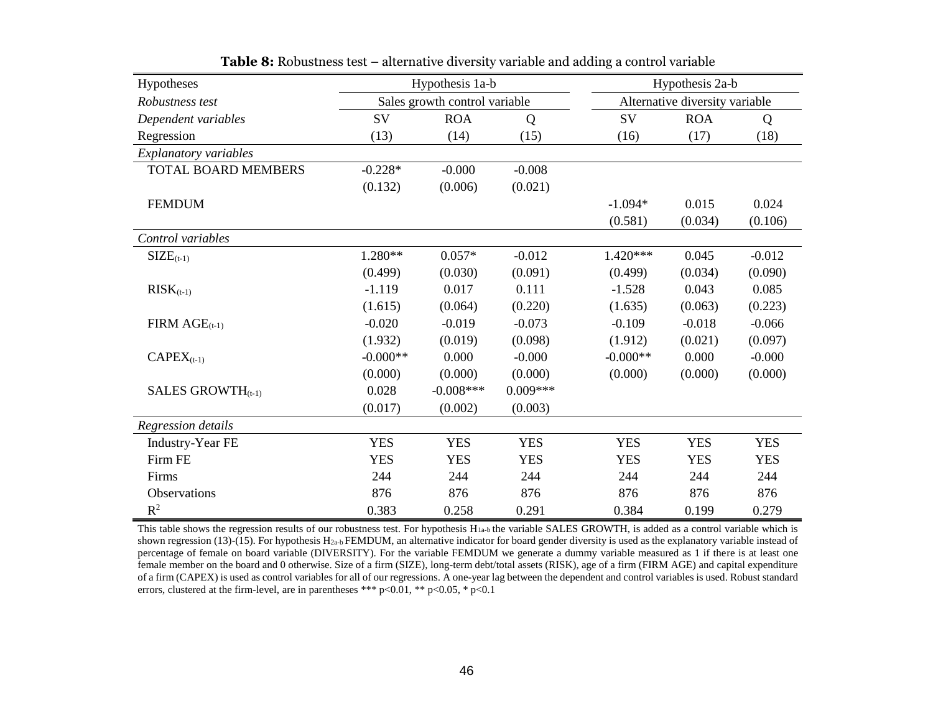| Hypotheses                    | Hypothesis 1a-b |                               |            |            | Hypothesis 2a-b                |            |
|-------------------------------|-----------------|-------------------------------|------------|------------|--------------------------------|------------|
| Robustness test               |                 | Sales growth control variable |            |            | Alternative diversity variable |            |
| Dependent variables           | SV              | <b>ROA</b>                    | Q          | SV         | <b>ROA</b>                     | Q          |
| Regression                    | (13)            | (14)                          | (15)       | (16)       | (17)                           | (18)       |
| Explanatory variables         |                 |                               |            |            |                                |            |
| <b>TOTAL BOARD MEMBERS</b>    | $-0.228*$       | $-0.000$                      | $-0.008$   |            |                                |            |
|                               | (0.132)         | (0.006)                       | (0.021)    |            |                                |            |
| <b>FEMDUM</b>                 |                 |                               |            | $-1.094*$  | 0.015                          | 0.024      |
|                               |                 |                               |            | (0.581)    | (0.034)                        | (0.106)    |
| Control variables             |                 |                               |            |            |                                |            |
| $SIZE_{(t-1)}$                | 1.280**         | $0.057*$                      | $-0.012$   | $1.420***$ | 0.045                          | $-0.012$   |
|                               | (0.499)         | (0.030)                       | (0.091)    | (0.499)    | (0.034)                        | (0.090)    |
| $RISK_{(t-1)}$                | $-1.119$        | 0.017                         | 0.111      | $-1.528$   | 0.043                          | 0.085      |
|                               | (1.615)         | (0.064)                       | (0.220)    | (1.635)    | (0.063)                        | (0.223)    |
| $FIRM \, AGE_{(t-1)}$         | $-0.020$        | $-0.019$                      | $-0.073$   | $-0.109$   | $-0.018$                       | $-0.066$   |
|                               | (1.932)         | (0.019)                       | (0.098)    | (1.912)    | (0.021)                        | (0.097)    |
| $CAPEX_{(t-1)}$               | $-0.000**$      | 0.000                         | $-0.000$   | $-0.000**$ | 0.000                          | $-0.000$   |
|                               | (0.000)         | (0.000)                       | (0.000)    | (0.000)    | (0.000)                        | (0.000)    |
| SALES GROWTH <sub>(t-1)</sub> | 0.028           | $-0.008***$                   | $0.009***$ |            |                                |            |
|                               | (0.017)         | (0.002)                       | (0.003)    |            |                                |            |
| Regression details            |                 |                               |            |            |                                |            |
| <b>Industry-Year FE</b>       | <b>YES</b>      | <b>YES</b>                    | <b>YES</b> | <b>YES</b> | <b>YES</b>                     | <b>YES</b> |
| Firm FE                       | <b>YES</b>      | <b>YES</b>                    | <b>YES</b> | <b>YES</b> | <b>YES</b>                     | <b>YES</b> |
| Firms                         | 244             | 244                           | 244        | 244        | 244                            | 244        |
| Observations                  | 876             | 876                           | 876        | 876        | 876                            | 876        |
| $R^2$                         | 0.383           | 0.258                         | 0.291      | 0.384      | 0.199                          | 0.279      |

**Table 8:** Robustness test – alternative diversity variable and adding a control variable

This table shows the regression results of our robustness test. For hypothesis  $H_{1a-b}$  the variable SALES GROWTH, is added as a control variable which is shown regression (13)-(15). For hypothesis H<sub>2a-b</sub> FEMDUM, an alternative indicator for board gender diversity is used as the explanatory variable instead of percentage of female on board variable (DIVERSITY). For the variable FEMDUM we generate a dummy variable measured as 1 if there is at least one female member on the board and 0 otherwise. Size of a firm (SIZE), long-term debt/total assets (RISK), age of a firm (FIRM AGE) and capital expenditure of a firm (CAPEX) is used as control variables for all of our regressions. A one-year lag between the dependent and control variables is used. Robust standard errors, clustered at the firm-level, are in parentheses \*\*\*  $p<0.01$ , \*\*  $p<0.05$ , \*  $p<0.1$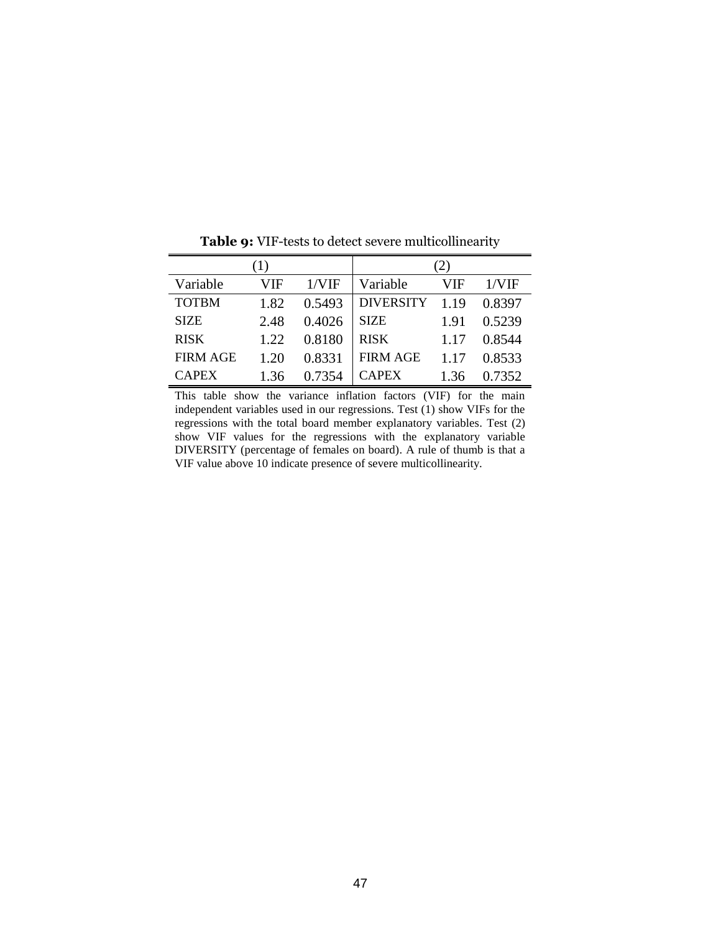|                 | (1)  |        |                  | $\left( 2\right)$ |        |
|-----------------|------|--------|------------------|-------------------|--------|
| Variable        | VIF  | 1/VIF  | Variable         | VIF               | 1/VIF  |
| <b>TOTBM</b>    | 1.82 | 0.5493 | <b>DIVERSITY</b> | 1.19              | 0.8397 |
| <b>SIZE</b>     | 2.48 | 0.4026 | <b>SIZE</b>      | 1.91              | 0.5239 |
| <b>RISK</b>     | 1.22 | 0.8180 | <b>RISK</b>      | 1.17              | 0.8544 |
| <b>FIRM AGE</b> | 1.20 | 0.8331 | <b>FIRM AGE</b>  | 1.17              | 0.8533 |
| <b>CAPEX</b>    | 1.36 | 0.7354 | <b>CAPEX</b>     |                   | 0.7352 |

**Table 9:** VIF-tests to detect severe multicollinearity

This table show the variance inflation factors (VIF) for the main independent variables used in our regressions. Test (1) show VIFs for the regressions with the total board member explanatory variables. Test (2) show VIF values for the regressions with the explanatory variable DIVERSITY (percentage of females on board). A rule of thumb is that a VIF value above 10 indicate presence of severe multicollinearity.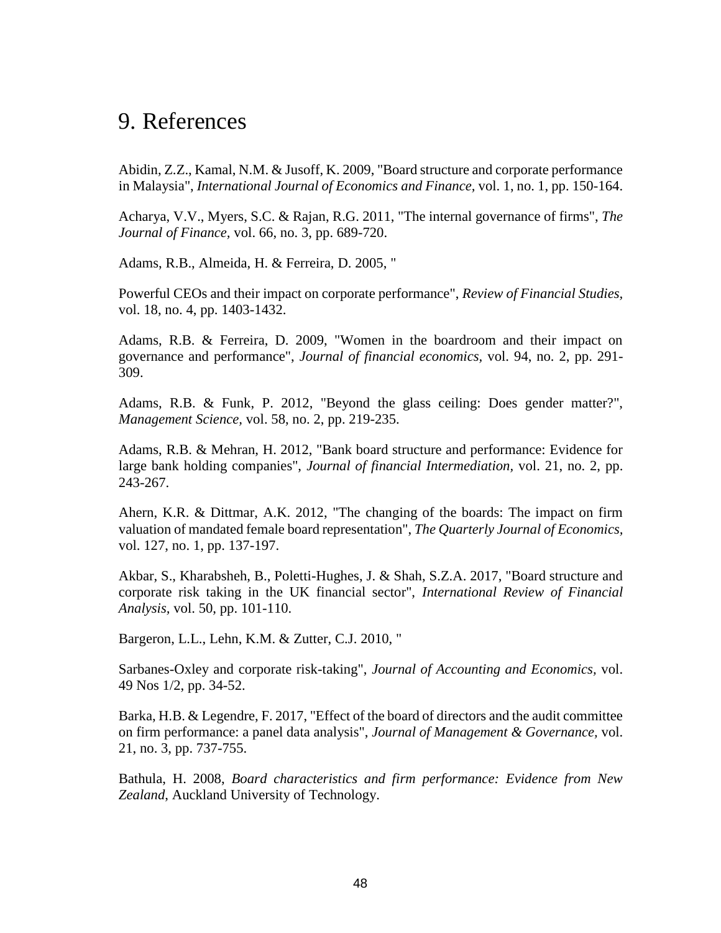# <span id="page-47-0"></span>9. References

Abidin, Z.Z., Kamal, N.M. & Jusoff, K. 2009, "Board structure and corporate performance in Malaysia", *International Journal of Economics and Finance,* vol. 1, no. 1, pp. 150-164.

Acharya, V.V., Myers, S.C. & Rajan, R.G. 2011, "The internal governance of firms", *The Journal of Finance,* vol. 66, no. 3, pp. 689-720.

Adams, R.B., Almeida, H. & Ferreira, D. 2005, "

Powerful CEOs and their impact on corporate performance", *Review of Financial Studies,*  vol. 18, no. 4, pp. 1403-1432.

Adams, R.B. & Ferreira, D. 2009, "Women in the boardroom and their impact on governance and performance", *Journal of financial economics,* vol. 94, no. 2, pp. 291- 309.

Adams, R.B. & Funk, P. 2012, "Beyond the glass ceiling: Does gender matter?", *Management Science,* vol. 58, no. 2, pp. 219-235.

Adams, R.B. & Mehran, H. 2012, "Bank board structure and performance: Evidence for large bank holding companies", *Journal of financial Intermediation,* vol. 21, no. 2, pp. 243-267.

Ahern, K.R. & Dittmar, A.K. 2012, "The changing of the boards: The impact on firm valuation of mandated female board representation", *The Quarterly Journal of Economics,*  vol. 127, no. 1, pp. 137-197.

Akbar, S., Kharabsheh, B., Poletti-Hughes, J. & Shah, S.Z.A. 2017, "Board structure and corporate risk taking in the UK financial sector", *International Review of Financial Analysis,* vol. 50, pp. 101-110.

Bargeron, L.L., Lehn, K.M. & Zutter, C.J. 2010, "

Sarbanes-Oxley and corporate risk-taking", *Journal of Accounting and Economics,* vol. 49 Nos 1/2, pp. 34-52.

Barka, H.B. & Legendre, F. 2017, "Effect of the board of directors and the audit committee on firm performance: a panel data analysis", *Journal of Management & Governance,* vol. 21, no. 3, pp. 737-755.

Bathula, H. 2008, *Board characteristics and firm performance: Evidence from New Zealand*, Auckland University of Technology.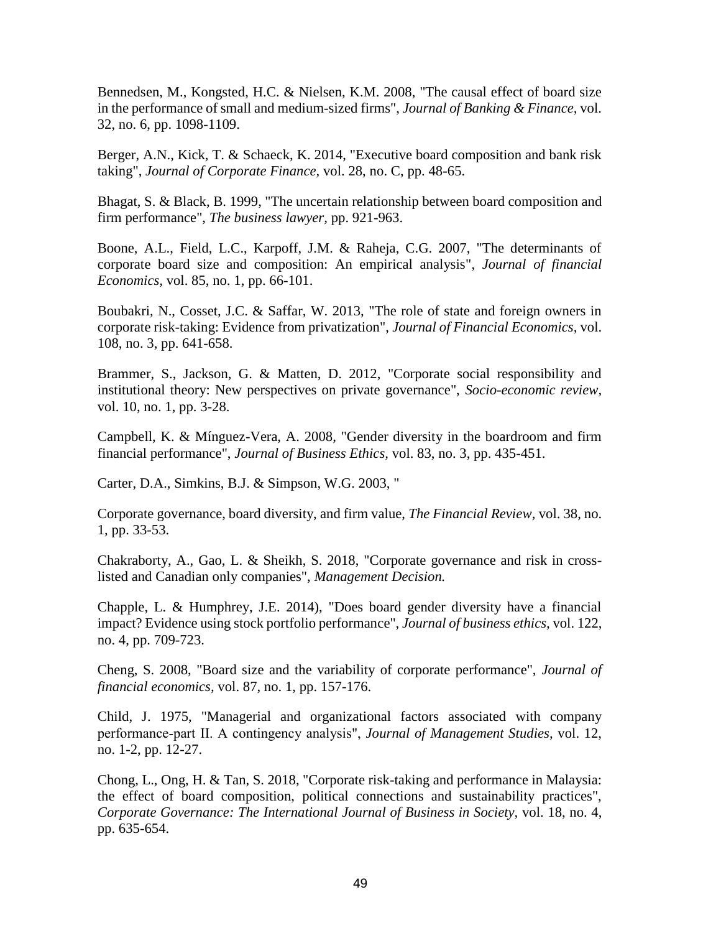Bennedsen, M., Kongsted, H.C. & Nielsen, K.M. 2008, "The causal effect of board size in the performance of small and medium-sized firms", *Journal of Banking & Finance,* vol. 32, no. 6, pp. 1098-1109.

Berger, A.N., Kick, T. & Schaeck, K. 2014, "Executive board composition and bank risk taking", *Journal of Corporate Finance,* vol. 28, no. C, pp. 48-65.

Bhagat, S. & Black, B. 1999, "The uncertain relationship between board composition and firm performance", *The business lawyer,* pp. 921-963.

Boone, A.L., Field, L.C., Karpoff, J.M. & Raheja, C.G. 2007, "The determinants of corporate board size and composition: An empirical analysis", *Journal of financial Economics,* vol. 85, no. 1, pp. 66-101.

Boubakri, N., Cosset, J.C. & Saffar, W. 2013, "The role of state and foreign owners in corporate risk-taking: Evidence from privatization", *Journal of Financial Economics,* vol. 108, no. 3, pp. 641-658.

Brammer, S., Jackson, G. & Matten, D. 2012, "Corporate social responsibility and institutional theory: New perspectives on private governance", *Socio-economic review,*  vol. 10, no. 1, pp. 3-28.

Campbell, K. & Mínguez-Vera, A. 2008, "Gender diversity in the boardroom and firm financial performance", *Journal of Business Ethics,* vol. 83, no. 3, pp. 435-451.

Carter, D.A., Simkins, B.J. & Simpson, W.G. 2003, "

Corporate governance, board diversity, and firm value, *The Financial Review,* vol. 38, no. 1, pp. 33-53.

Chakraborty, A., Gao, L. & Sheikh, S. 2018, "Corporate governance and risk in crosslisted and Canadian only companies", *Management Decision.*

Chapple, L. & Humphrey, J.E. 2014), "Does board gender diversity have a financial impact? Evidence using stock portfolio performance", *Journal of business ethics,* vol. 122, no. 4, pp. 709-723.

Cheng, S. 2008, "Board size and the variability of corporate performance", *Journal of financial economics,* vol. 87, no. 1, pp. 157-176.

Child, J. 1975, "Managerial and organizational factors associated with company performance‐part II. A contingency analysis", *Journal of Management Studies,* vol. 12, no. 1-2, pp. 12-27.

Chong, L., Ong, H. & Tan, S. 2018, "Corporate risk-taking and performance in Malaysia: the effect of board composition, political connections and sustainability practices", *Corporate Governance: The International Journal of Business in Society,* vol. 18, no. 4, pp. 635-654.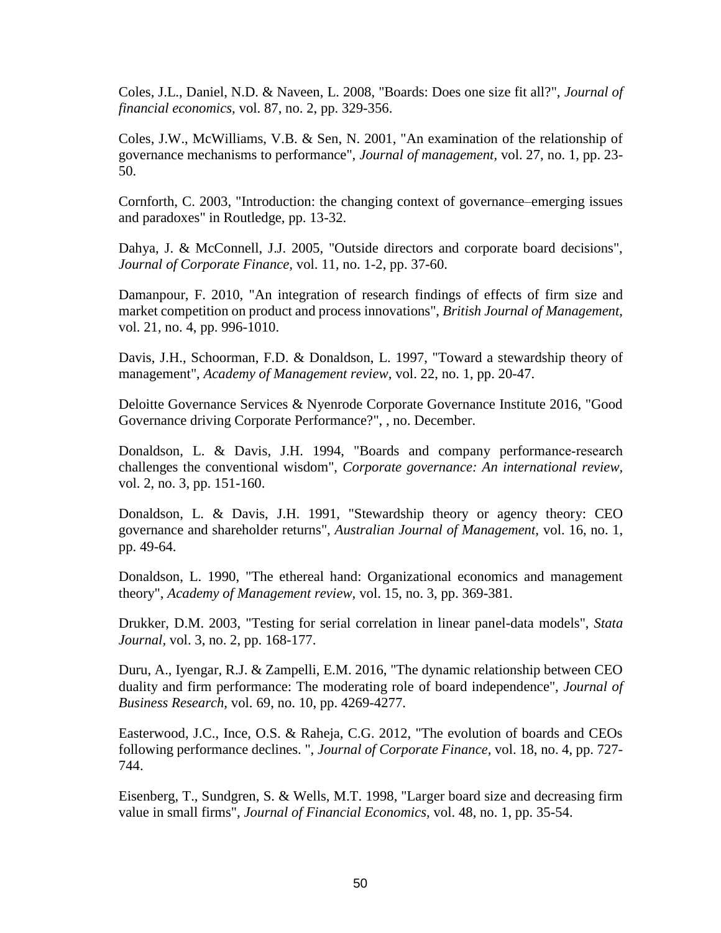Coles, J.L., Daniel, N.D. & Naveen, L. 2008, "Boards: Does one size fit all?", *Journal of financial economics,* vol. 87, no. 2, pp. 329-356.

Coles, J.W., McWilliams, V.B. & Sen, N. 2001, "An examination of the relationship of governance mechanisms to performance", *Journal of management,* vol. 27, no. 1, pp. 23- 50.

Cornforth, C. 2003, "Introduction: the changing context of governance–emerging issues and paradoxes" in Routledge, pp. 13-32.

Dahya, J. & McConnell, J.J. 2005, "Outside directors and corporate board decisions", *Journal of Corporate Finance,* vol. 11, no. 1-2, pp. 37-60.

Damanpour, F. 2010, "An integration of research findings of effects of firm size and market competition on product and process innovations", *British Journal of Management,*  vol. 21, no. 4, pp. 996-1010.

Davis, J.H., Schoorman, F.D. & Donaldson, L. 1997, "Toward a stewardship theory of management", *Academy of Management review,* vol. 22, no. 1, pp. 20-47.

Deloitte Governance Services & Nyenrode Corporate Governance Institute 2016, "Good Governance driving Corporate Performance?", , no. December.

Donaldson, L. & Davis, J.H. 1994, "Boards and company performance-research challenges the conventional wisdom", *Corporate governance: An international review,*  vol. 2, no. 3, pp. 151-160.

Donaldson, L. & Davis, J.H. 1991, "Stewardship theory or agency theory: CEO governance and shareholder returns", *Australian Journal of Management,* vol. 16, no. 1, pp. 49-64.

Donaldson, L. 1990, "The ethereal hand: Organizational economics and management theory", *Academy of Management review,* vol. 15, no. 3, pp. 369-381.

Drukker, D.M. 2003, "Testing for serial correlation in linear panel-data models", *Stata Journal,* vol. 3, no. 2, pp. 168-177.

Duru, A., Iyengar, R.J. & Zampelli, E.M. 2016, "The dynamic relationship between CEO duality and firm performance: The moderating role of board independence", *Journal of Business Research,* vol. 69, no. 10, pp. 4269-4277.

Easterwood, J.C., Ince, O.S. & Raheja, C.G. 2012, "The evolution of boards and CEOs following performance declines. ", *Journal of Corporate Finance,* vol. 18, no. 4, pp. 727- 744.

Eisenberg, T., Sundgren, S. & Wells, M.T. 1998, "Larger board size and decreasing firm value in small firms", *Journal of Financial Economics,* vol. 48, no. 1, pp. 35-54.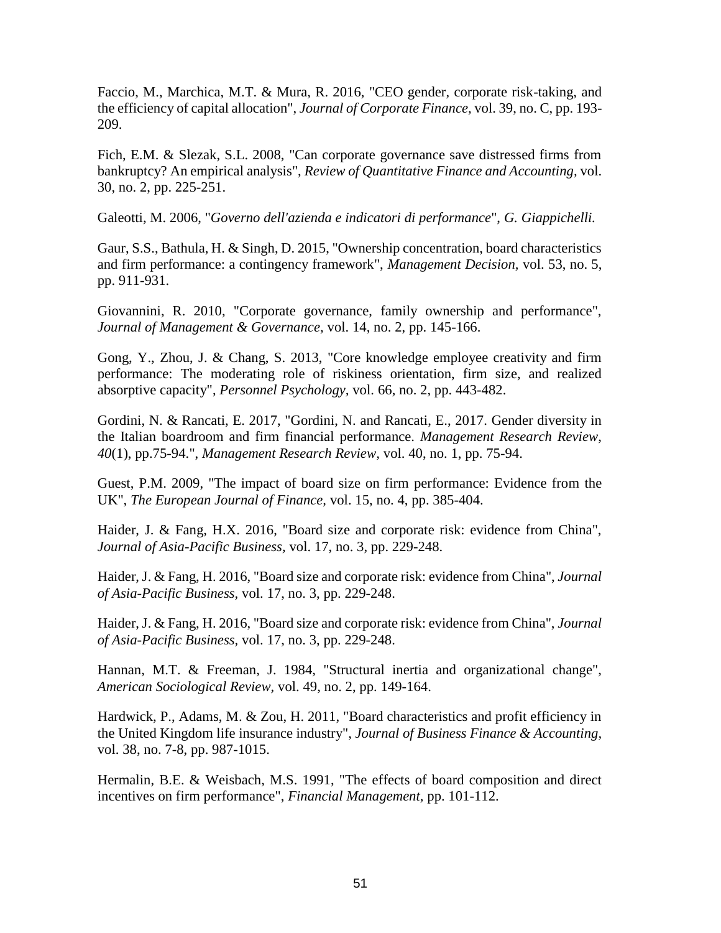Faccio, M., Marchica, M.T. & Mura, R. 2016, "CEO gender, corporate risk-taking, and the efficiency of capital allocation", *Journal of Corporate Finance,* vol. 39, no. C, pp. 193- 209.

Fich, E.M. & Slezak, S.L. 2008, "Can corporate governance save distressed firms from bankruptcy? An empirical analysis", *Review of Quantitative Finance and Accounting,* vol. 30, no. 2, pp. 225-251.

Galeotti, M. 2006, "*Governo dell'azienda e indicatori di performance*", *G. Giappichelli.*

Gaur, S.S., Bathula, H. & Singh, D. 2015, "Ownership concentration, board characteristics and firm performance: a contingency framework", *Management Decision,* vol. 53, no. 5, pp. 911-931.

Giovannini, R. 2010, "Corporate governance, family ownership and performance", *Journal of Management & Governance,* vol. 14, no. 2, pp. 145-166.

Gong, Y., Zhou, J. & Chang, S. 2013, "Core knowledge employee creativity and firm performance: The moderating role of riskiness orientation, firm size, and realized absorptive capacity", *Personnel Psychology,* vol. 66, no. 2, pp. 443-482.

Gordini, N. & Rancati, E. 2017, "Gordini, N. and Rancati, E., 2017. Gender diversity in the Italian boardroom and firm financial performance. *Management Research Review*, *40*(1), pp.75-94.", *Management Research Review,* vol. 40, no. 1, pp. 75-94.

Guest, P.M. 2009, "The impact of board size on firm performance: Evidence from the UK", *The European Journal of Finance,* vol. 15, no. 4, pp. 385-404.

Haider, J. & Fang, H.X. 2016, "Board size and corporate risk: evidence from China", *Journal of Asia-Pacific Business,* vol. 17, no. 3, pp. 229-248.

Haider, J. & Fang, H. 2016, "Board size and corporate risk: evidence from China", *Journal of Asia-Pacific Business,* vol. 17, no. 3, pp. 229-248.

Haider, J. & Fang, H. 2016, "Board size and corporate risk: evidence from China", *Journal of Asia-Pacific Business,* vol. 17, no. 3, pp. 229-248.

Hannan, M.T. & Freeman, J. 1984, "Structural inertia and organizational change", *American Sociological Review,* vol. 49, no. 2, pp. 149-164.

Hardwick, P., Adams, M. & Zou, H. 2011, "Board characteristics and profit efficiency in the United Kingdom life insurance industry", *Journal of Business Finance & Accounting,*  vol. 38, no. 7-8, pp. 987-1015.

Hermalin, B.E. & Weisbach, M.S. 1991, "The effects of board composition and direct incentives on firm performance", *Financial Management,* pp. 101-112.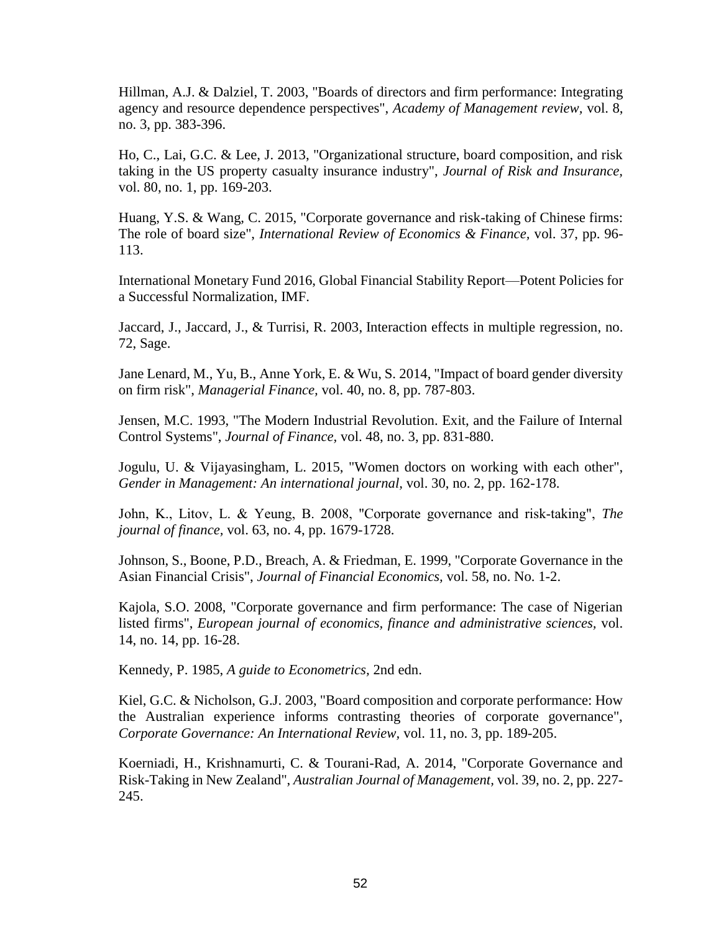Hillman, A.J. & Dalziel, T. 2003, "Boards of directors and firm performance: Integrating agency and resource dependence perspectives", *Academy of Management review,* vol. 8, no. 3, pp. 383-396.

Ho, C., Lai, G.C. & Lee, J. 2013, "Organizational structure, board composition, and risk taking in the US property casualty insurance industry", *Journal of Risk and Insurance,*  vol. 80, no. 1, pp. 169-203.

Huang, Y.S. & Wang, C. 2015, "Corporate governance and risk-taking of Chinese firms: The role of board size", *International Review of Economics & Finance,* vol. 37, pp. 96- 113.

International Monetary Fund 2016, Global Financial Stability Report—Potent Policies for a Successful Normalization, IMF.

Jaccard, J., Jaccard, J., & Turrisi, R. 2003, Interaction effects in multiple regression, no. 72, Sage.

Jane Lenard, M., Yu, B., Anne York, E. & Wu, S. 2014, "Impact of board gender diversity on firm risk", *Managerial Finance,* vol. 40, no. 8, pp. 787-803.

Jensen, M.C. 1993, "The Modern Industrial Revolution. Exit, and the Failure of Internal Control Systems", *Journal of Finance,* vol. 48, no. 3, pp. 831-880.

Jogulu, U. & Vijayasingham, L. 2015, "Women doctors on working with each other", *Gender in Management: An international journal,* vol. 30, no. 2, pp. 162-178.

John, K., Litov, L. & Yeung, B. 2008, "Corporate governance and risk‐taking", *The journal of finance,* vol. 63, no. 4, pp. 1679-1728.

Johnson, S., Boone, P.D., Breach, A. & Friedman, E. 1999, "Corporate Governance in the Asian Financial Crisis", *Journal of Financial Economics,* vol. 58, no. No. 1-2.

Kajola, S.O. 2008, "Corporate governance and firm performance: The case of Nigerian listed firms", *European journal of economics, finance and administrative sciences,* vol. 14, no. 14, pp. 16-28.

Kennedy, P. 1985, *A guide to Econometrics,* 2nd edn.

Kiel, G.C. & Nicholson, G.J. 2003, "Board composition and corporate performance: How the Australian experience informs contrasting theories of corporate governance", *Corporate Governance: An International Review,* vol. 11, no. 3, pp. 189-205.

Koerniadi, H., Krishnamurti, C. & Tourani-Rad, A. 2014, "Corporate Governance and Risk-Taking in New Zealand", *Australian Journal of Management,* vol. 39, no. 2, pp. 227- 245.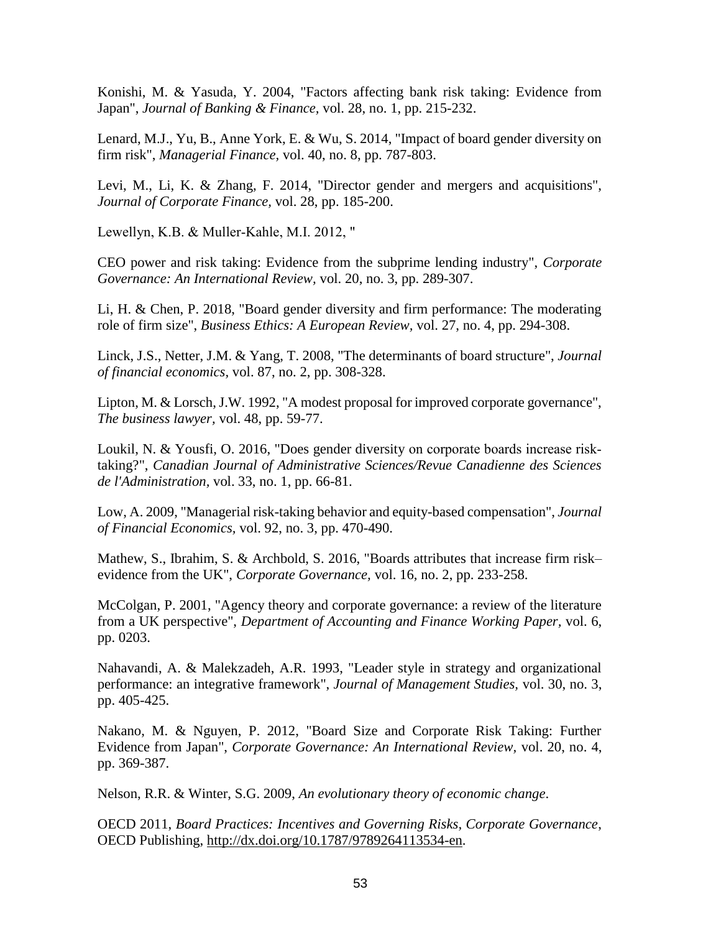Konishi, M. & Yasuda, Y. 2004, "Factors affecting bank risk taking: Evidence from Japan", *Journal of Banking & Finance,* vol. 28, no. 1, pp. 215-232.

Lenard, M.J., Yu, B., Anne York, E. & Wu, S. 2014, "Impact of board gender diversity on firm risk", *Managerial Finance,* vol. 40, no. 8, pp. 787-803.

Levi, M., Li, K. & Zhang, F. 2014, "Director gender and mergers and acquisitions", *Journal of Corporate Finance,* vol. 28, pp. 185-200.

Lewellyn, K.B. & Muller‐Kahle, M.I. 2012, "

CEO power and risk taking: Evidence from the subprime lending industry", *Corporate Governance: An International Review,* vol. 20, no. 3, pp. 289-307.

Li, H. & Chen, P. 2018, "Board gender diversity and firm performance: The moderating role of firm size", *Business Ethics: A European Review,* vol. 27, no. 4, pp. 294-308.

Linck, J.S., Netter, J.M. & Yang, T. 2008, "The determinants of board structure", *Journal of financial economics,* vol. 87, no. 2, pp. 308-328.

Lipton, M. & Lorsch, J.W. 1992, "A modest proposal for improved corporate governance", *The business lawyer,* vol. 48, pp. 59-77.

Loukil, N. & Yousfi, O. 2016, "Does gender diversity on corporate boards increase risk‐ taking?", *Canadian Journal of Administrative Sciences/Revue Canadienne des Sciences de l'Administration,* vol. 33, no. 1, pp. 66-81.

Low, A. 2009, "Managerial risk-taking behavior and equity-based compensation", *Journal of Financial Economics,* vol. 92, no. 3, pp. 470-490.

Mathew, S., Ibrahim, S. & Archbold, S. 2016, "Boards attributes that increase firm risk– evidence from the UK", *Corporate Governance,* vol. 16, no. 2, pp. 233-258.

McColgan, P. 2001, "Agency theory and corporate governance: a review of the literature from a UK perspective", *Department of Accounting and Finance Working Paper,* vol. 6, pp. 0203.

Nahavandi, A. & Malekzadeh, A.R. 1993, "Leader style in strategy and organizational performance: an integrative framework", *Journal of Management Studies,* vol. 30, no. 3, pp. 405-425.

Nakano, M. & Nguyen, P. 2012, "Board Size and Corporate Risk Taking: Further Evidence from Japan", *Corporate Governance: An International Review,* vol. 20, no. 4, pp. 369-387.

Nelson, R.R. & Winter, S.G. 2009, *An evolutionary theory of economic change*.

OECD 2011, *Board Practices: Incentives and Governing Risks, Corporate Governance*, OECD Publishing, [http://dx.doi.org/10.1787/9789264113534-en.](http://dx.doi.org/10.1787/9789264113534-en)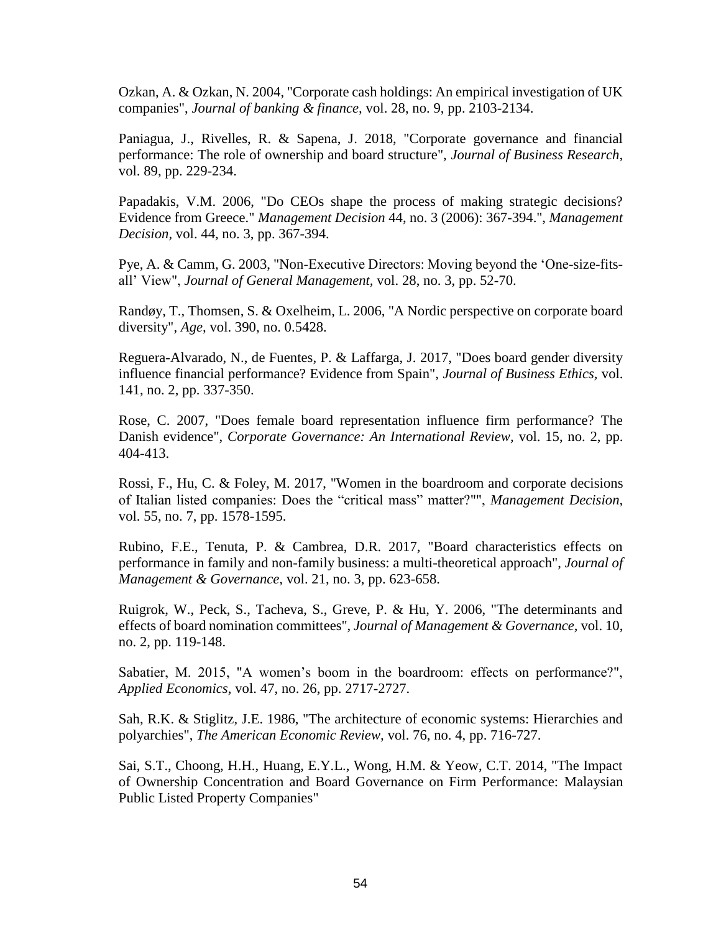Ozkan, A. & Ozkan, N. 2004, "Corporate cash holdings: An empirical investigation of UK companies", *Journal of banking & finance,* vol. 28, no. 9, pp. 2103-2134.

Paniagua, J., Rivelles, R. & Sapena, J. 2018, "Corporate governance and financial performance: The role of ownership and board structure", *Journal of Business Research,*  vol. 89, pp. 229-234.

Papadakis, V.M. 2006, "Do CEOs shape the process of making strategic decisions? Evidence from Greece." *Management Decision* 44, no. 3 (2006): 367-394.", *Management Decision,* vol. 44, no. 3, pp. 367-394.

Pye, A. & Camm, G. 2003, "Non-Executive Directors: Moving beyond the 'One-size-fitsall' View", *Journal of General Management,* vol. 28, no. 3, pp. 52-70.

Randøy, T., Thomsen, S. & Oxelheim, L. 2006, "A Nordic perspective on corporate board diversity", *Age,* vol. 390, no. 0.5428.

Reguera-Alvarado, N., de Fuentes, P. & Laffarga, J. 2017, "Does board gender diversity influence financial performance? Evidence from Spain", *Journal of Business Ethics,* vol. 141, no. 2, pp. 337-350.

Rose, C. 2007, "Does female board representation influence firm performance? The Danish evidence", *Corporate Governance: An International Review,* vol. 15, no. 2, pp. 404-413.

Rossi, F., Hu, C. & Foley, M. 2017, "Women in the boardroom and corporate decisions of Italian listed companies: Does the "critical mass" matter?"", *Management Decision,*  vol. 55, no. 7, pp. 1578-1595.

Rubino, F.E., Tenuta, P. & Cambrea, D.R. 2017, "Board characteristics effects on performance in family and non-family business: a multi-theoretical approach", *Journal of Management & Governance,* vol. 21, no. 3, pp. 623-658.

Ruigrok, W., Peck, S., Tacheva, S., Greve, P. & Hu, Y. 2006, "The determinants and effects of board nomination committees", *Journal of Management & Governance,* vol. 10, no. 2, pp. 119-148.

Sabatier, M. 2015, "A women's boom in the boardroom: effects on performance?", *Applied Economics,* vol. 47, no. 26, pp. 2717-2727.

Sah, R.K. & Stiglitz, J.E. 1986, "The architecture of economic systems: Hierarchies and polyarchies", *The American Economic Review,* vol. 76, no. 4, pp. 716-727.

Sai, S.T., Choong, H.H., Huang, E.Y.L., Wong, H.M. & Yeow, C.T. 2014, "The Impact of Ownership Concentration and Board Governance on Firm Performance: Malaysian Public Listed Property Companies"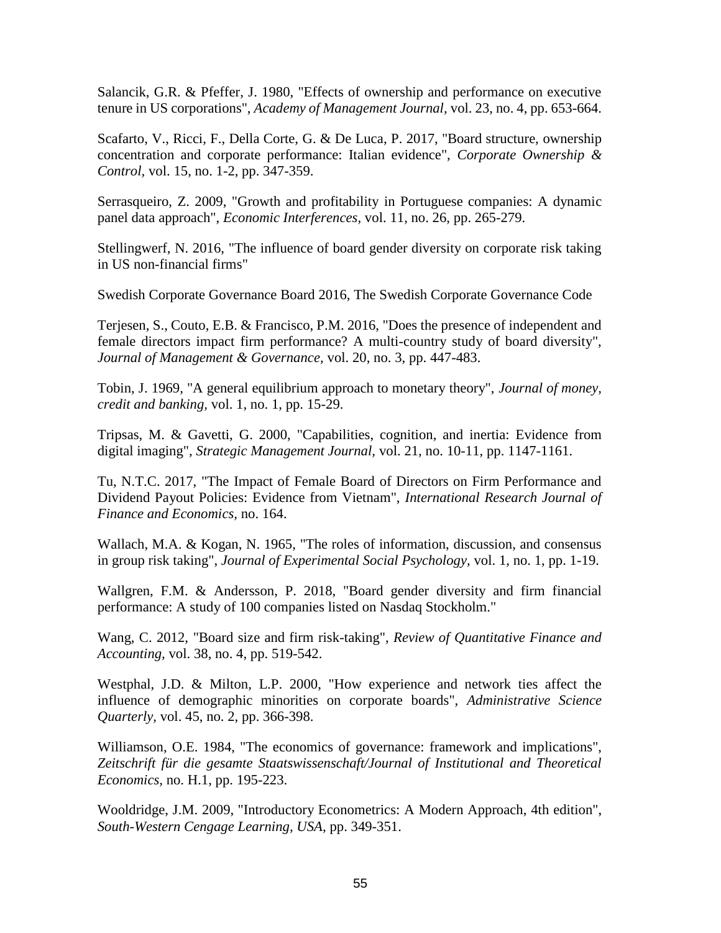Salancik, G.R. & Pfeffer, J. 1980, "Effects of ownership and performance on executive tenure in US corporations", *Academy of Management Journal,* vol. 23, no. 4, pp. 653-664.

Scafarto, V., Ricci, F., Della Corte, G. & De Luca, P. 2017, "Board structure, ownership concentration and corporate performance: Italian evidence", *Corporate Ownership & Control,* vol. 15, no. 1-2, pp. 347-359.

Serrasqueiro, Z. 2009, "Growth and profitability in Portuguese companies: A dynamic panel data approach", *Economic Interferences,* vol. 11, no. 26, pp. 265-279.

Stellingwerf, N. 2016, "The influence of board gender diversity on corporate risk taking in US non-financial firms"

Swedish Corporate Governance Board 2016, The Swedish Corporate Governance Code

Terjesen, S., Couto, E.B. & Francisco, P.M. 2016, "Does the presence of independent and female directors impact firm performance? A multi-country study of board diversity", *Journal of Management & Governance,* vol. 20, no. 3, pp. 447-483.

Tobin, J. 1969, "A general equilibrium approach to monetary theory", *Journal of money, credit and banking,* vol. 1, no. 1, pp. 15-29.

Tripsas, M. & Gavetti, G. 2000, "Capabilities, cognition, and inertia: Evidence from digital imaging", *Strategic Management Journal,* vol. 21, no. 10-11, pp. 1147-1161.

Tu, N.T.C. 2017, "The Impact of Female Board of Directors on Firm Performance and Dividend Payout Policies: Evidence from Vietnam", *International Research Journal of Finance and Economics,* no. 164.

Wallach, M.A. & Kogan, N. 1965, "The roles of information, discussion, and consensus in group risk taking", *Journal of Experimental Social Psychology,* vol. 1, no. 1, pp. 1-19.

Wallgren, F.M. & Andersson, P. 2018, "Board gender diversity and firm financial performance: A study of 100 companies listed on Nasdaq Stockholm."

Wang, C. 2012, "Board size and firm risk-taking", *Review of Quantitative Finance and Accounting,* vol. 38, no. 4, pp. 519-542.

Westphal, J.D. & Milton, L.P. 2000, "How experience and network ties affect the influence of demographic minorities on corporate boards", *Administrative Science Quarterly,* vol. 45, no. 2, pp. 366-398.

Williamson, O.E. 1984, "The economics of governance: framework and implications", *Zeitschrift für die gesamte Staatswissenschaft/Journal of Institutional and Theoretical Economics,* no. H.1, pp. 195-223.

Wooldridge, J.M. 2009, "Introductory Econometrics: A Modern Approach, 4th edition", *South-Western Cengage Learning, USA,* pp. 349-351.